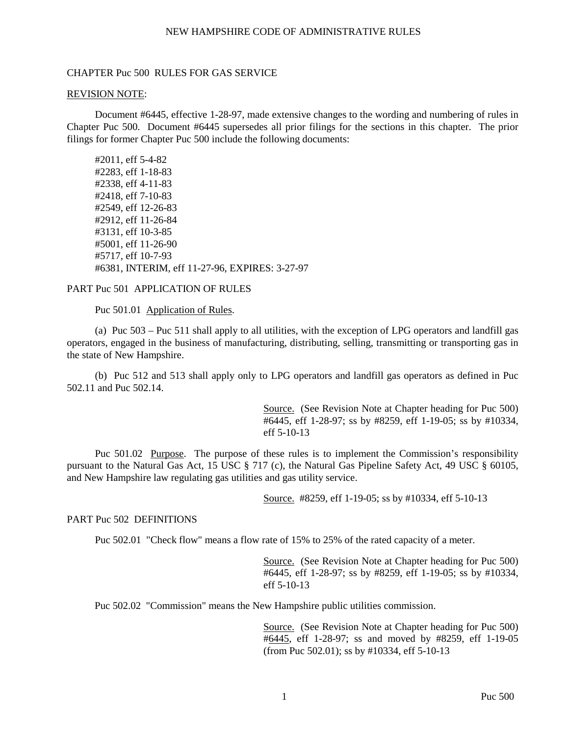#### CHAPTER Puc 500 RULES FOR GAS SERVICE

#### REVISION NOTE:

Document #6445, effective 1-28-97, made extensive changes to the wording and numbering of rules in Chapter Puc 500. Document #6445 supersedes all prior filings for the sections in this chapter. The prior filings for former Chapter Puc 500 include the following documents:

#2011, eff 5-4-82 #2283, eff 1-18-83 #2338, eff 4-11-83 #2418, eff 7-10-83 #2549, eff 12-26-83 #2912, eff 11-26-84 #3131, eff 10-3-85 #5001, eff 11-26-90 #5717, eff 10-7-93 #6381, INTERIM, eff 11-27-96, EXPIRES: 3-27-97

#### PART Puc 501 APPLICATION OF RULES

Puc 501.01 Application of Rules.

(a) Puc 503 – Puc 511 shall apply to all utilities, with the exception of LPG operators and landfill gas operators, engaged in the business of manufacturing, distributing, selling, transmitting or transporting gas in the state of New Hampshire.

(b) Puc 512 and 513 shall apply only to LPG operators and landfill gas operators as defined in Puc 502.11 and Puc 502.14.

> Source. (See Revision Note at Chapter heading for Puc 500) #6445, eff 1-28-97; ss by #8259, eff 1-19-05; ss by #10334, eff 5-10-13

Puc 501.02 Purpose. The purpose of these rules is to implement the Commission's responsibility pursuant to the Natural Gas Act, 15 USC § 717 (c), the Natural Gas Pipeline Safety Act, 49 USC § 60105, and New Hampshire law regulating gas utilities and gas utility service.

Source. #8259, eff 1-19-05; ss by #10334, eff 5-10-13

#### PART Puc 502 DEFINITIONS

Puc 502.01 "Check flow" means a flow rate of 15% to 25% of the rated capacity of a meter.

Source. (See Revision Note at Chapter heading for Puc 500) #6445, eff 1-28-97; ss by #8259, eff 1-19-05; ss by #10334, eff 5-10-13

Puc 502.02 "Commission" means the New Hampshire public utilities commission.

Source. (See Revision Note at Chapter heading for Puc 500) #6445, eff 1-28-97; ss and moved by #8259, eff 1-19-05 (from Puc 502.01); ss by #10334, eff 5-10-13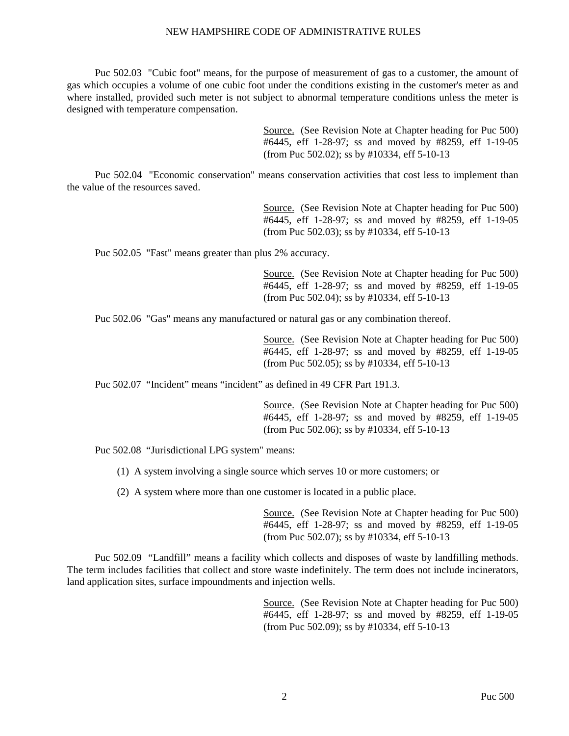Puc 502.03 "Cubic foot" means, for the purpose of measurement of gas to a customer, the amount of gas which occupies a volume of one cubic foot under the conditions existing in the customer's meter as and where installed, provided such meter is not subject to abnormal temperature conditions unless the meter is designed with temperature compensation.

> Source. (See Revision Note at Chapter heading for Puc 500) #6445, eff 1-28-97; ss and moved by #8259, eff 1-19-05 (from Puc 502.02); ss by #10334, eff 5-10-13

Puc 502.04 "Economic conservation" means conservation activities that cost less to implement than the value of the resources saved.

> Source. (See Revision Note at Chapter heading for Puc 500) #6445, eff 1-28-97; ss and moved by #8259, eff 1-19-05 (from Puc 502.03); ss by #10334, eff 5-10-13

Puc 502.05 "Fast" means greater than plus 2% accuracy.

Source. (See Revision Note at Chapter heading for Puc 500) #6445, eff 1-28-97; ss and moved by #8259, eff 1-19-05 (from Puc 502.04); ss by #10334, eff 5-10-13

Puc 502.06 "Gas" means any manufactured or natural gas or any combination thereof.

Source. (See Revision Note at Chapter heading for Puc 500) #6445, eff 1-28-97; ss and moved by #8259, eff 1-19-05 (from Puc 502.05); ss by #10334, eff 5-10-13

Puc 502.07 "Incident" means "incident" as defined in 49 CFR Part 191.3.

Source. (See Revision Note at Chapter heading for Puc 500) #6445, eff 1-28-97; ss and moved by #8259, eff 1-19-05 (from Puc 502.06); ss by #10334, eff 5-10-13

Puc 502.08 "Jurisdictional LPG system" means:

- (1) A system involving a single source which serves 10 or more customers; or
- (2) A system where more than one customer is located in a public place.

Source. (See Revision Note at Chapter heading for Puc 500) #6445, eff 1-28-97; ss and moved by #8259, eff 1-19-05 (from Puc 502.07); ss by #10334, eff 5-10-13

Puc 502.09 "Landfill" means a facility which collects and disposes of waste by landfilling methods. The term includes facilities that collect and store waste indefinitely. The term does not include incinerators, land application sites, surface impoundments and injection wells.

> Source. (See Revision Note at Chapter heading for Puc 500) #6445, eff 1-28-97; ss and moved by #8259, eff 1-19-05 (from Puc 502.09); ss by #10334, eff 5-10-13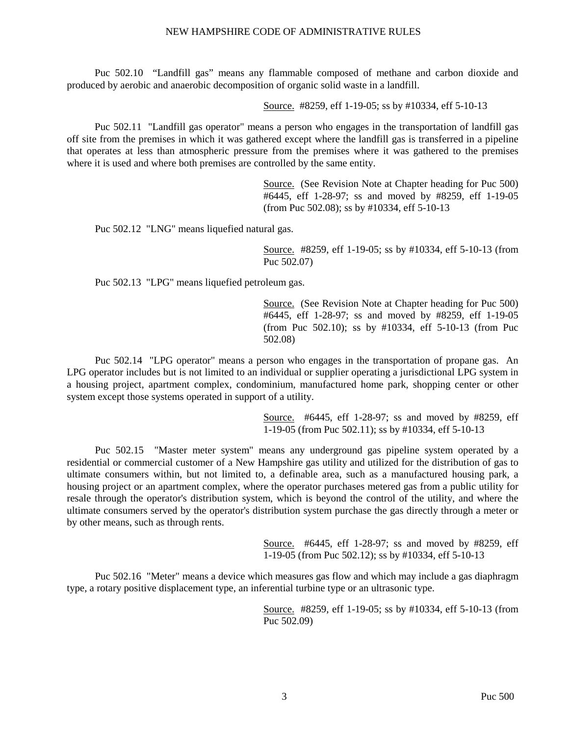Puc 502.10 "Landfill gas" means any flammable composed of methane and carbon dioxide and produced by aerobic and anaerobic decomposition of organic solid waste in a landfill.

Source. #8259, eff 1-19-05; ss by #10334, eff 5-10-13

Puc 502.11 "Landfill gas operator" means a person who engages in the transportation of landfill gas off site from the premises in which it was gathered except where the landfill gas is transferred in a pipeline that operates at less than atmospheric pressure from the premises where it was gathered to the premises where it is used and where both premises are controlled by the same entity.

> Source. (See Revision Note at Chapter heading for Puc 500) #6445, eff 1-28-97; ss and moved by #8259, eff 1-19-05 (from Puc 502.08); ss by #10334, eff 5-10-13

Puc 502.12 "LNG" means liquefied natural gas.

Source. #8259, eff 1-19-05; ss by #10334, eff 5-10-13 (from Puc 502.07)

Puc 502.13 "LPG" means liquefied petroleum gas.

Source. (See Revision Note at Chapter heading for Puc 500) #6445, eff 1-28-97; ss and moved by #8259, eff 1-19-05 (from Puc 502.10); ss by #10334, eff 5-10-13 (from Puc 502.08)

Puc 502.14 "LPG operator" means a person who engages in the transportation of propane gas. An LPG operator includes but is not limited to an individual or supplier operating a jurisdictional LPG system in a housing project, apartment complex, condominium, manufactured home park, shopping center or other system except those systems operated in support of a utility.

> Source. #6445, eff 1-28-97; ss and moved by #8259, eff 1-19-05 (from Puc 502.11); ss by #10334, eff 5-10-13

Puc 502.15 "Master meter system" means any underground gas pipeline system operated by a residential or commercial customer of a New Hampshire gas utility and utilized for the distribution of gas to ultimate consumers within, but not limited to, a definable area, such as a manufactured housing park, a housing project or an apartment complex, where the operator purchases metered gas from a public utility for resale through the operator's distribution system, which is beyond the control of the utility, and where the ultimate consumers served by the operator's distribution system purchase the gas directly through a meter or by other means, such as through rents.

> Source. #6445, eff 1-28-97; ss and moved by #8259, eff 1-19-05 (from Puc 502.12); ss by #10334, eff 5-10-13

Puc 502.16 "Meter" means a device which measures gas flow and which may include a gas diaphragm type, a rotary positive displacement type, an inferential turbine type or an ultrasonic type.

> Source. #8259, eff 1-19-05; ss by #10334, eff 5-10-13 (from Puc 502.09)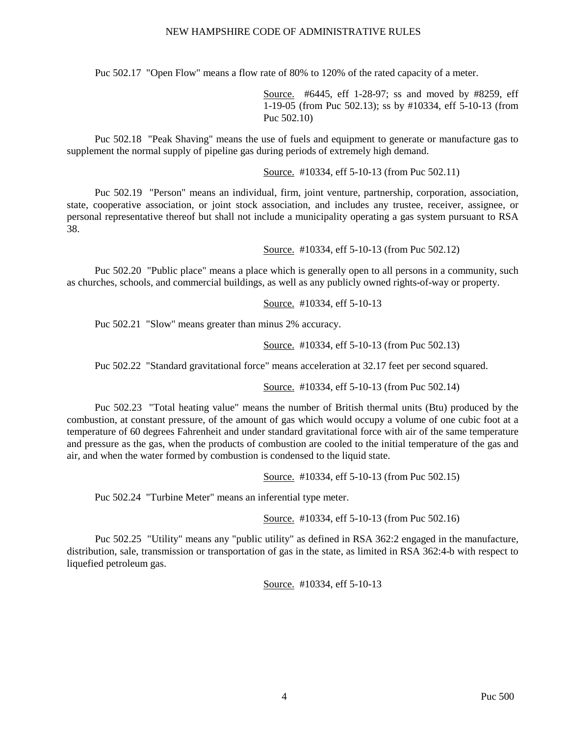Puc 502.17 "Open Flow" means a flow rate of 80% to 120% of the rated capacity of a meter.

Source. #6445, eff 1-28-97; ss and moved by #8259, eff 1-19-05 (from Puc 502.13); ss by #10334, eff 5-10-13 (from Puc 502.10)

Puc 502.18 "Peak Shaving" means the use of fuels and equipment to generate or manufacture gas to supplement the normal supply of pipeline gas during periods of extremely high demand.

Source. #10334, eff 5-10-13 (from Puc 502.11)

Puc 502.19 "Person" means an individual, firm, joint venture, partnership, corporation, association, state, cooperative association, or joint stock association, and includes any trustee, receiver, assignee, or personal representative thereof but shall not include a municipality operating a gas system pursuant to RSA 38.

Source. #10334, eff 5-10-13 (from Puc 502.12)

Puc 502.20 "Public place" means a place which is generally open to all persons in a community, such as churches, schools, and commercial buildings, as well as any publicly owned rights-of-way or property.

Source. #10334, eff 5-10-13

Puc 502.21 "Slow" means greater than minus 2% accuracy.

Source. #10334, eff 5-10-13 (from Puc 502.13)

Puc 502.22 "Standard gravitational force" means acceleration at 32.17 feet per second squared.

Source. #10334, eff 5-10-13 (from Puc 502.14)

Puc 502.23 "Total heating value" means the number of British thermal units (Btu) produced by the combustion, at constant pressure, of the amount of gas which would occupy a volume of one cubic foot at a temperature of 60 degrees Fahrenheit and under standard gravitational force with air of the same temperature and pressure as the gas, when the products of combustion are cooled to the initial temperature of the gas and air, and when the water formed by combustion is condensed to the liquid state.

Source. #10334, eff 5-10-13 (from Puc 502.15)

Puc 502.24 "Turbine Meter" means an inferential type meter.

Source. #10334, eff 5-10-13 (from Puc 502.16)

Puc 502.25 "Utility" means any "public utility" as defined in RSA 362:2 engaged in the manufacture, distribution, sale, transmission or transportation of gas in the state, as limited in RSA 362:4-b with respect to liquefied petroleum gas.

Source. #10334, eff 5-10-13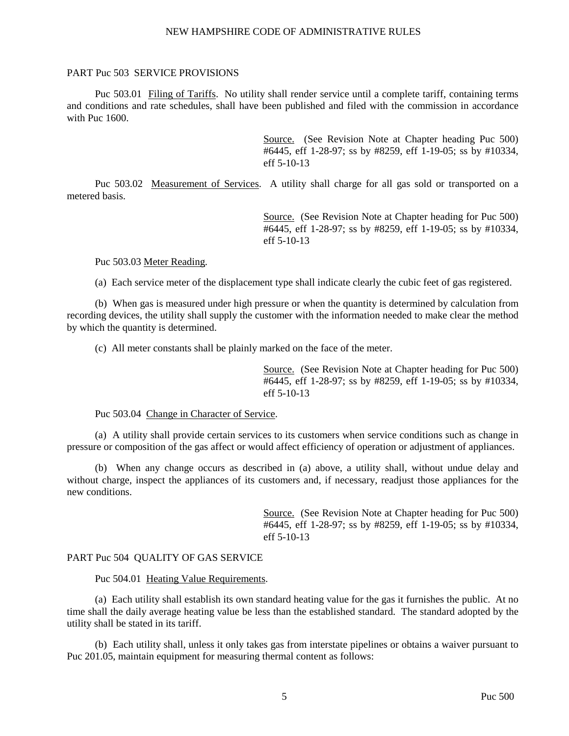## PART Puc 503 SERVICE PROVISIONS

Puc 503.01 Filing of Tariffs. No utility shall render service until a complete tariff, containing terms and conditions and rate schedules, shall have been published and filed with the commission in accordance with Puc 1600.

> Source. (See Revision Note at Chapter heading Puc 500) #6445, eff 1-28-97; ss by #8259, eff 1-19-05; ss by #10334, eff 5-10-13

Puc 503.02 Measurement of Services. A utility shall charge for all gas sold or transported on a metered basis.

> Source. (See Revision Note at Chapter heading for Puc 500) #6445, eff 1-28-97; ss by #8259, eff 1-19-05; ss by #10334, eff 5-10-13

Puc 503.03 Meter Reading.

(a) Each service meter of the displacement type shall indicate clearly the cubic feet of gas registered.

(b) When gas is measured under high pressure or when the quantity is determined by calculation from recording devices, the utility shall supply the customer with the information needed to make clear the method by which the quantity is determined.

(c) All meter constants shall be plainly marked on the face of the meter.

Source. (See Revision Note at Chapter heading for Puc 500) #6445, eff 1-28-97; ss by #8259, eff 1-19-05; ss by #10334, eff 5-10-13

Puc 503.04 Change in Character of Service.

(a) A utility shall provide certain services to its customers when service conditions such as change in pressure or composition of the gas affect or would affect efficiency of operation or adjustment of appliances.

(b) When any change occurs as described in (a) above, a utility shall, without undue delay and without charge, inspect the appliances of its customers and, if necessary, readjust those appliances for the new conditions.

> Source. (See Revision Note at Chapter heading for Puc 500) #6445, eff 1-28-97; ss by #8259, eff 1-19-05; ss by #10334, eff 5-10-13

#### PART Puc 504 QUALITY OF GAS SERVICE

Puc 504.01 Heating Value Requirements.

(a) Each utility shall establish its own standard heating value for the gas it furnishes the public. At no time shall the daily average heating value be less than the established standard. The standard adopted by the utility shall be stated in its tariff.

(b) Each utility shall, unless it only takes gas from interstate pipelines or obtains a waiver pursuant to Puc 201.05, maintain equipment for measuring thermal content as follows: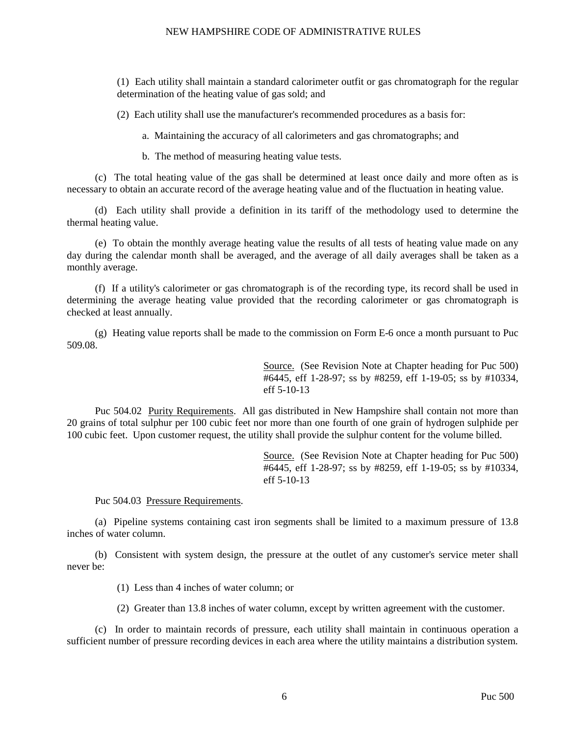(1) Each utility shall maintain a standard calorimeter outfit or gas chromatograph for the regular determination of the heating value of gas sold; and

(2) Each utility shall use the manufacturer's recommended procedures as a basis for:

a. Maintaining the accuracy of all calorimeters and gas chromatographs; and

b. The method of measuring heating value tests.

(c) The total heating value of the gas shall be determined at least once daily and more often as is necessary to obtain an accurate record of the average heating value and of the fluctuation in heating value.

(d) Each utility shall provide a definition in its tariff of the methodology used to determine the thermal heating value.

(e) To obtain the monthly average heating value the results of all tests of heating value made on any day during the calendar month shall be averaged, and the average of all daily averages shall be taken as a monthly average.

(f) If a utility's calorimeter or gas chromatograph is of the recording type, its record shall be used in determining the average heating value provided that the recording calorimeter or gas chromatograph is checked at least annually.

(g) Heating value reports shall be made to the commission on Form E-6 once a month pursuant to Puc 509.08.

> Source. (See Revision Note at Chapter heading for Puc 500) #6445, eff 1-28-97; ss by #8259, eff 1-19-05; ss by #10334, eff 5-10-13

Puc 504.02 Purity Requirements. All gas distributed in New Hampshire shall contain not more than 20 grains of total sulphur per 100 cubic feet nor more than one fourth of one grain of hydrogen sulphide per 100 cubic feet. Upon customer request, the utility shall provide the sulphur content for the volume billed.

> Source. (See Revision Note at Chapter heading for Puc 500) #6445, eff 1-28-97; ss by #8259, eff 1-19-05; ss by #10334, eff 5-10-13

Puc 504.03 Pressure Requirements.

(a) Pipeline systems containing cast iron segments shall be limited to a maximum pressure of 13.8 inches of water column.

(b) Consistent with system design, the pressure at the outlet of any customer's service meter shall never be:

(1) Less than 4 inches of water column; or

(2) Greater than 13.8 inches of water column, except by written agreement with the customer.

(c) In order to maintain records of pressure, each utility shall maintain in continuous operation a sufficient number of pressure recording devices in each area where the utility maintains a distribution system.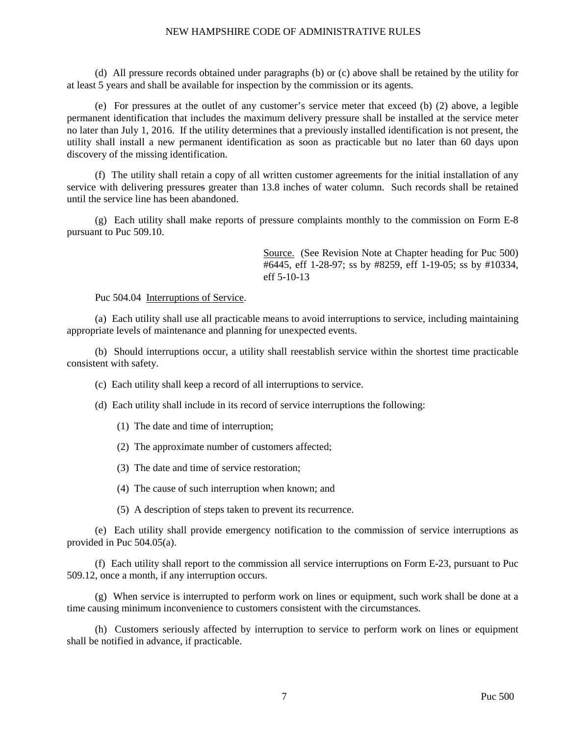(d) All pressure records obtained under paragraphs (b) or (c) above shall be retained by the utility for at least 5 years and shall be available for inspection by the commission or its agents.

(e) For pressures at the outlet of any customer's service meter that exceed (b) (2) above, a legible permanent identification that includes the maximum delivery pressure shall be installed at the service meter no later than July 1, 2016. If the utility determines that a previously installed identification is not present, the utility shall install a new permanent identification as soon as practicable but no later than 60 days upon discovery of the missing identification.

(f) The utility shall retain a copy of all written customer agreements for the initial installation of any service with delivering pressures greater than 13.8 inches of water column. Such records shall be retained until the service line has been abandoned.

(g) Each utility shall make reports of pressure complaints monthly to the commission on Form E-8 pursuant to Puc 509.10.

> Source. (See Revision Note at Chapter heading for Puc 500) #6445, eff 1-28-97; ss by #8259, eff 1-19-05; ss by #10334, eff 5-10-13

Puc 504.04 Interruptions of Service.

(a) Each utility shall use all practicable means to avoid interruptions to service, including maintaining appropriate levels of maintenance and planning for unexpected events.

(b) Should interruptions occur, a utility shall reestablish service within the shortest time practicable consistent with safety.

- (c) Each utility shall keep a record of all interruptions to service.
- (d) Each utility shall include in its record of service interruptions the following:
	- (1) The date and time of interruption;
	- (2) The approximate number of customers affected;
	- (3) The date and time of service restoration;
	- (4) The cause of such interruption when known; and
	- (5) A description of steps taken to prevent its recurrence.

(e) Each utility shall provide emergency notification to the commission of service interruptions as provided in Puc 504.05(a).

(f) Each utility shall report to the commission all service interruptions on Form E-23, pursuant to Puc 509.12, once a month, if any interruption occurs.

(g) When service is interrupted to perform work on lines or equipment, such work shall be done at a time causing minimum inconvenience to customers consistent with the circumstances.

(h) Customers seriously affected by interruption to service to perform work on lines or equipment shall be notified in advance, if practicable.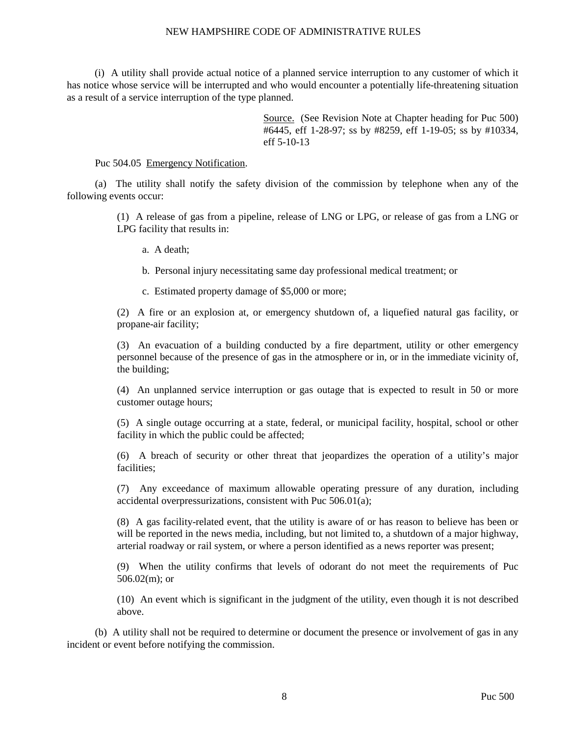(i) A utility shall provide actual notice of a planned service interruption to any customer of which it has notice whose service will be interrupted and who would encounter a potentially life-threatening situation as a result of a service interruption of the type planned.

> Source. (See Revision Note at Chapter heading for Puc 500) #6445, eff 1-28-97; ss by #8259, eff 1-19-05; ss by #10334, eff 5-10-13

Puc 504.05 Emergency Notification.

(a) The utility shall notify the safety division of the commission by telephone when any of the following events occur:

> (1) A release of gas from a pipeline, release of LNG or LPG, or release of gas from a LNG or LPG facility that results in:

a. A death;

b. Personal injury necessitating same day professional medical treatment; or

c. Estimated property damage of \$5,000 or more;

(2) A fire or an explosion at, or emergency shutdown of, a liquefied natural gas facility, or propane-air facility;

(3) An evacuation of a building conducted by a fire department, utility or other emergency personnel because of the presence of gas in the atmosphere or in, or in the immediate vicinity of, the building;

(4) An unplanned service interruption or gas outage that is expected to result in 50 or more customer outage hours;

(5) A single outage occurring at a state, federal, or municipal facility, hospital, school or other facility in which the public could be affected;

(6) A breach of security or other threat that jeopardizes the operation of a utility's major facilities;

(7) Any exceedance of maximum allowable operating pressure of any duration, including accidental overpressurizations, consistent with Puc 506.01(a);

(8) A gas facility-related event, that the utility is aware of or has reason to believe has been or will be reported in the news media, including, but not limited to, a shutdown of a major highway, arterial roadway or rail system, or where a person identified as a news reporter was present;

(9) When the utility confirms that levels of odorant do not meet the requirements of Puc 506.02(m); or

(10) An event which is significant in the judgment of the utility, even though it is not described above.

(b) A utility shall not be required to determine or document the presence or involvement of gas in any incident or event before notifying the commission.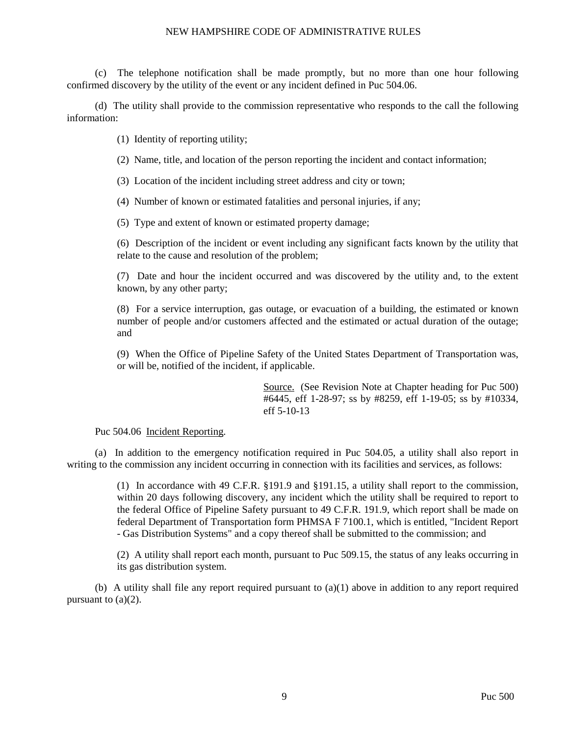(c) The telephone notification shall be made promptly, but no more than one hour following confirmed discovery by the utility of the event or any incident defined in Puc 504.06.

(d) The utility shall provide to the commission representative who responds to the call the following information:

(1) Identity of reporting utility;

(2) Name, title, and location of the person reporting the incident and contact information;

(3) Location of the incident including street address and city or town;

(4) Number of known or estimated fatalities and personal injuries, if any;

(5) Type and extent of known or estimated property damage;

(6) Description of the incident or event including any significant facts known by the utility that relate to the cause and resolution of the problem;

(7) Date and hour the incident occurred and was discovered by the utility and, to the extent known, by any other party;

(8) For a service interruption, gas outage, or evacuation of a building, the estimated or known number of people and/or customers affected and the estimated or actual duration of the outage; and

(9) When the Office of Pipeline Safety of the United States Department of Transportation was, or will be, notified of the incident, if applicable.

> Source. (See Revision Note at Chapter heading for Puc 500) #6445, eff 1-28-97; ss by #8259, eff 1-19-05; ss by #10334, eff 5-10-13

Puc 504.06 Incident Reporting.

(a) In addition to the emergency notification required in Puc 504.05, a utility shall also report in writing to the commission any incident occurring in connection with its facilities and services, as follows:

> (1) In accordance with 49 C.F.R. §191.9 and §191.15, a utility shall report to the commission, within 20 days following discovery, any incident which the utility shall be required to report to the federal Office of Pipeline Safety pursuant to 49 C.F.R. 191.9, which report shall be made on federal Department of Transportation form PHMSA F 7100.1, which is entitled, "Incident Report - Gas Distribution Systems" and a copy thereof shall be submitted to the commission; and

> (2) A utility shall report each month, pursuant to Puc 509.15, the status of any leaks occurring in its gas distribution system.

(b) A utility shall file any report required pursuant to (a)(1) above in addition to any report required pursuant to  $(a)(2)$ .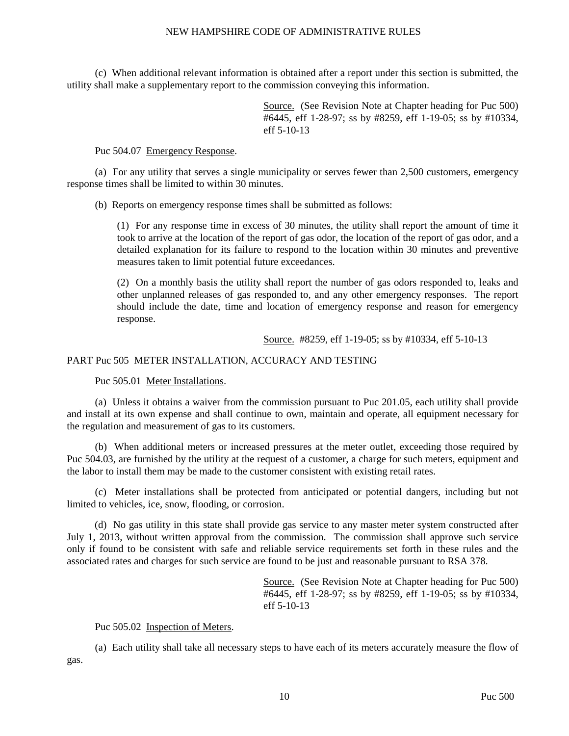(c) When additional relevant information is obtained after a report under this section is submitted, the utility shall make a supplementary report to the commission conveying this information.

> Source. (See Revision Note at Chapter heading for Puc 500) #6445, eff 1-28-97; ss by #8259, eff 1-19-05; ss by #10334, eff 5-10-13

Puc 504.07 Emergency Response.

(a) For any utility that serves a single municipality or serves fewer than 2,500 customers, emergency response times shall be limited to within 30 minutes.

(b) Reports on emergency response times shall be submitted as follows:

(1) For any response time in excess of 30 minutes, the utility shall report the amount of time it took to arrive at the location of the report of gas odor, the location of the report of gas odor, and a detailed explanation for its failure to respond to the location within 30 minutes and preventive measures taken to limit potential future exceedances.

(2) On a monthly basis the utility shall report the number of gas odors responded to, leaks and other unplanned releases of gas responded to, and any other emergency responses. The report should include the date, time and location of emergency response and reason for emergency response.

Source. #8259, eff 1-19-05; ss by #10334, eff 5-10-13

# PART Puc 505 METER INSTALLATION, ACCURACY AND TESTING

Puc 505.01 Meter Installations.

(a) Unless it obtains a waiver from the commission pursuant to Puc 201.05, each utility shall provide and install at its own expense and shall continue to own, maintain and operate, all equipment necessary for the regulation and measurement of gas to its customers.

(b) When additional meters or increased pressures at the meter outlet, exceeding those required by Puc 504.03, are furnished by the utility at the request of a customer, a charge for such meters, equipment and the labor to install them may be made to the customer consistent with existing retail rates.

(c) Meter installations shall be protected from anticipated or potential dangers, including but not limited to vehicles, ice, snow, flooding, or corrosion.

(d) No gas utility in this state shall provide gas service to any master meter system constructed after July 1, 2013, without written approval from the commission. The commission shall approve such service only if found to be consistent with safe and reliable service requirements set forth in these rules and the associated rates and charges for such service are found to be just and reasonable pursuant to RSA 378.

> Source. (See Revision Note at Chapter heading for Puc 500) #6445, eff 1-28-97; ss by #8259, eff 1-19-05; ss by #10334, eff 5-10-13

Puc 505.02 Inspection of Meters.

(a) Each utility shall take all necessary steps to have each of its meters accurately measure the flow of gas.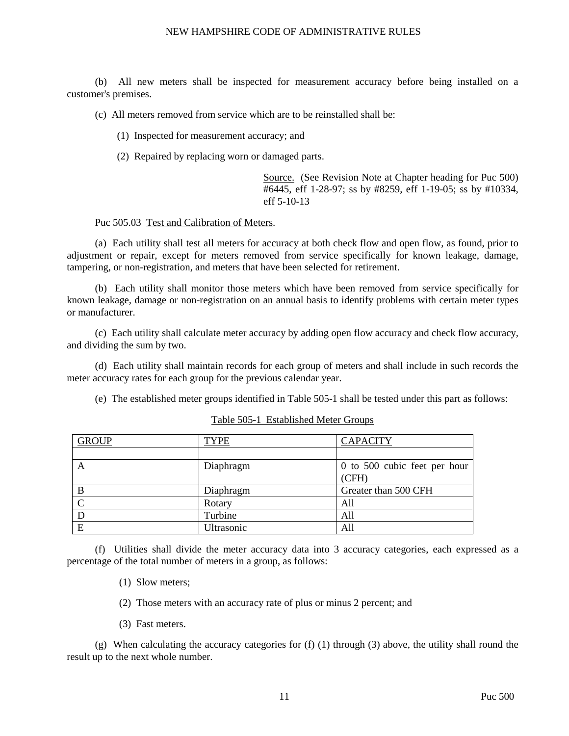(b) All new meters shall be inspected for measurement accuracy before being installed on a customer's premises.

(c) All meters removed from service which are to be reinstalled shall be:

- (1) Inspected for measurement accuracy; and
- (2) Repaired by replacing worn or damaged parts.

Source. (See Revision Note at Chapter heading for Puc 500) #6445, eff 1-28-97; ss by #8259, eff 1-19-05; ss by #10334, eff 5-10-13

Puc 505.03 Test and Calibration of Meters.

(a) Each utility shall test all meters for accuracy at both check flow and open flow, as found, prior to adjustment or repair, except for meters removed from service specifically for known leakage, damage, tampering, or non-registration, and meters that have been selected for retirement.

(b) Each utility shall monitor those meters which have been removed from service specifically for known leakage, damage or non-registration on an annual basis to identify problems with certain meter types or manufacturer.

(c) Each utility shall calculate meter accuracy by adding open flow accuracy and check flow accuracy, and dividing the sum by two.

(d) Each utility shall maintain records for each group of meters and shall include in such records the meter accuracy rates for each group for the previous calendar year.

(e) The established meter groups identified in Table 505-1 shall be tested under this part as follows:

| <b>GROUP</b> | <b>TYPE</b> | <b>CAPACITY</b>              |
|--------------|-------------|------------------------------|
|              |             |                              |
| A            | Diaphragm   | 0 to 500 cubic feet per hour |
|              |             | (CFH)                        |
| B            | Diaphragm   | Greater than 500 CFH         |
| $\Gamma$     | Rotary      | All                          |
|              | Turbine     | All                          |
| E            | Ultrasonic  | All                          |

Table 505-1 Established Meter Groups

(f) Utilities shall divide the meter accuracy data into 3 accuracy categories, each expressed as a percentage of the total number of meters in a group, as follows:

- (1) Slow meters;
- (2) Those meters with an accuracy rate of plus or minus 2 percent; and
- (3) Fast meters.

(g) When calculating the accuracy categories for  $(f)$  (1) through (3) above, the utility shall round the result up to the next whole number.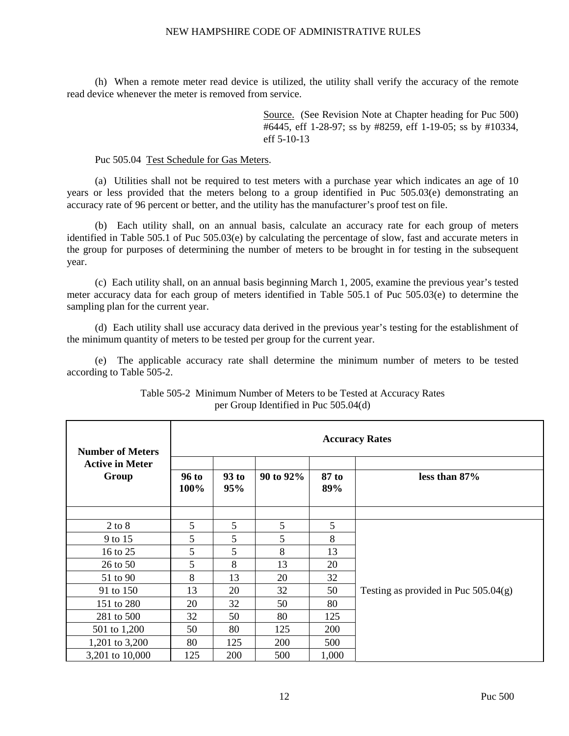(h) When a remote meter read device is utilized, the utility shall verify the accuracy of the remote read device whenever the meter is removed from service.

> Source. (See Revision Note at Chapter heading for Puc 500) #6445, eff 1-28-97; ss by #8259, eff 1-19-05; ss by #10334, eff 5-10-13

Puc 505.04 Test Schedule for Gas Meters.

(a) Utilities shall not be required to test meters with a purchase year which indicates an age of 10 years or less provided that the meters belong to a group identified in Puc 505.03(e) demonstrating an accuracy rate of 96 percent or better, and the utility has the manufacturer's proof test on file.

(b) Each utility shall, on an annual basis, calculate an accuracy rate for each group of meters identified in Table 505.1 of Puc 505.03(e) by calculating the percentage of slow, fast and accurate meters in the group for purposes of determining the number of meters to be brought in for testing in the subsequent year.

(c) Each utility shall, on an annual basis beginning March 1, 2005, examine the previous year's tested meter accuracy data for each group of meters identified in Table 505.1 of Puc 505.03(e) to determine the sampling plan for the current year.

(d) Each utility shall use accuracy data derived in the previous year's testing for the establishment of the minimum quantity of meters to be tested per group for the current year.

(e) The applicable accuracy rate shall determine the minimum number of meters to be tested according to Table 505-2.

| <b>Number of Meters</b>         | <b>Accuracy Rates</b> |              |           |              |                                        |
|---------------------------------|-----------------------|--------------|-----------|--------------|----------------------------------------|
| <b>Active in Meter</b><br>Group | <b>96 to</b><br>100%  | 93 to<br>95% | 90 to 92% | 87 to<br>89% | less than 87%                          |
| $2$ to $8$                      | 5                     | 5            | 5         | 5            |                                        |
| 9 to 15                         | 5                     | 5            | 5         | 8            |                                        |
| 16 to 25                        | 5                     | 5            | 8         | 13           |                                        |
| 26 to 50                        | 5                     | 8            | 13        | 20           |                                        |
| 51 to 90                        | 8                     | 13           | 20        | 32           |                                        |
| 91 to 150                       | 13                    | 20           | 32        | 50           | Testing as provided in Puc $505.04(g)$ |
| 151 to 280                      | 20                    | 32           | 50        | 80           |                                        |
| 281 to 500                      | 32                    | 50           | 80        | 125          |                                        |
| 501 to 1,200                    | 50                    | 80           | 125       | 200          |                                        |
| 1,201 to 3,200                  | 80                    | 125          | 200       | 500          |                                        |
| 3,201 to 10,000                 | 125                   | 200          | 500       | 1,000        |                                        |

Table 505-2 Minimum Number of Meters to be Tested at Accuracy Rates per Group Identified in Puc 505.04(d)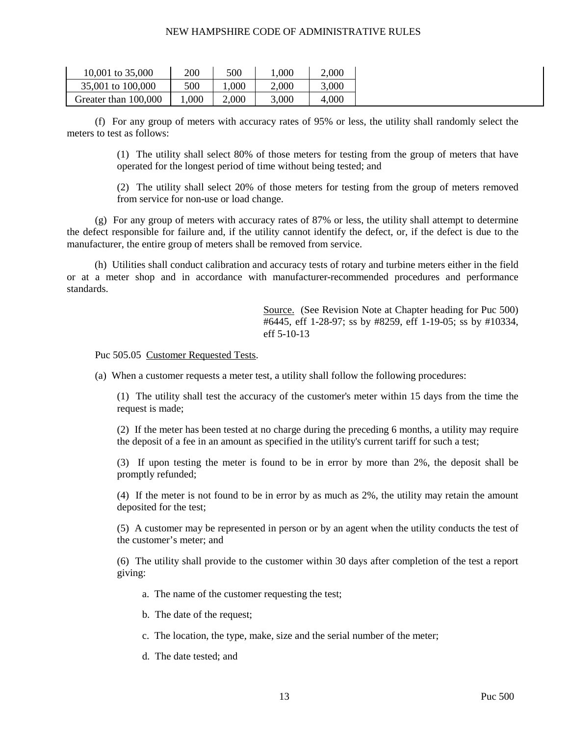| 10,001 to 35,000     | 200   | 500   | .000  | 2,000 |
|----------------------|-------|-------|-------|-------|
| 35,001 to 100,000    | 500   | .000  | 2,000 | 3,000 |
| Greater than 100,000 | 000.1 | 2,000 | 3,000 | 4,000 |

(f) For any group of meters with accuracy rates of 95% or less, the utility shall randomly select the meters to test as follows:

> (1) The utility shall select 80% of those meters for testing from the group of meters that have operated for the longest period of time without being tested; and

> (2) The utility shall select 20% of those meters for testing from the group of meters removed from service for non-use or load change.

(g) For any group of meters with accuracy rates of 87% or less, the utility shall attempt to determine the defect responsible for failure and, if the utility cannot identify the defect, or, if the defect is due to the manufacturer, the entire group of meters shall be removed from service.

(h) Utilities shall conduct calibration and accuracy tests of rotary and turbine meters either in the field or at a meter shop and in accordance with manufacturer-recommended procedures and performance standards.

> Source. (See Revision Note at Chapter heading for Puc 500) #6445, eff 1-28-97; ss by #8259, eff 1-19-05; ss by #10334, eff 5-10-13

Puc 505.05 Customer Requested Tests.

(a) When a customer requests a meter test, a utility shall follow the following procedures:

(1) The utility shall test the accuracy of the customer's meter within 15 days from the time the request is made;

(2) If the meter has been tested at no charge during the preceding 6 months, a utility may require the deposit of a fee in an amount as specified in the utility's current tariff for such a test;

(3) If upon testing the meter is found to be in error by more than 2%, the deposit shall be promptly refunded;

(4) If the meter is not found to be in error by as much as 2%, the utility may retain the amount deposited for the test;

(5) A customer may be represented in person or by an agent when the utility conducts the test of the customer's meter; and

(6) The utility shall provide to the customer within 30 days after completion of the test a report giving:

- a. The name of the customer requesting the test;
- b. The date of the request;
- c. The location, the type, make, size and the serial number of the meter;
- d. The date tested; and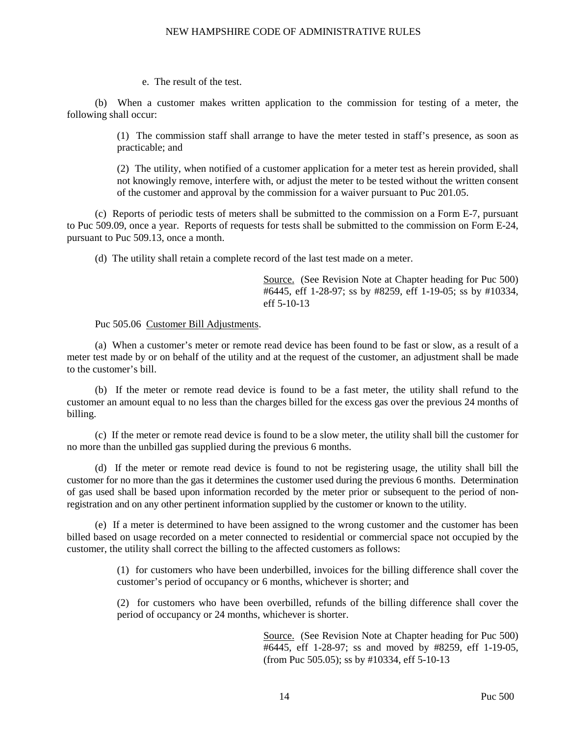e. The result of the test.

(b) When a customer makes written application to the commission for testing of a meter, the following shall occur:

> (1) The commission staff shall arrange to have the meter tested in staff's presence, as soon as practicable; and

> (2) The utility, when notified of a customer application for a meter test as herein provided, shall not knowingly remove, interfere with, or adjust the meter to be tested without the written consent of the customer and approval by the commission for a waiver pursuant to Puc 201.05.

(c) Reports of periodic tests of meters shall be submitted to the commission on a Form E-7, pursuant to Puc 509.09, once a year. Reports of requests for tests shall be submitted to the commission on Form E-24, pursuant to Puc 509.13, once a month.

(d) The utility shall retain a complete record of the last test made on a meter.

Source. (See Revision Note at Chapter heading for Puc 500) #6445, eff 1-28-97; ss by #8259, eff 1-19-05; ss by #10334, eff 5-10-13

Puc 505.06 Customer Bill Adjustments.

(a) When a customer's meter or remote read device has been found to be fast or slow, as a result of a meter test made by or on behalf of the utility and at the request of the customer, an adjustment shall be made to the customer's bill.

(b) If the meter or remote read device is found to be a fast meter, the utility shall refund to the customer an amount equal to no less than the charges billed for the excess gas over the previous 24 months of billing.

(c) If the meter or remote read device is found to be a slow meter, the utility shall bill the customer for no more than the unbilled gas supplied during the previous 6 months.

(d) If the meter or remote read device is found to not be registering usage, the utility shall bill the customer for no more than the gas it determines the customer used during the previous 6 months. Determination of gas used shall be based upon information recorded by the meter prior or subsequent to the period of nonregistration and on any other pertinent information supplied by the customer or known to the utility.

(e) If a meter is determined to have been assigned to the wrong customer and the customer has been billed based on usage recorded on a meter connected to residential or commercial space not occupied by the customer, the utility shall correct the billing to the affected customers as follows:

> (1) for customers who have been underbilled, invoices for the billing difference shall cover the customer's period of occupancy or 6 months, whichever is shorter; and

> (2) for customers who have been overbilled, refunds of the billing difference shall cover the period of occupancy or 24 months, whichever is shorter.

> > Source. (See Revision Note at Chapter heading for Puc 500) #6445, eff 1-28-97; ss and moved by #8259, eff 1-19-05, (from Puc 505.05); ss by #10334, eff 5-10-13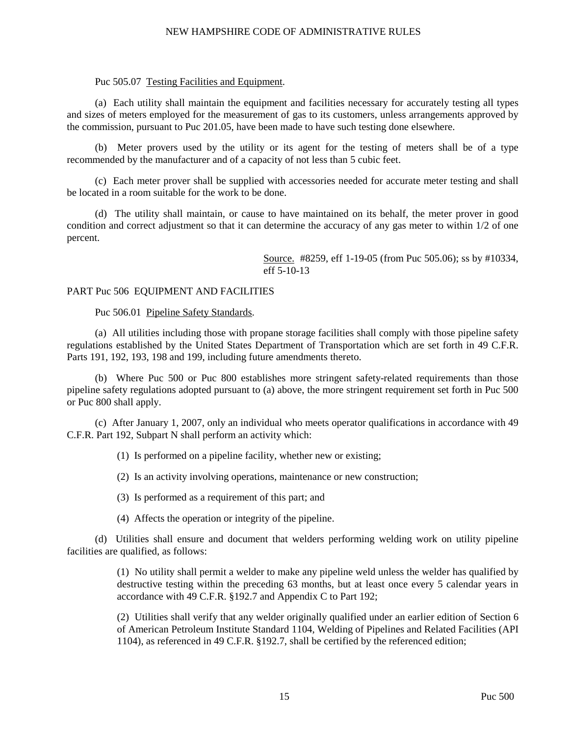#### Puc 505.07 Testing Facilities and Equipment.

(a) Each utility shall maintain the equipment and facilities necessary for accurately testing all types and sizes of meters employed for the measurement of gas to its customers, unless arrangements approved by the commission, pursuant to Puc 201.05, have been made to have such testing done elsewhere.

(b) Meter provers used by the utility or its agent for the testing of meters shall be of a type recommended by the manufacturer and of a capacity of not less than 5 cubic feet.

(c) Each meter prover shall be supplied with accessories needed for accurate meter testing and shall be located in a room suitable for the work to be done.

(d) The utility shall maintain, or cause to have maintained on its behalf, the meter prover in good condition and correct adjustment so that it can determine the accuracy of any gas meter to within 1/2 of one percent.

> Source. #8259, eff 1-19-05 (from Puc 505.06); ss by #10334, eff 5-10-13

#### PART Puc 506 EQUIPMENT AND FACILITIES

Puc 506.01 Pipeline Safety Standards.

(a) All utilities including those with propane storage facilities shall comply with those pipeline safety regulations established by the United States Department of Transportation which are set forth in 49 C.F.R. Parts 191, 192, 193, 198 and 199, including future amendments thereto.

(b) Where Puc 500 or Puc 800 establishes more stringent safety-related requirements than those pipeline safety regulations adopted pursuant to (a) above, the more stringent requirement set forth in Puc 500 or Puc 800 shall apply.

(c) After January 1, 2007, only an individual who meets operator qualifications in accordance with 49 C.F.R. Part 192, Subpart N shall perform an activity which:

(1) Is performed on a pipeline facility, whether new or existing;

(2) Is an activity involving operations, maintenance or new construction;

(3) Is performed as a requirement of this part; and

(4) Affects the operation or integrity of the pipeline.

(d) Utilities shall ensure and document that welders performing welding work on utility pipeline facilities are qualified, as follows:

> (1) No utility shall permit a welder to make any pipeline weld unless the welder has qualified by destructive testing within the preceding 63 months, but at least once every 5 calendar years in accordance with 49 C.F.R. §192.7 and Appendix C to Part 192;

> (2) Utilities shall verify that any welder originally qualified under an earlier edition of Section 6 of American Petroleum Institute Standard 1104, Welding of Pipelines and Related Facilities (API 1104), as referenced in 49 C.F.R. §192.7, shall be certified by the referenced edition;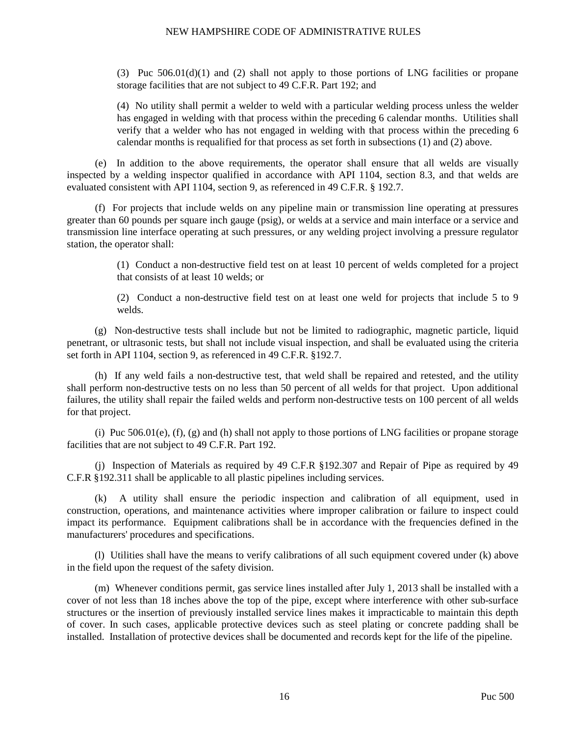(3) Puc 506.01(d)(1) and (2) shall not apply to those portions of LNG facilities or propane storage facilities that are not subject to 49 C.F.R. Part 192; and

(4) No utility shall permit a welder to weld with a particular welding process unless the welder has engaged in welding with that process within the preceding 6 calendar months. Utilities shall verify that a welder who has not engaged in welding with that process within the preceding 6 calendar months is requalified for that process as set forth in subsections (1) and (2) above.

(e) In addition to the above requirements, the operator shall ensure that all welds are visually inspected by a welding inspector qualified in accordance with API 1104, section 8.3, and that welds are evaluated consistent with API 1104, section 9, as referenced in 49 C.F.R. § 192.7.

(f) For projects that include welds on any pipeline main or transmission line operating at pressures greater than 60 pounds per square inch gauge (psig), or welds at a service and main interface or a service and transmission line interface operating at such pressures, or any welding project involving a pressure regulator station, the operator shall:

> (1) Conduct a non-destructive field test on at least 10 percent of welds completed for a project that consists of at least 10 welds; or

> (2) Conduct a non-destructive field test on at least one weld for projects that include 5 to 9 welds.

(g) Non-destructive tests shall include but not be limited to radiographic, magnetic particle, liquid penetrant, or ultrasonic tests, but shall not include visual inspection, and shall be evaluated using the criteria set forth in API 1104, section 9, as referenced in 49 C.F.R. §192.7.

(h) If any weld fails a non-destructive test, that weld shall be repaired and retested, and the utility shall perform non-destructive tests on no less than 50 percent of all welds for that project. Upon additional failures, the utility shall repair the failed welds and perform non-destructive tests on 100 percent of all welds for that project.

(i) Puc 506.01(e), (f), (g) and (h) shall not apply to those portions of LNG facilities or propane storage facilities that are not subject to 49 C.F.R. Part 192.

(j) Inspection of Materials as required by 49 C.F.R §192.307 and Repair of Pipe as required by 49 C.F.R §192.311 shall be applicable to all plastic pipelines including services.

(k) A utility shall ensure the periodic inspection and calibration of all equipment, used in construction, operations, and maintenance activities where improper calibration or failure to inspect could impact its performance. Equipment calibrations shall be in accordance with the frequencies defined in the manufacturers' procedures and specifications.

(l) Utilities shall have the means to verify calibrations of all such equipment covered under (k) above in the field upon the request of the safety division.

(m) Whenever conditions permit, gas service lines installed after July 1, 2013 shall be installed with a cover of not less than 18 inches above the top of the pipe, except where interference with other sub-surface structures or the insertion of previously installed service lines makes it impracticable to maintain this depth of cover. In such cases, applicable protective devices such as steel plating or concrete padding shall be installed. Installation of protective devices shall be documented and records kept for the life of the pipeline.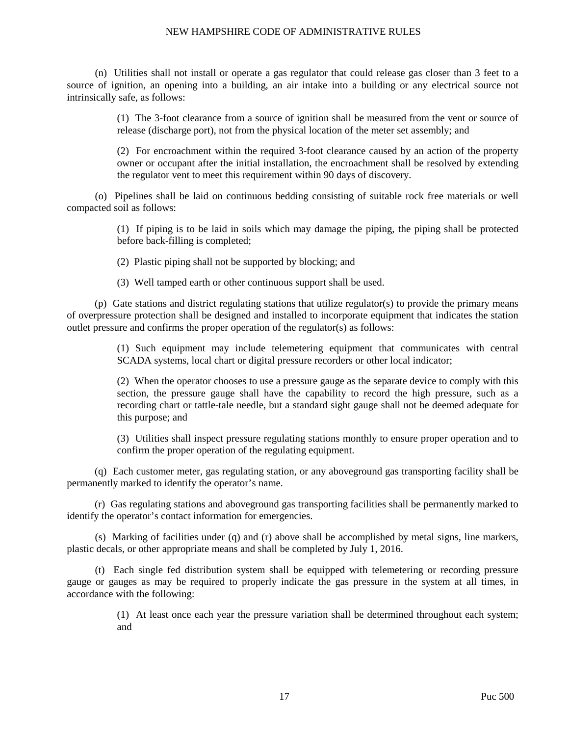(n) Utilities shall not install or operate a gas regulator that could release gas closer than 3 feet to a source of ignition, an opening into a building, an air intake into a building or any electrical source not intrinsically safe, as follows:

> (1) The 3-foot clearance from a source of ignition shall be measured from the vent or source of release (discharge port), not from the physical location of the meter set assembly; and

> (2) For encroachment within the required 3-foot clearance caused by an action of the property owner or occupant after the initial installation, the encroachment shall be resolved by extending the regulator vent to meet this requirement within 90 days of discovery.

(o) Pipelines shall be laid on continuous bedding consisting of suitable rock free materials or well compacted soil as follows:

> (1) If piping is to be laid in soils which may damage the piping, the piping shall be protected before back-filling is completed;

(2) Plastic piping shall not be supported by blocking; and

(3) Well tamped earth or other continuous support shall be used.

(p) Gate stations and district regulating stations that utilize regulator(s) to provide the primary means of overpressure protection shall be designed and installed to incorporate equipment that indicates the station outlet pressure and confirms the proper operation of the regulator(s) as follows:

> (1) Such equipment may include telemetering equipment that communicates with central SCADA systems, local chart or digital pressure recorders or other local indicator;

> (2) When the operator chooses to use a pressure gauge as the separate device to comply with this section, the pressure gauge shall have the capability to record the high pressure, such as a recording chart or tattle-tale needle, but a standard sight gauge shall not be deemed adequate for this purpose; and

> (3) Utilities shall inspect pressure regulating stations monthly to ensure proper operation and to confirm the proper operation of the regulating equipment.

(q) Each customer meter, gas regulating station, or any aboveground gas transporting facility shall be permanently marked to identify the operator's name.

(r) Gas regulating stations and aboveground gas transporting facilities shall be permanently marked to identify the operator's contact information for emergencies.

(s) Marking of facilities under (q) and (r) above shall be accomplished by metal signs, line markers, plastic decals, or other appropriate means and shall be completed by July 1, 2016.

(t) Each single fed distribution system shall be equipped with telemetering or recording pressure gauge or gauges as may be required to properly indicate the gas pressure in the system at all times, in accordance with the following:

> (1) At least once each year the pressure variation shall be determined throughout each system; and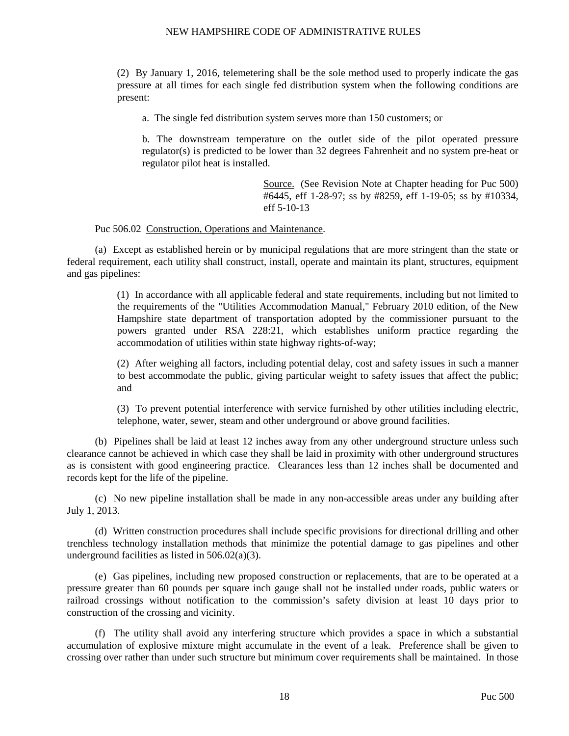(2) By January 1, 2016, telemetering shall be the sole method used to properly indicate the gas pressure at all times for each single fed distribution system when the following conditions are present:

a. The single fed distribution system serves more than 150 customers; or

b. The downstream temperature on the outlet side of the pilot operated pressure regulator(s) is predicted to be lower than 32 degrees Fahrenheit and no system pre-heat or regulator pilot heat is installed.

> Source. (See Revision Note at Chapter heading for Puc 500) #6445, eff 1-28-97; ss by #8259, eff 1-19-05; ss by #10334, eff 5-10-13

#### Puc 506.02 Construction, Operations and Maintenance.

(a) Except as established herein or by municipal regulations that are more stringent than the state or federal requirement, each utility shall construct, install, operate and maintain its plant, structures, equipment and gas pipelines:

> (1) In accordance with all applicable federal and state requirements, including but not limited to the requirements of the "Utilities Accommodation Manual," February 2010 edition, of the New Hampshire state department of transportation adopted by the commissioner pursuant to the powers granted under RSA 228:21, which establishes uniform practice regarding the accommodation of utilities within state highway rights-of-way;

> (2) After weighing all factors, including potential delay, cost and safety issues in such a manner to best accommodate the public, giving particular weight to safety issues that affect the public; and

> (3) To prevent potential interference with service furnished by other utilities including electric, telephone, water, sewer, steam and other underground or above ground facilities.

(b) Pipelines shall be laid at least 12 inches away from any other underground structure unless such clearance cannot be achieved in which case they shall be laid in proximity with other underground structures as is consistent with good engineering practice. Clearances less than 12 inches shall be documented and records kept for the life of the pipeline.

(c) No new pipeline installation shall be made in any non-accessible areas under any building after July 1, 2013.

(d) Written construction procedures shall include specific provisions for directional drilling and other trenchless technology installation methods that minimize the potential damage to gas pipelines and other underground facilities as listed in 506.02(a)(3).

(e) Gas pipelines, including new proposed construction or replacements, that are to be operated at a pressure greater than 60 pounds per square inch gauge shall not be installed under roads, public waters or railroad crossings without notification to the commission's safety division at least 10 days prior to construction of the crossing and vicinity.

(f) The utility shall avoid any interfering structure which provides a space in which a substantial accumulation of explosive mixture might accumulate in the event of a leak. Preference shall be given to crossing over rather than under such structure but minimum cover requirements shall be maintained. In those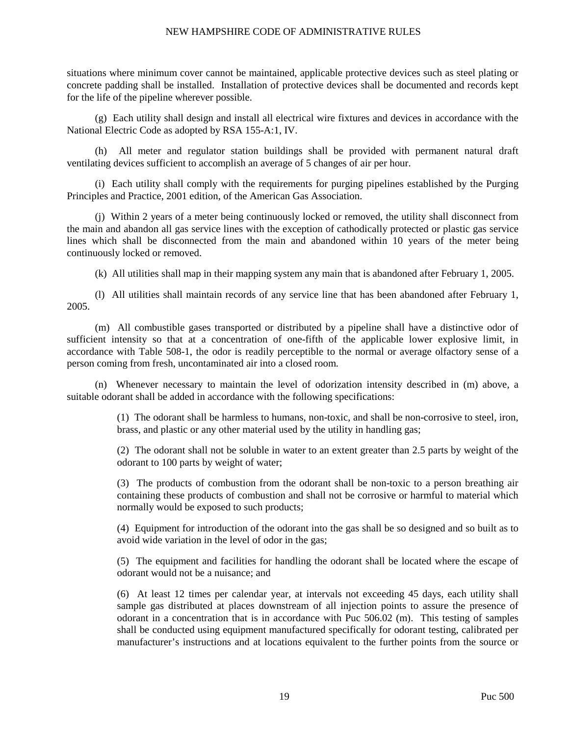situations where minimum cover cannot be maintained, applicable protective devices such as steel plating or concrete padding shall be installed. Installation of protective devices shall be documented and records kept for the life of the pipeline wherever possible.

(g) Each utility shall design and install all electrical wire fixtures and devices in accordance with the National Electric Code as adopted by RSA 155-A:1, IV.

(h) All meter and regulator station buildings shall be provided with permanent natural draft ventilating devices sufficient to accomplish an average of 5 changes of air per hour.

(i) Each utility shall comply with the requirements for purging pipelines established by the Purging Principles and Practice, 2001 edition, of the American Gas Association.

(j) Within 2 years of a meter being continuously locked or removed, the utility shall disconnect from the main and abandon all gas service lines with the exception of cathodically protected or plastic gas service lines which shall be disconnected from the main and abandoned within 10 years of the meter being continuously locked or removed.

(k) All utilities shall map in their mapping system any main that is abandoned after February 1, 2005.

(l) All utilities shall maintain records of any service line that has been abandoned after February 1, 2005.

(m) All combustible gases transported or distributed by a pipeline shall have a distinctive odor of sufficient intensity so that at a concentration of one-fifth of the applicable lower explosive limit, in accordance with Table 508-1, the odor is readily perceptible to the normal or average olfactory sense of a person coming from fresh, uncontaminated air into a closed room.

(n) Whenever necessary to maintain the level of odorization intensity described in (m) above, a suitable odorant shall be added in accordance with the following specifications:

> (1) The odorant shall be harmless to humans, non-toxic, and shall be non-corrosive to steel, iron, brass, and plastic or any other material used by the utility in handling gas;

> (2) The odorant shall not be soluble in water to an extent greater than 2.5 parts by weight of the odorant to 100 parts by weight of water;

> (3) The products of combustion from the odorant shall be non-toxic to a person breathing air containing these products of combustion and shall not be corrosive or harmful to material which normally would be exposed to such products;

> (4) Equipment for introduction of the odorant into the gas shall be so designed and so built as to avoid wide variation in the level of odor in the gas;

> (5) The equipment and facilities for handling the odorant shall be located where the escape of odorant would not be a nuisance; and

> (6) At least 12 times per calendar year, at intervals not exceeding 45 days, each utility shall sample gas distributed at places downstream of all injection points to assure the presence of odorant in a concentration that is in accordance with Puc 506.02 (m). This testing of samples shall be conducted using equipment manufactured specifically for odorant testing, calibrated per manufacturer's instructions and at locations equivalent to the further points from the source or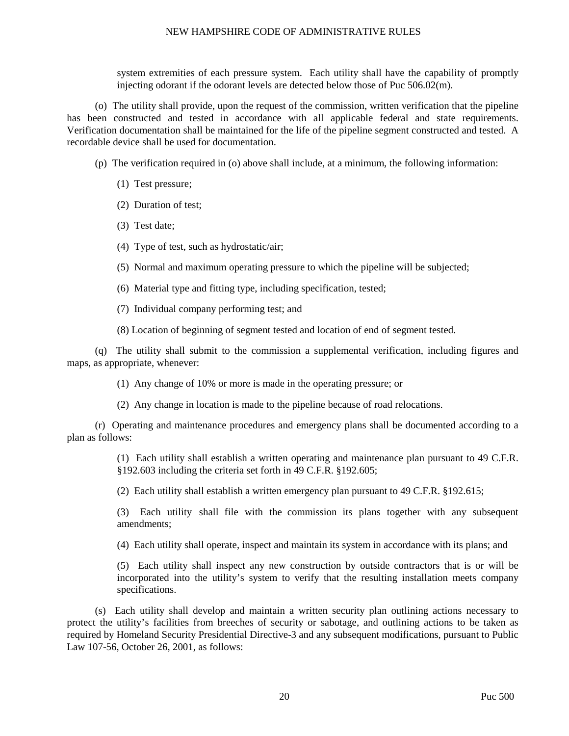system extremities of each pressure system. Each utility shall have the capability of promptly injecting odorant if the odorant levels are detected below those of Puc 506.02(m).

(o) The utility shall provide, upon the request of the commission, written verification that the pipeline has been constructed and tested in accordance with all applicable federal and state requirements. Verification documentation shall be maintained for the life of the pipeline segment constructed and tested. A recordable device shall be used for documentation.

- (p) The verification required in (o) above shall include, at a minimum, the following information:
	- (1) Test pressure;
	- (2) Duration of test;
	- (3) Test date;
	- (4) Type of test, such as hydrostatic/air;
	- (5) Normal and maximum operating pressure to which the pipeline will be subjected;
	- (6) Material type and fitting type, including specification, tested;
	- (7) Individual company performing test; and
	- (8) Location of beginning of segment tested and location of end of segment tested.

(q) The utility shall submit to the commission a supplemental verification, including figures and maps, as appropriate, whenever:

(1) Any change of 10% or more is made in the operating pressure; or

(2) Any change in location is made to the pipeline because of road relocations.

(r) Operating and maintenance procedures and emergency plans shall be documented according to a plan as follows:

> (1) Each utility shall establish a written operating and maintenance plan pursuant to 49 C.F.R. §192.603 including the criteria set forth in 49 C.F.R. §192.605;

(2) Each utility shall establish a written emergency plan pursuant to 49 C.F.R. §192.615;

(3) Each utility shall file with the commission its plans together with any subsequent amendments;

(4) Each utility shall operate, inspect and maintain its system in accordance with its plans; and

(5) Each utility shall inspect any new construction by outside contractors that is or will be incorporated into the utility's system to verify that the resulting installation meets company specifications.

(s) Each utility shall develop and maintain a written security plan outlining actions necessary to protect the utility's facilities from breeches of security or sabotage, and outlining actions to be taken as required by Homeland Security Presidential Directive-3 and any subsequent modifications, pursuant to Public Law 107-56, October 26, 2001, as follows: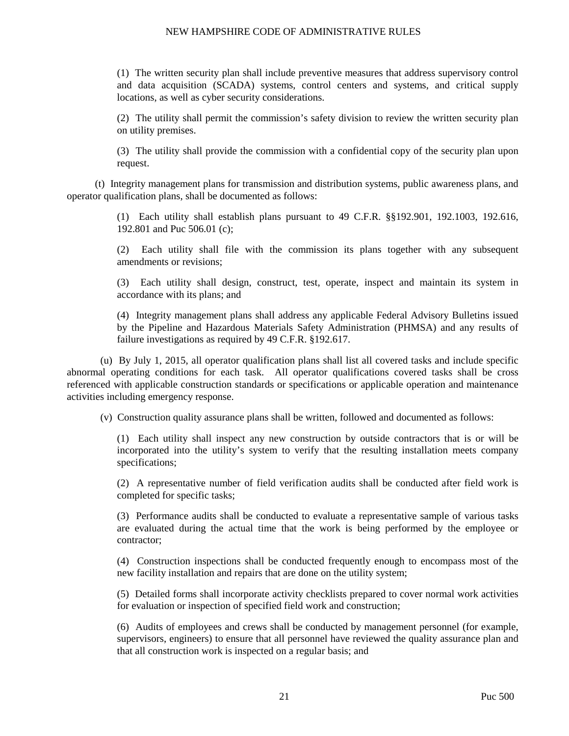(1) The written security plan shall include preventive measures that address supervisory control and data acquisition (SCADA) systems, control centers and systems, and critical supply locations, as well as cyber security considerations.

(2) The utility shall permit the commission's safety division to review the written security plan on utility premises.

(3) The utility shall provide the commission with a confidential copy of the security plan upon request.

(t) Integrity management plans for transmission and distribution systems, public awareness plans, and operator qualification plans, shall be documented as follows:

> (1) Each utility shall establish plans pursuant to 49 C.F.R. §§192.901, 192.1003, 192.616, 192.801 and Puc 506.01 (c);

> (2) Each utility shall file with the commission its plans together with any subsequent amendments or revisions;

> (3) Each utility shall design, construct, test, operate, inspect and maintain its system in accordance with its plans; and

> (4) Integrity management plans shall address any applicable Federal Advisory Bulletins issued by the Pipeline and Hazardous Materials Safety Administration (PHMSA) and any results of failure investigations as required by 49 C.F.R. §192.617.

(u) By July 1, 2015, all operator qualification plans shall list all covered tasks and include specific abnormal operating conditions for each task. All operator qualifications covered tasks shall be cross referenced with applicable construction standards or specifications or applicable operation and maintenance activities including emergency response.

(v) Construction quality assurance plans shall be written, followed and documented as follows:

(1) Each utility shall inspect any new construction by outside contractors that is or will be incorporated into the utility's system to verify that the resulting installation meets company specifications;

(2) A representative number of field verification audits shall be conducted after field work is completed for specific tasks;

(3) Performance audits shall be conducted to evaluate a representative sample of various tasks are evaluated during the actual time that the work is being performed by the employee or contractor;

(4) Construction inspections shall be conducted frequently enough to encompass most of the new facility installation and repairs that are done on the utility system;

(5) Detailed forms shall incorporate activity checklists prepared to cover normal work activities for evaluation or inspection of specified field work and construction;

(6) Audits of employees and crews shall be conducted by management personnel (for example, supervisors, engineers) to ensure that all personnel have reviewed the quality assurance plan and that all construction work is inspected on a regular basis; and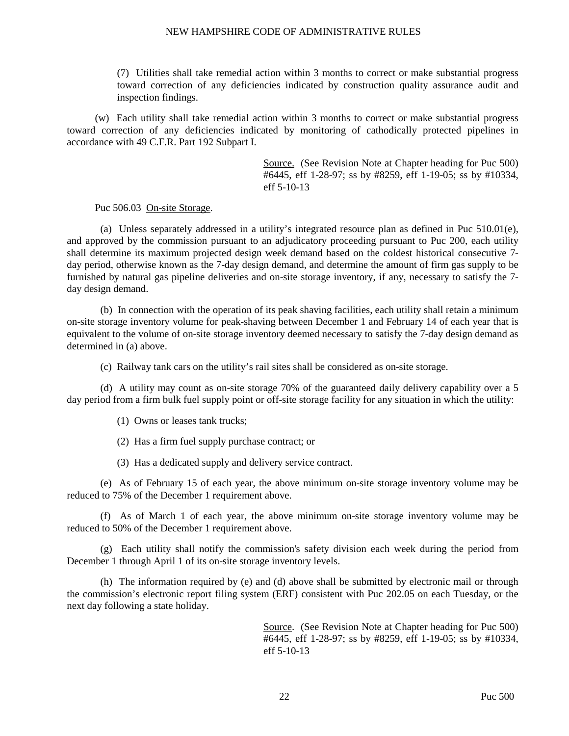(7) Utilities shall take remedial action within 3 months to correct or make substantial progress toward correction of any deficiencies indicated by construction quality assurance audit and inspection findings.

(w) Each utility shall take remedial action within 3 months to correct or make substantial progress toward correction of any deficiencies indicated by monitoring of cathodically protected pipelines in accordance with 49 C.F.R. Part 192 Subpart I.

> Source. (See Revision Note at Chapter heading for Puc 500) #6445, eff 1-28-97; ss by #8259, eff 1-19-05; ss by #10334, eff 5-10-13

Puc 506.03 On-site Storage.

(a) Unless separately addressed in a utility's integrated resource plan as defined in Puc 510.01(e), and approved by the commission pursuant to an adjudicatory proceeding pursuant to Puc 200, each utility shall determine its maximum projected design week demand based on the coldest historical consecutive 7 day period, otherwise known as the 7-day design demand, and determine the amount of firm gas supply to be furnished by natural gas pipeline deliveries and on-site storage inventory, if any, necessary to satisfy the 7 day design demand.

(b) In connection with the operation of its peak shaving facilities, each utility shall retain a minimum on-site storage inventory volume for peak-shaving between December 1 and February 14 of each year that is equivalent to the volume of on-site storage inventory deemed necessary to satisfy the 7-day design demand as determined in (a) above.

(c) Railway tank cars on the utility's rail sites shall be considered as on-site storage.

(d) A utility may count as on-site storage 70% of the guaranteed daily delivery capability over a 5 day period from a firm bulk fuel supply point or off-site storage facility for any situation in which the utility:

(1) Owns or leases tank trucks;

(2) Has a firm fuel supply purchase contract; or

(3) Has a dedicated supply and delivery service contract.

(e) As of February 15 of each year, the above minimum on-site storage inventory volume may be reduced to 75% of the December 1 requirement above.

(f) As of March 1 of each year, the above minimum on-site storage inventory volume may be reduced to 50% of the December 1 requirement above.

(g) Each utility shall notify the commission's safety division each week during the period from December 1 through April 1 of its on-site storage inventory levels.

(h) The information required by (e) and (d) above shall be submitted by electronic mail or through the commission's electronic report filing system (ERF) consistent with Puc 202.05 on each Tuesday, or the next day following a state holiday.

> Source. (See Revision Note at Chapter heading for Puc 500) #6445, eff 1-28-97; ss by #8259, eff 1-19-05; ss by #10334, eff 5-10-13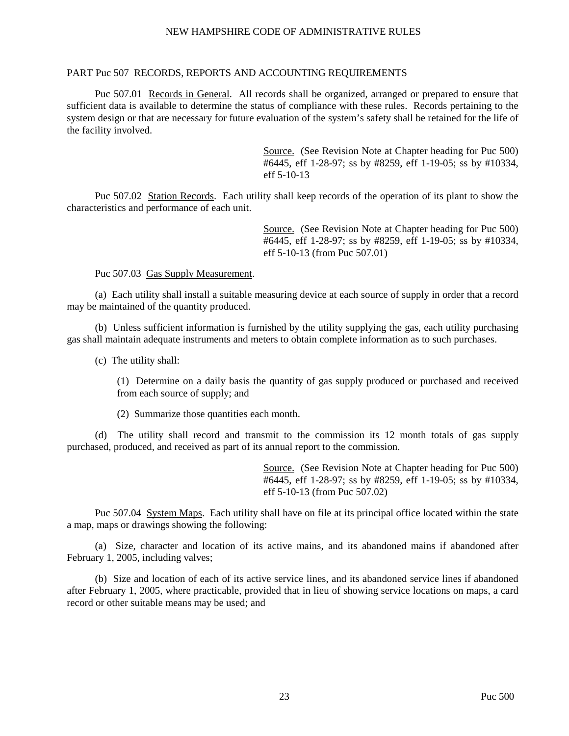#### PART Puc 507 RECORDS, REPORTS AND ACCOUNTING REQUIREMENTS

Puc 507.01 Records in General. All records shall be organized, arranged or prepared to ensure that sufficient data is available to determine the status of compliance with these rules. Records pertaining to the system design or that are necessary for future evaluation of the system's safety shall be retained for the life of the facility involved.

> Source. (See Revision Note at Chapter heading for Puc 500) #6445, eff 1-28-97; ss by #8259, eff 1-19-05; ss by #10334, eff 5-10-13

Puc 507.02 Station Records. Each utility shall keep records of the operation of its plant to show the characteristics and performance of each unit.

> Source. (See Revision Note at Chapter heading for Puc 500) #6445, eff 1-28-97; ss by #8259, eff 1-19-05; ss by #10334, eff 5-10-13 (from Puc 507.01)

Puc 507.03 Gas Supply Measurement.

(a) Each utility shall install a suitable measuring device at each source of supply in order that a record may be maintained of the quantity produced.

(b) Unless sufficient information is furnished by the utility supplying the gas, each utility purchasing gas shall maintain adequate instruments and meters to obtain complete information as to such purchases.

(c) The utility shall:

(1) Determine on a daily basis the quantity of gas supply produced or purchased and received from each source of supply; and

(2) Summarize those quantities each month.

(d) The utility shall record and transmit to the commission its 12 month totals of gas supply purchased, produced, and received as part of its annual report to the commission.

> Source. (See Revision Note at Chapter heading for Puc 500) #6445, eff 1-28-97; ss by #8259, eff 1-19-05; ss by #10334, eff 5-10-13 (from Puc 507.02)

Puc 507.04 System Maps. Each utility shall have on file at its principal office located within the state a map, maps or drawings showing the following:

(a) Size, character and location of its active mains, and its abandoned mains if abandoned after February 1, 2005, including valves;

(b) Size and location of each of its active service lines, and its abandoned service lines if abandoned after February 1, 2005, where practicable, provided that in lieu of showing service locations on maps, a card record or other suitable means may be used; and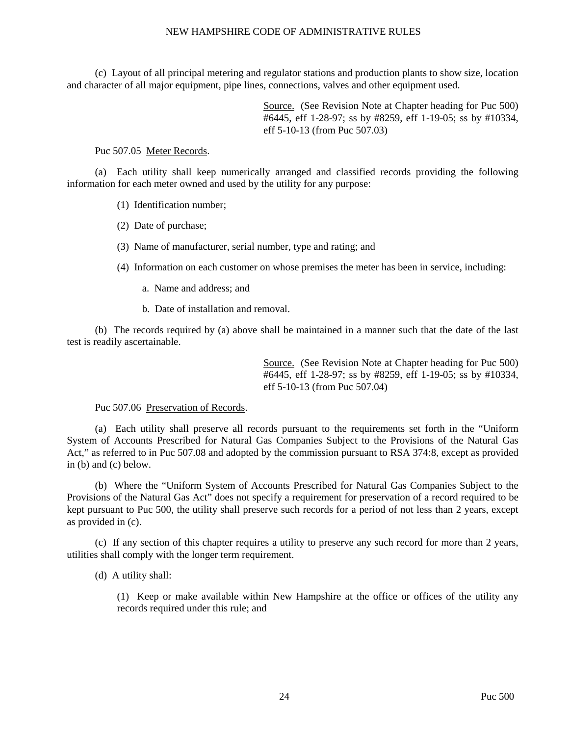(c) Layout of all principal metering and regulator stations and production plants to show size, location and character of all major equipment, pipe lines, connections, valves and other equipment used.

> Source. (See Revision Note at Chapter heading for Puc 500) #6445, eff 1-28-97; ss by #8259, eff 1-19-05; ss by #10334, eff 5-10-13 (from Puc 507.03)

Puc 507.05 Meter Records.

(a) Each utility shall keep numerically arranged and classified records providing the following information for each meter owned and used by the utility for any purpose:

(1) Identification number;

(2) Date of purchase;

- (3) Name of manufacturer, serial number, type and rating; and
- (4) Information on each customer on whose premises the meter has been in service, including:
	- a. Name and address; and
	- b. Date of installation and removal.

(b) The records required by (a) above shall be maintained in a manner such that the date of the last test is readily ascertainable.

> Source. (See Revision Note at Chapter heading for Puc 500) #6445, eff 1-28-97; ss by #8259, eff 1-19-05; ss by #10334, eff 5-10-13 (from Puc 507.04)

Puc 507.06 Preservation of Records.

(a) Each utility shall preserve all records pursuant to the requirements set forth in the "Uniform System of Accounts Prescribed for Natural Gas Companies Subject to the Provisions of the Natural Gas Act," as referred to in Puc 507.08 and adopted by the commission pursuant to RSA 374:8, except as provided in (b) and (c) below.

(b) Where the "Uniform System of Accounts Prescribed for Natural Gas Companies Subject to the Provisions of the Natural Gas Act" does not specify a requirement for preservation of a record required to be kept pursuant to Puc 500, the utility shall preserve such records for a period of not less than 2 years, except as provided in (c).

(c) If any section of this chapter requires a utility to preserve any such record for more than 2 years, utilities shall comply with the longer term requirement.

(d) A utility shall:

(1) Keep or make available within New Hampshire at the office or offices of the utility any records required under this rule; and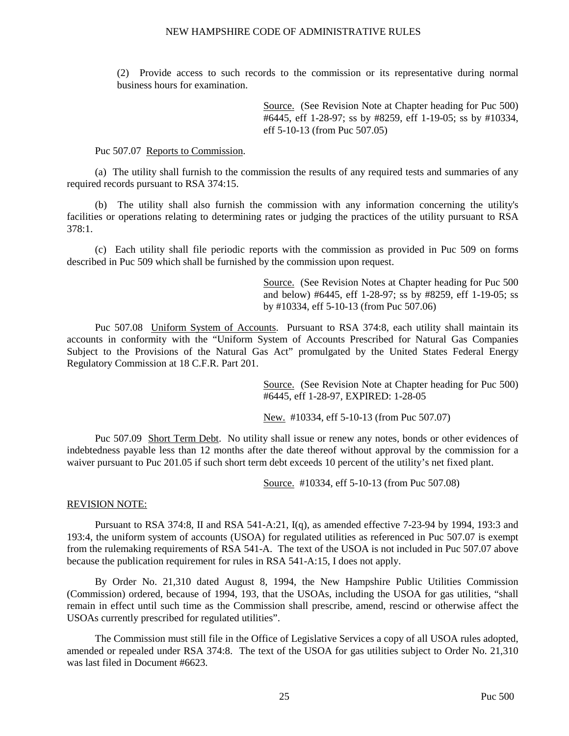(2) Provide access to such records to the commission or its representative during normal business hours for examination.

> Source. (See Revision Note at Chapter heading for Puc 500) #6445, eff 1-28-97; ss by #8259, eff 1-19-05; ss by #10334, eff 5-10-13 (from Puc 507.05)

Puc 507.07 Reports to Commission.

(a) The utility shall furnish to the commission the results of any required tests and summaries of any required records pursuant to RSA 374:15.

(b) The utility shall also furnish the commission with any information concerning the utility's facilities or operations relating to determining rates or judging the practices of the utility pursuant to RSA 378:1.

(c) Each utility shall file periodic reports with the commission as provided in Puc 509 on forms described in Puc 509 which shall be furnished by the commission upon request.

> Source. (See Revision Notes at Chapter heading for Puc 500 and below) #6445, eff 1-28-97; ss by #8259, eff 1-19-05; ss by #10334, eff 5-10-13 (from Puc 507.06)

Puc 507.08 Uniform System of Accounts. Pursuant to RSA 374:8, each utility shall maintain its accounts in conformity with the "Uniform System of Accounts Prescribed for Natural Gas Companies Subject to the Provisions of the Natural Gas Act" promulgated by the United States Federal Energy Regulatory Commission at 18 C.F.R. Part 201.

> Source. (See Revision Note at Chapter heading for Puc 500) #6445, eff 1-28-97, EXPIRED: 1-28-05

New. #10334, eff 5-10-13 (from Puc 507.07)

Puc 507.09 Short Term Debt. No utility shall issue or renew any notes, bonds or other evidences of indebtedness payable less than 12 months after the date thereof without approval by the commission for a waiver pursuant to Puc 201.05 if such short term debt exceeds 10 percent of the utility's net fixed plant.

Source. #10334, eff 5-10-13 (from Puc 507.08)

## REVISION NOTE:

Pursuant to RSA 374:8, II and RSA 541-A:21, I(q), as amended effective 7-23-94 by 1994, 193:3 and 193:4, the uniform system of accounts (USOA) for regulated utilities as referenced in Puc 507.07 is exempt from the rulemaking requirements of RSA 541-A. The text of the USOA is not included in Puc 507.07 above because the publication requirement for rules in RSA 541-A:15, I does not apply.

By Order No. 21,310 dated August 8, 1994, the New Hampshire Public Utilities Commission (Commission) ordered, because of 1994, 193, that the USOAs, including the USOA for gas utilities, "shall remain in effect until such time as the Commission shall prescribe, amend, rescind or otherwise affect the USOAs currently prescribed for regulated utilities".

The Commission must still file in the Office of Legislative Services a copy of all USOA rules adopted, amended or repealed under RSA 374:8. The text of the USOA for gas utilities subject to Order No. 21,310 was last filed in Document #6623.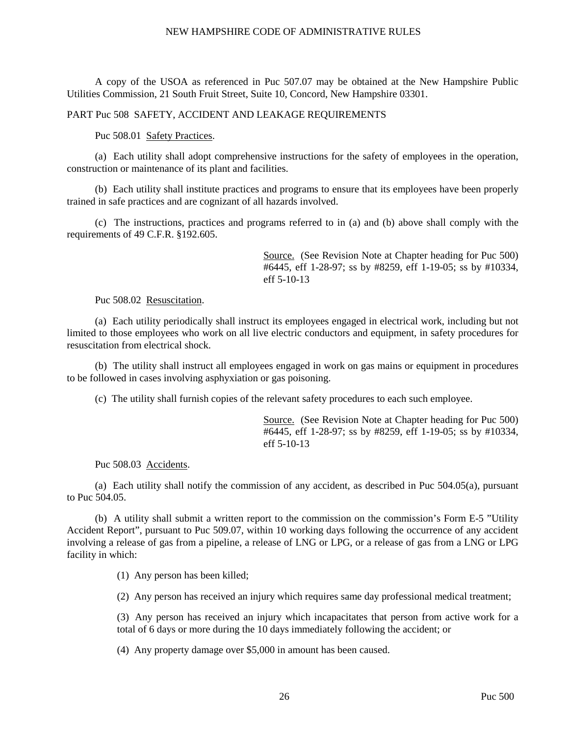A copy of the USOA as referenced in Puc 507.07 may be obtained at the New Hampshire Public Utilities Commission, 21 South Fruit Street, Suite 10, Concord, New Hampshire 03301.

PART Puc 508 SAFETY, ACCIDENT AND LEAKAGE REQUIREMENTS

Puc 508.01 Safety Practices.

(a) Each utility shall adopt comprehensive instructions for the safety of employees in the operation, construction or maintenance of its plant and facilities.

(b) Each utility shall institute practices and programs to ensure that its employees have been properly trained in safe practices and are cognizant of all hazards involved.

(c) The instructions, practices and programs referred to in (a) and (b) above shall comply with the requirements of 49 C.F.R. §192.605.

> Source. (See Revision Note at Chapter heading for Puc 500) #6445, eff 1-28-97; ss by #8259, eff 1-19-05; ss by #10334, eff 5-10-13

Puc 508.02 Resuscitation.

(a) Each utility periodically shall instruct its employees engaged in electrical work, including but not limited to those employees who work on all live electric conductors and equipment, in safety procedures for resuscitation from electrical shock.

(b) The utility shall instruct all employees engaged in work on gas mains or equipment in procedures to be followed in cases involving asphyxiation or gas poisoning.

(c) The utility shall furnish copies of the relevant safety procedures to each such employee.

Source. (See Revision Note at Chapter heading for Puc 500) #6445, eff 1-28-97; ss by #8259, eff 1-19-05; ss by #10334, eff 5-10-13

Puc 508.03 Accidents.

(a) Each utility shall notify the commission of any accident, as described in Puc 504.05(a), pursuant to Puc 504.05.

(b) A utility shall submit a written report to the commission on the commission's Form E-5 "Utility Accident Report", pursuant to Puc 509.07, within 10 working days following the occurrence of any accident involving a release of gas from a pipeline, a release of LNG or LPG, or a release of gas from a LNG or LPG facility in which:

(1) Any person has been killed;

(2) Any person has received an injury which requires same day professional medical treatment;

(3) Any person has received an injury which incapacitates that person from active work for a total of 6 days or more during the 10 days immediately following the accident; or

(4) Any property damage over \$5,000 in amount has been caused.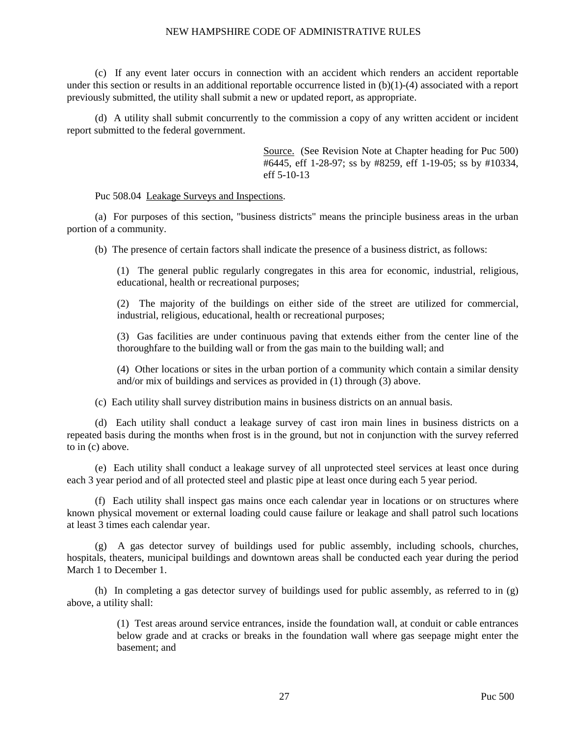(c) If any event later occurs in connection with an accident which renders an accident reportable under this section or results in an additional reportable occurrence listed in (b)(1)-(4) associated with a report previously submitted, the utility shall submit a new or updated report, as appropriate.

(d) A utility shall submit concurrently to the commission a copy of any written accident or incident report submitted to the federal government.

> Source. (See Revision Note at Chapter heading for Puc 500) #6445, eff 1-28-97; ss by #8259, eff 1-19-05; ss by #10334, eff 5-10-13

Puc 508.04 Leakage Surveys and Inspections.

(a) For purposes of this section, "business districts" means the principle business areas in the urban portion of a community.

(b) The presence of certain factors shall indicate the presence of a business district, as follows:

(1) The general public regularly congregates in this area for economic, industrial, religious, educational, health or recreational purposes;

(2) The majority of the buildings on either side of the street are utilized for commercial, industrial, religious, educational, health or recreational purposes;

(3) Gas facilities are under continuous paving that extends either from the center line of the thoroughfare to the building wall or from the gas main to the building wall; and

(4) Other locations or sites in the urban portion of a community which contain a similar density and/or mix of buildings and services as provided in (1) through (3) above.

(c) Each utility shall survey distribution mains in business districts on an annual basis.

(d) Each utility shall conduct a leakage survey of cast iron main lines in business districts on a repeated basis during the months when frost is in the ground, but not in conjunction with the survey referred to in (c) above.

(e) Each utility shall conduct a leakage survey of all unprotected steel services at least once during each 3 year period and of all protected steel and plastic pipe at least once during each 5 year period.

(f) Each utility shall inspect gas mains once each calendar year in locations or on structures where known physical movement or external loading could cause failure or leakage and shall patrol such locations at least 3 times each calendar year.

(g) A gas detector survey of buildings used for public assembly, including schools, churches, hospitals, theaters, municipal buildings and downtown areas shall be conducted each year during the period March 1 to December 1.

(h) In completing a gas detector survey of buildings used for public assembly, as referred to in (g) above, a utility shall:

> (1) Test areas around service entrances, inside the foundation wall, at conduit or cable entrances below grade and at cracks or breaks in the foundation wall where gas seepage might enter the basement; and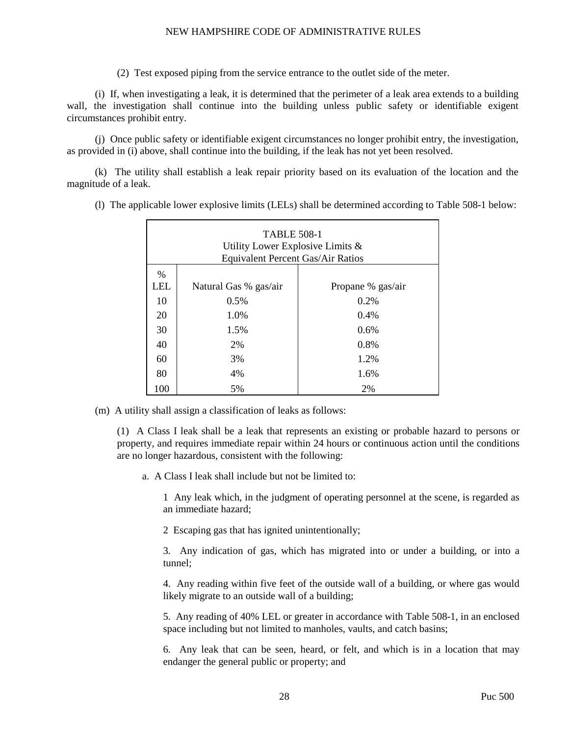(2) Test exposed piping from the service entrance to the outlet side of the meter.

(i) If, when investigating a leak, it is determined that the perimeter of a leak area extends to a building wall, the investigation shall continue into the building unless public safety or identifiable exigent circumstances prohibit entry.

(j) Once public safety or identifiable exigent circumstances no longer prohibit entry, the investigation, as provided in (i) above, shall continue into the building, if the leak has not yet been resolved.

(k) The utility shall establish a leak repair priority based on its evaluation of the location and the magnitude of a leak.

| <b>TABLE 508-1</b><br>Utility Lower Explosive Limits $\&$<br>Equivalent Percent Gas/Air Ratios |                       |                   |  |  |
|------------------------------------------------------------------------------------------------|-----------------------|-------------------|--|--|
| $\%$                                                                                           |                       |                   |  |  |
| <b>LEL</b>                                                                                     | Natural Gas % gas/air | Propane % gas/air |  |  |
| 10                                                                                             | 0.5%                  | 0.2%              |  |  |
| 20                                                                                             | 1.0%                  | 0.4%              |  |  |
| 30                                                                                             | 1.5%                  | 0.6%              |  |  |
| 40                                                                                             | 2%                    | 0.8%              |  |  |
| 60                                                                                             | 3%                    | 1.2%              |  |  |
| 80                                                                                             | 4%                    | 1.6%              |  |  |
| 100                                                                                            | 5%                    | 2%                |  |  |

(l) The applicable lower explosive limits (LELs) shall be determined according to Table 508-1 below:

(m) A utility shall assign a classification of leaks as follows:

(1) A Class I leak shall be a leak that represents an existing or probable hazard to persons or property, and requires immediate repair within 24 hours or continuous action until the conditions are no longer hazardous, consistent with the following:

a. A Class I leak shall include but not be limited to:

1 Any leak which, in the judgment of operating personnel at the scene, is regarded as an immediate hazard;

2 Escaping gas that has ignited unintentionally;

3. Any indication of gas, which has migrated into or under a building, or into a tunnel;

4. Any reading within five feet of the outside wall of a building, or where gas would likely migrate to an outside wall of a building;

5. Any reading of 40% LEL or greater in accordance with Table 508-1, in an enclosed space including but not limited to manholes, vaults, and catch basins;

6. Any leak that can be seen, heard, or felt, and which is in a location that may endanger the general public or property; and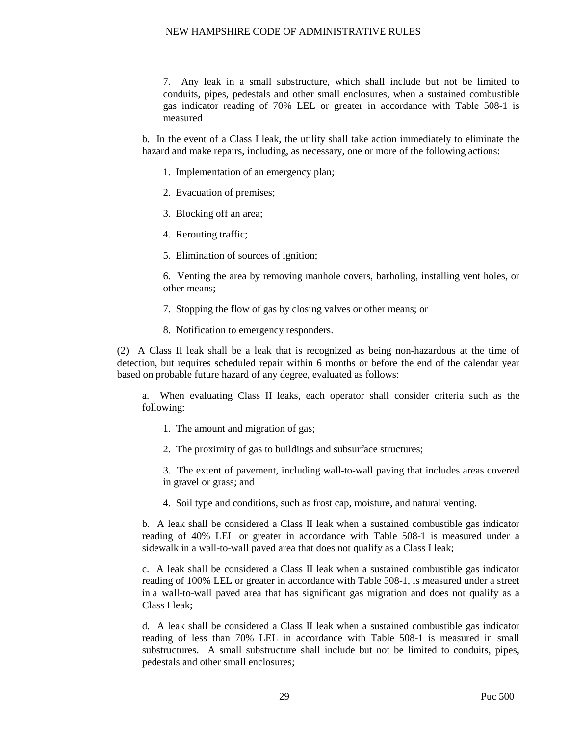7. Any leak in a small substructure, which shall include but not be limited to conduits, pipes, pedestals and other small enclosures, when a sustained combustible gas indicator reading of 70% LEL or greater in accordance with Table 508-1 is measured

b. In the event of a Class I leak, the utility shall take action immediately to eliminate the hazard and make repairs, including, as necessary, one or more of the following actions:

- 1. Implementation of an emergency plan;
- 2. Evacuation of premises;
- 3. Blocking off an area;
- 4. Rerouting traffic;
- 5. Elimination of sources of ignition;

6. Venting the area by removing manhole covers, barholing, installing vent holes, or other means;

- 7. Stopping the flow of gas by closing valves or other means; or
- 8. Notification to emergency responders.

(2) A Class II leak shall be a leak that is recognized as being non-hazardous at the time of detection, but requires scheduled repair within 6 months or before the end of the calendar year based on probable future hazard of any degree, evaluated as follows:

a. When evaluating Class II leaks, each operator shall consider criteria such as the following:

- 1. The amount and migration of gas;
- 2. The proximity of gas to buildings and subsurface structures;

3. The extent of pavement, including wall-to-wall paving that includes areas covered in gravel or grass; and

4. Soil type and conditions, such as frost cap, moisture, and natural venting.

b. A leak shall be considered a Class II leak when a sustained combustible gas indicator reading of 40% LEL or greater in accordance with Table 508-1 is measured under a sidewalk in a wall-to-wall paved area that does not qualify as a Class I leak;

c. A leak shall be considered a Class II leak when a sustained combustible gas indicator reading of 100% LEL or greater in accordance with Table 508-1, is measured under a street in a wall-to-wall paved area that has significant gas migration and does not qualify as a Class I leak;

d. A leak shall be considered a Class II leak when a sustained combustible gas indicator reading of less than 70% LEL in accordance with Table 508-1 is measured in small substructures. A small substructure shall include but not be limited to conduits, pipes, pedestals and other small enclosures;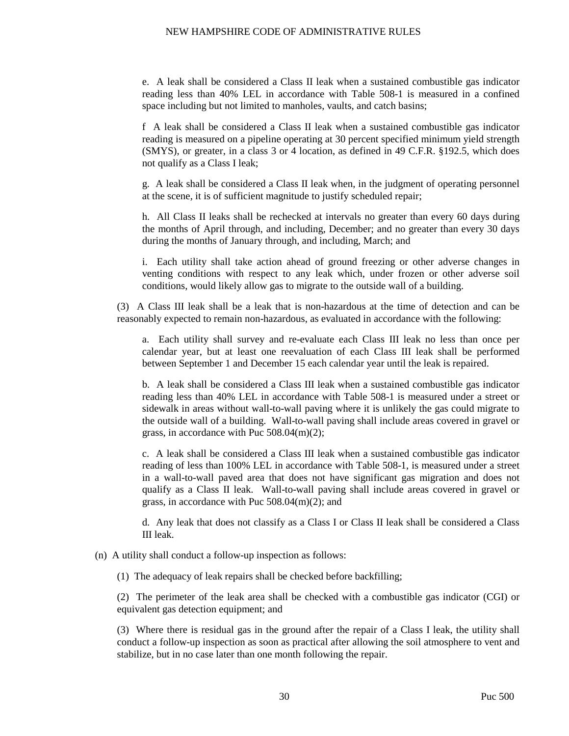e. A leak shall be considered a Class II leak when a sustained combustible gas indicator reading less than 40% LEL in accordance with Table 508-1 is measured in a confined space including but not limited to manholes, vaults, and catch basins;

f A leak shall be considered a Class II leak when a sustained combustible gas indicator reading is measured on a pipeline operating at 30 percent specified minimum yield strength (SMYS), or greater, in a class 3 or 4 location, as defined in 49 C.F.R. §192.5, which does not qualify as a Class I leak;

g. A leak shall be considered a Class II leak when, in the judgment of operating personnel at the scene, it is of sufficient magnitude to justify scheduled repair;

h. All Class II leaks shall be rechecked at intervals no greater than every 60 days during the months of April through, and including, December; and no greater than every 30 days during the months of January through, and including, March; and

i. Each utility shall take action ahead of ground freezing or other adverse changes in venting conditions with respect to any leak which, under frozen or other adverse soil conditions, would likely allow gas to migrate to the outside wall of a building.

(3) A Class III leak shall be a leak that is non-hazardous at the time of detection and can be reasonably expected to remain non-hazardous, as evaluated in accordance with the following:

a. Each utility shall survey and re-evaluate each Class III leak no less than once per calendar year, but at least one reevaluation of each Class III leak shall be performed between September 1 and December 15 each calendar year until the leak is repaired.

b. A leak shall be considered a Class III leak when a sustained combustible gas indicator reading less than 40% LEL in accordance with Table 508-1 is measured under a street or sidewalk in areas without wall-to-wall paving where it is unlikely the gas could migrate to the outside wall of a building. Wall-to-wall paving shall include areas covered in gravel or grass, in accordance with Puc 508.04(m)(2);

c. A leak shall be considered a Class III leak when a sustained combustible gas indicator reading of less than 100% LEL in accordance with Table 508-1, is measured under a street in a wall-to-wall paved area that does not have significant gas migration and does not qualify as a Class II leak. Wall-to-wall paving shall include areas covered in gravel or grass, in accordance with Puc 508.04(m)(2); and

d. Any leak that does not classify as a Class I or Class II leak shall be considered a Class III leak.

(n) A utility shall conduct a follow-up inspection as follows:

(1) The adequacy of leak repairs shall be checked before backfilling;

(2) The perimeter of the leak area shall be checked with a combustible gas indicator (CGI) or equivalent gas detection equipment; and

(3) Where there is residual gas in the ground after the repair of a Class I leak, the utility shall conduct a follow-up inspection as soon as practical after allowing the soil atmosphere to vent and stabilize, but in no case later than one month following the repair.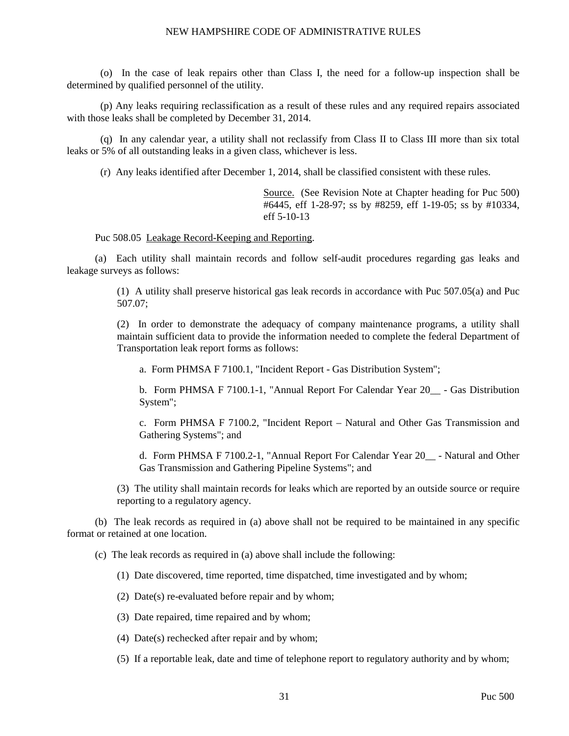(o) In the case of leak repairs other than Class I, the need for a follow-up inspection shall be determined by qualified personnel of the utility.

(p) Any leaks requiring reclassification as a result of these rules and any required repairs associated with those leaks shall be completed by December 31, 2014.

(q) In any calendar year, a utility shall not reclassify from Class II to Class III more than six total leaks or 5% of all outstanding leaks in a given class, whichever is less.

(r) Any leaks identified after December 1, 2014, shall be classified consistent with these rules.

Source. (See Revision Note at Chapter heading for Puc 500) #6445, eff 1-28-97; ss by #8259, eff 1-19-05; ss by #10334, eff 5-10-13

#### Puc 508.05 Leakage Record-Keeping and Reporting.

(a) Each utility shall maintain records and follow self-audit procedures regarding gas leaks and leakage surveys as follows:

> (1) A utility shall preserve historical gas leak records in accordance with Puc 507.05(a) and Puc 507.07;

> (2) In order to demonstrate the adequacy of company maintenance programs, a utility shall maintain sufficient data to provide the information needed to complete the federal Department of Transportation leak report forms as follows:

a. Form PHMSA F 7100.1, "Incident Report - Gas Distribution System";

b. Form PHMSA F 7100.1-1, "Annual Report For Calendar Year 20\_\_ - Gas Distribution System";

c. Form PHMSA F 7100.2, "Incident Report – Natural and Other Gas Transmission and Gathering Systems"; and

d. Form PHMSA F 7100.2-1, "Annual Report For Calendar Year 20\_\_ - Natural and Other Gas Transmission and Gathering Pipeline Systems"; and

(3) The utility shall maintain records for leaks which are reported by an outside source or require reporting to a regulatory agency.

(b) The leak records as required in (a) above shall not be required to be maintained in any specific format or retained at one location.

(c) The leak records as required in (a) above shall include the following:

(1) Date discovered, time reported, time dispatched, time investigated and by whom;

(2) Date(s) re-evaluated before repair and by whom;

(3) Date repaired, time repaired and by whom;

(4) Date(s) rechecked after repair and by whom;

(5) If a reportable leak, date and time of telephone report to regulatory authority and by whom;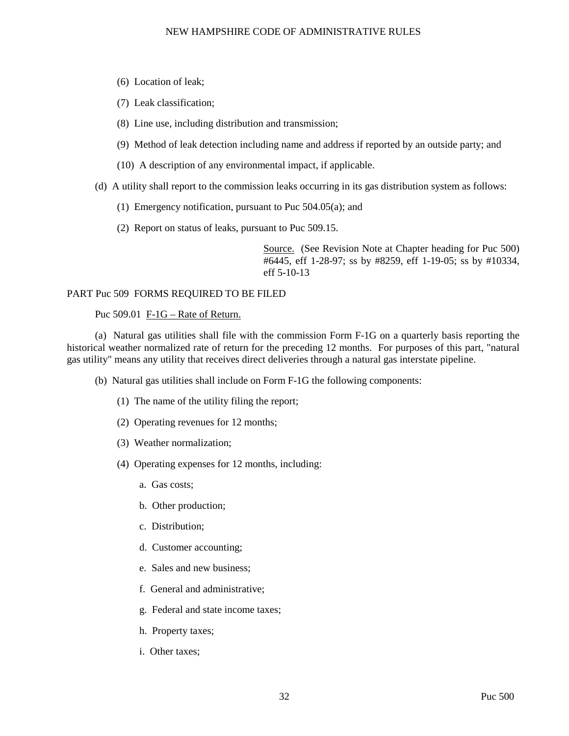- (6) Location of leak;
- (7) Leak classification;
- (8) Line use, including distribution and transmission;
- (9) Method of leak detection including name and address if reported by an outside party; and
- (10) A description of any environmental impact, if applicable.
- (d) A utility shall report to the commission leaks occurring in its gas distribution system as follows:
	- (1) Emergency notification, pursuant to Puc 504.05(a); and
	- (2) Report on status of leaks, pursuant to Puc 509.15.

Source. (See Revision Note at Chapter heading for Puc 500) #6445, eff 1-28-97; ss by #8259, eff 1-19-05; ss by #10334, eff 5-10-13

### PART Puc 509 FORMS REQUIRED TO BE FILED

Puc 509.01 F-1G – Rate of Return.

(a) Natural gas utilities shall file with the commission Form F-1G on a quarterly basis reporting the historical weather normalized rate of return for the preceding 12 months. For purposes of this part, "natural gas utility" means any utility that receives direct deliveries through a natural gas interstate pipeline.

- (b) Natural gas utilities shall include on Form F-1G the following components:
	- (1) The name of the utility filing the report;
	- (2) Operating revenues for 12 months;
	- (3) Weather normalization;
	- (4) Operating expenses for 12 months, including:
		- a. Gas costs;
		- b. Other production;
		- c. Distribution;
		- d. Customer accounting;
		- e. Sales and new business;
		- f. General and administrative;
		- g. Federal and state income taxes;
		- h. Property taxes;
		- i. Other taxes;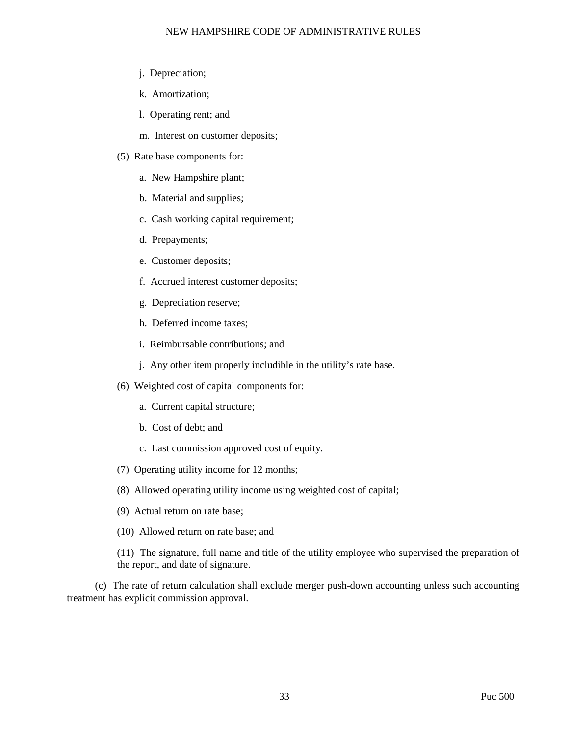- j. Depreciation;
- k. Amortization;
- l. Operating rent; and
- m. Interest on customer deposits;
- (5) Rate base components for:
	- a. New Hampshire plant;
	- b. Material and supplies;
	- c. Cash working capital requirement;
	- d. Prepayments;
	- e. Customer deposits;
	- f. Accrued interest customer deposits;
	- g. Depreciation reserve;
	- h. Deferred income taxes;
	- i. Reimbursable contributions; and
	- j. Any other item properly includible in the utility's rate base.
- (6) Weighted cost of capital components for:
	- a. Current capital structure;
	- b. Cost of debt; and
	- c. Last commission approved cost of equity.
- (7) Operating utility income for 12 months;
- (8) Allowed operating utility income using weighted cost of capital;
- (9) Actual return on rate base;
- (10) Allowed return on rate base; and

(11) The signature, full name and title of the utility employee who supervised the preparation of the report, and date of signature.

(c) The rate of return calculation shall exclude merger push-down accounting unless such accounting treatment has explicit commission approval.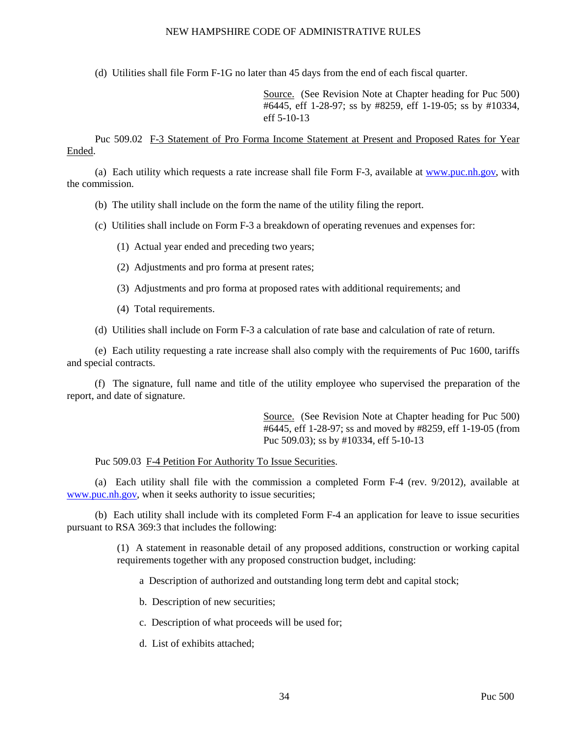(d) Utilities shall file Form F-1G no later than 45 days from the end of each fiscal quarter.

Source. (See Revision Note at Chapter heading for Puc 500) #6445, eff 1-28-97; ss by #8259, eff 1-19-05; ss by #10334, eff 5-10-13

Puc 509.02 F-3 Statement of Pro Forma Income Statement at Present and Proposed Rates for Year Ended.

(a) Each utility which requests a rate increase shall file Form F-3, available at [www.puc.nh.gov,](http://www.puc.nh.gov/forms) with the commission.

(b) The utility shall include on the form the name of the utility filing the report.

(c) Utilities shall include on Form F-3 a breakdown of operating revenues and expenses for:

(1) Actual year ended and preceding two years;

(2) Adjustments and pro forma at present rates;

- (3) Adjustments and pro forma at proposed rates with additional requirements; and
- (4) Total requirements.

(d) Utilities shall include on Form F-3 a calculation of rate base and calculation of rate of return.

(e) Each utility requesting a rate increase shall also comply with the requirements of Puc 1600, tariffs and special contracts.

(f) The signature, full name and title of the utility employee who supervised the preparation of the report, and date of signature.

> Source. (See Revision Note at Chapter heading for Puc 500) #6445, eff 1-28-97; ss and moved by #8259, eff 1-19-05 (from Puc 509.03); ss by #10334, eff 5-10-13

#### Puc 509.03 F-4 Petition For Authority To Issue Securities.

(a) Each utility shall file with the commission a completed Form F-4 (rev. 9/2012), available at [www.puc.nh.gov,](http://www.puc.nh.gov/forms) when it seeks authority to issue securities;

(b) Each utility shall include with its completed Form F-4 an application for leave to issue securities pursuant to RSA 369:3 that includes the following:

> (1) A statement in reasonable detail of any proposed additions, construction or working capital requirements together with any proposed construction budget, including:

a Description of authorized and outstanding long term debt and capital stock;

b. Description of new securities;

c. Description of what proceeds will be used for;

d. List of exhibits attached;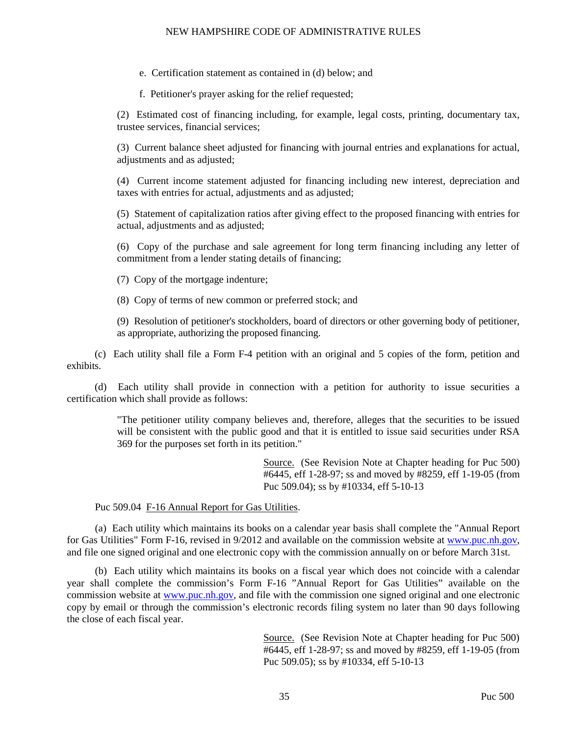- e. Certification statement as contained in (d) below; and
- f. Petitioner's prayer asking for the relief requested;

(2) Estimated cost of financing including, for example, legal costs, printing, documentary tax, trustee services, financial services;

(3) Current balance sheet adjusted for financing with journal entries and explanations for actual, adjustments and as adjusted:

(4) Current income statement adjusted for financing including new interest, depreciation and taxes with entries for actual, adjustments and as adjusted;

(5) Statement of capitalization ratios after giving effect to the proposed financing with entries for actual, adjustments and as adjusted;

(6) Copy of the purchase and sale agreement for long term financing including any letter of commitment from a lender stating details of financing;

(7) Copy of the mortgage indenture;

(8) Copy of terms of new common or preferred stock; and

(9) Resolution of petitioner's stockholders, board of directors or other governing body of petitioner, as appropriate, authorizing the proposed financing.

(c) Each utility shall file a Form F-4 petition with an original and 5 copies of the form, petition and exhibits.

(d) Each utility shall provide in connection with a petition for authority to issue securities a certification which shall provide as follows:

> "The petitioner utility company believes and, therefore, alleges that the securities to be issued will be consistent with the public good and that it is entitled to issue said securities under RSA 369 for the purposes set forth in its petition."

> > Source. (See Revision Note at Chapter heading for Puc 500) #6445, eff 1-28-97; ss and moved by #8259, eff 1-19-05 (from Puc 509.04); ss by #10334, eff 5-10-13

#### Puc 509.04 F-16 Annual Report for Gas Utilities.

(a) Each utility which maintains its books on a calendar year basis shall complete the "Annual Report for Gas Utilities" Form F-16, revised in 9/2012 and available on the commission website at [www.puc.nh.gov,](http://www.puc.nh.gov/) and file one signed original and one electronic copy with the commission annually on or before March 31st.

(b) Each utility which maintains its books on a fiscal year which does not coincide with a calendar year shall complete the commission's Form F-16 "Annual Report for Gas Utilities" available on the commission website at [www.puc.nh.gov,](http://www.puc.nh.gov/) and file with the commission one signed original and one electronic copy by email or through the commission's electronic records filing system no later than 90 days following the close of each fiscal year.

> Source. (See Revision Note at Chapter heading for Puc 500) #6445, eff 1-28-97; ss and moved by #8259, eff 1-19-05 (from Puc 509.05); ss by #10334, eff 5-10-13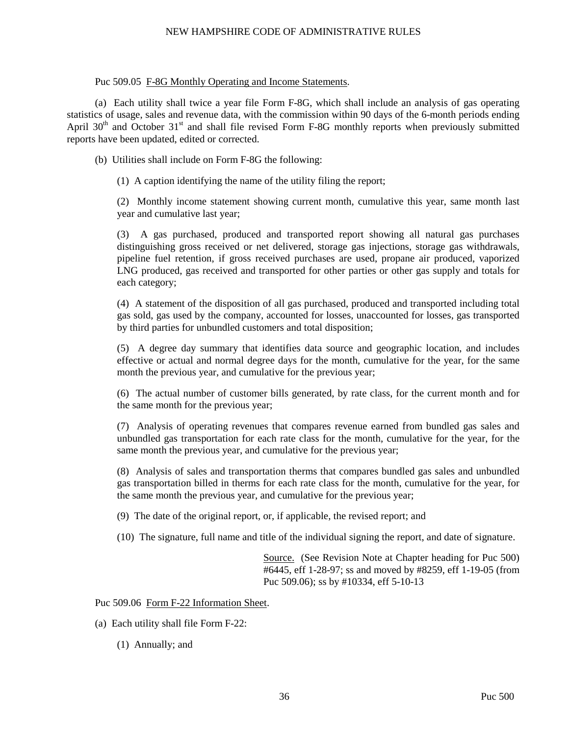#### Puc 509.05 F-8G Monthly Operating and Income Statements.

(a) Each utility shall twice a year file Form F-8G, which shall include an analysis of gas operating statistics of usage, sales and revenue data, with the commission within 90 days of the 6-month periods ending April  $30<sup>th</sup>$  and October  $31<sup>st</sup>$  and shall file revised Form F-8G monthly reports when previously submitted reports have been updated, edited or corrected.

(b) Utilities shall include on Form F-8G the following:

(1) A caption identifying the name of the utility filing the report;

(2) Monthly income statement showing current month, cumulative this year, same month last year and cumulative last year;

(3) A gas purchased, produced and transported report showing all natural gas purchases distinguishing gross received or net delivered, storage gas injections, storage gas withdrawals, pipeline fuel retention, if gross received purchases are used, propane air produced, vaporized LNG produced, gas received and transported for other parties or other gas supply and totals for each category;

(4) A statement of the disposition of all gas purchased, produced and transported including total gas sold, gas used by the company, accounted for losses, unaccounted for losses, gas transported by third parties for unbundled customers and total disposition;

(5) A degree day summary that identifies data source and geographic location, and includes effective or actual and normal degree days for the month, cumulative for the year, for the same month the previous year, and cumulative for the previous year;

(6) The actual number of customer bills generated, by rate class, for the current month and for the same month for the previous year;

(7) Analysis of operating revenues that compares revenue earned from bundled gas sales and unbundled gas transportation for each rate class for the month, cumulative for the year, for the same month the previous year, and cumulative for the previous year;

(8) Analysis of sales and transportation therms that compares bundled gas sales and unbundled gas transportation billed in therms for each rate class for the month, cumulative for the year, for the same month the previous year, and cumulative for the previous year;

(9) The date of the original report, or, if applicable, the revised report; and

(10) The signature, full name and title of the individual signing the report, and date of signature.

Source. (See Revision Note at Chapter heading for Puc 500) #6445, eff 1-28-97; ss and moved by #8259, eff 1-19-05 (from Puc 509.06); ss by #10334, eff 5-10-13

Puc 509.06 Form F-22 Information Sheet.

(a) Each utility shall file Form F-22:

(1) Annually; and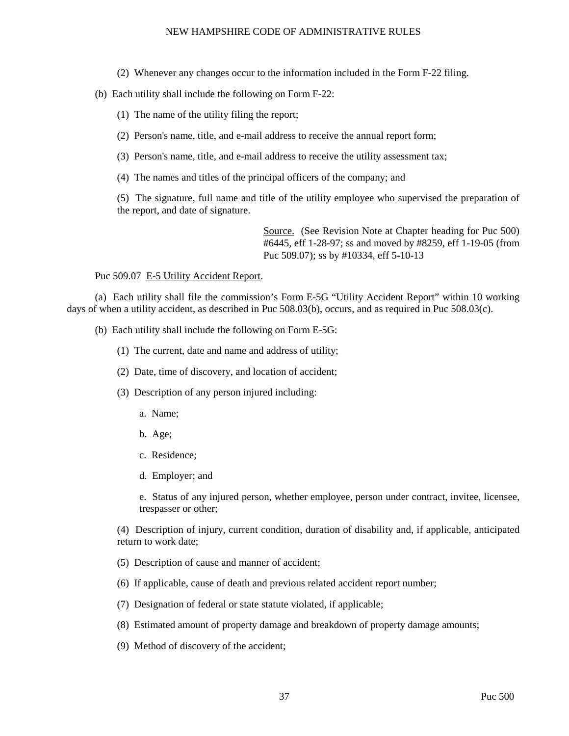- (2) Whenever any changes occur to the information included in the Form F-22 filing.
- (b) Each utility shall include the following on Form F-22:
	- (1) The name of the utility filing the report;

(2) Person's name, title, and e-mail address to receive the annual report form;

- (3) Person's name, title, and e-mail address to receive the utility assessment tax;
- (4) The names and titles of the principal officers of the company; and

(5) The signature, full name and title of the utility employee who supervised the preparation of the report, and date of signature.

> Source. (See Revision Note at Chapter heading for Puc 500) #6445, eff 1-28-97; ss and moved by #8259, eff 1-19-05 (from Puc 509.07); ss by #10334, eff 5-10-13

Puc 509.07 E-5 Utility Accident Report.

(a) Each utility shall file the commission's Form E-5G "Utility Accident Report" within 10 working days of when a utility accident, as described in Puc 508.03(b), occurs, and as required in Puc 508.03(c).

- (b) Each utility shall include the following on Form E-5G:
	- (1) The current, date and name and address of utility;
	- (2) Date, time of discovery, and location of accident;
	- (3) Description of any person injured including:
		- a. Name;
		- b. Age;
		- c. Residence;
		- d. Employer; and

e. Status of any injured person, whether employee, person under contract, invitee, licensee, trespasser or other;

(4) Description of injury, current condition, duration of disability and, if applicable, anticipated return to work date;

(5) Description of cause and manner of accident;

- (6) If applicable, cause of death and previous related accident report number;
- (7) Designation of federal or state statute violated, if applicable;
- (8) Estimated amount of property damage and breakdown of property damage amounts;
- (9) Method of discovery of the accident;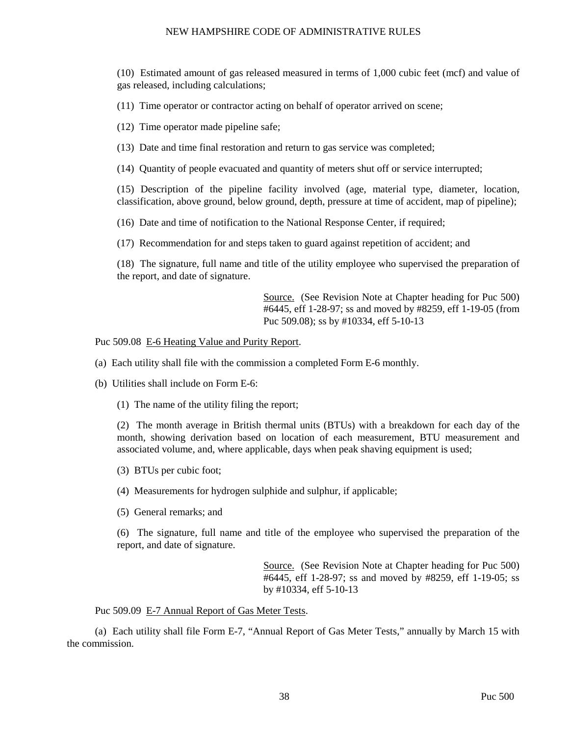(10) Estimated amount of gas released measured in terms of 1,000 cubic feet (mcf) and value of gas released, including calculations;

(11) Time operator or contractor acting on behalf of operator arrived on scene;

(12) Time operator made pipeline safe;

(13) Date and time final restoration and return to gas service was completed;

(14) Quantity of people evacuated and quantity of meters shut off or service interrupted;

(15) Description of the pipeline facility involved (age, material type, diameter, location, classification, above ground, below ground, depth, pressure at time of accident, map of pipeline);

(16) Date and time of notification to the National Response Center, if required;

(17) Recommendation for and steps taken to guard against repetition of accident; and

(18) The signature, full name and title of the utility employee who supervised the preparation of the report, and date of signature.

> Source. (See Revision Note at Chapter heading for Puc 500) #6445, eff 1-28-97; ss and moved by #8259, eff 1-19-05 (from Puc 509.08); ss by #10334, eff 5-10-13

#### Puc 509.08 E-6 Heating Value and Purity Report.

(a) Each utility shall file with the commission a completed Form E-6 monthly.

(b) Utilities shall include on Form E-6:

(1) The name of the utility filing the report;

(2) The month average in British thermal units (BTUs) with a breakdown for each day of the month, showing derivation based on location of each measurement, BTU measurement and associated volume, and, where applicable, days when peak shaving equipment is used;

(3) BTUs per cubic foot;

(4) Measurements for hydrogen sulphide and sulphur, if applicable;

(5) General remarks; and

(6) The signature, full name and title of the employee who supervised the preparation of the report, and date of signature.

> Source. (See Revision Note at Chapter heading for Puc 500) #6445, eff 1-28-97; ss and moved by #8259, eff 1-19-05; ss by #10334, eff 5-10-13

Puc 509.09 E-7 Annual Report of Gas Meter Tests.

(a) Each utility shall file Form E-7, "Annual Report of Gas Meter Tests," annually by March 15 with the commission.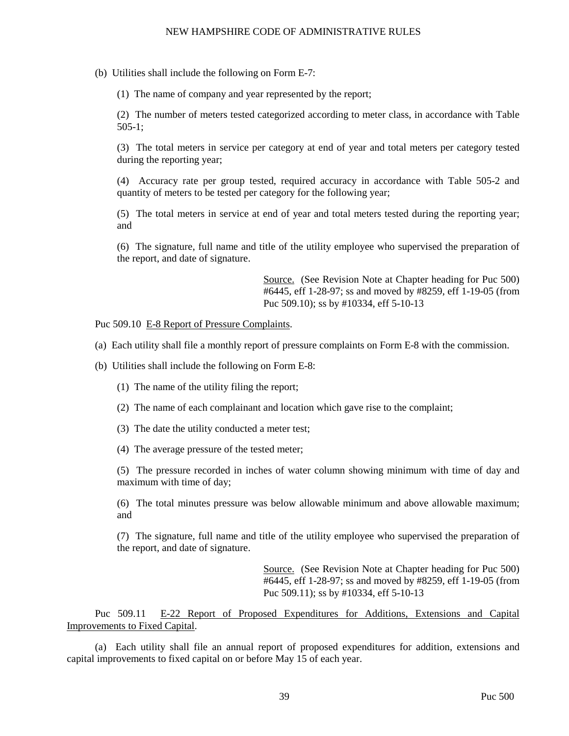(b) Utilities shall include the following on Form E-7:

(1) The name of company and year represented by the report;

(2) The number of meters tested categorized according to meter class, in accordance with Table 505-1;

(3) The total meters in service per category at end of year and total meters per category tested during the reporting year;

(4) Accuracy rate per group tested, required accuracy in accordance with Table 505-2 and quantity of meters to be tested per category for the following year;

(5) The total meters in service at end of year and total meters tested during the reporting year; and

(6) The signature, full name and title of the utility employee who supervised the preparation of the report, and date of signature.

> Source. (See Revision Note at Chapter heading for Puc 500) #6445, eff 1-28-97; ss and moved by #8259, eff 1-19-05 (from Puc 509.10); ss by #10334, eff 5-10-13

Puc 509.10 E-8 Report of Pressure Complaints.

(a) Each utility shall file a monthly report of pressure complaints on Form E-8 with the commission.

(b) Utilities shall include the following on Form E-8:

(1) The name of the utility filing the report;

(2) The name of each complainant and location which gave rise to the complaint;

(3) The date the utility conducted a meter test;

(4) The average pressure of the tested meter;

(5) The pressure recorded in inches of water column showing minimum with time of day and maximum with time of day;

(6) The total minutes pressure was below allowable minimum and above allowable maximum; and

(7) The signature, full name and title of the utility employee who supervised the preparation of the report, and date of signature.

> Source. (See Revision Note at Chapter heading for Puc 500) #6445, eff 1-28-97; ss and moved by #8259, eff 1-19-05 (from Puc 509.11); ss by #10334, eff 5-10-13

Puc 509.11 E-22 Report of Proposed Expenditures for Additions, Extensions and Capital Improvements to Fixed Capital.

(a) Each utility shall file an annual report of proposed expenditures for addition, extensions and capital improvements to fixed capital on or before May 15 of each year.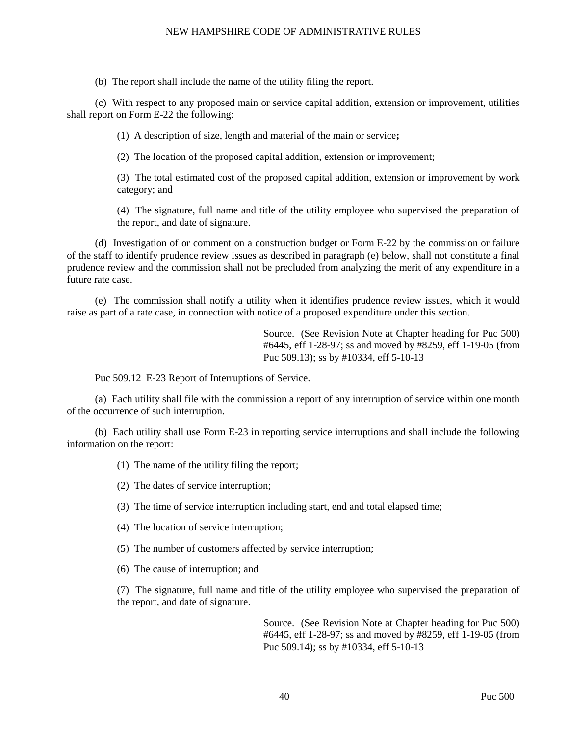(b) The report shall include the name of the utility filing the report.

(c) With respect to any proposed main or service capital addition, extension or improvement, utilities shall report on Form E-22 the following:

(1) A description of size, length and material of the main or service**;**

(2) The location of the proposed capital addition, extension or improvement;

(3) The total estimated cost of the proposed capital addition, extension or improvement by work category; and

(4) The signature, full name and title of the utility employee who supervised the preparation of the report, and date of signature.

(d) Investigation of or comment on a construction budget or Form E-22 by the commission or failure of the staff to identify prudence review issues as described in paragraph (e) below, shall not constitute a final prudence review and the commission shall not be precluded from analyzing the merit of any expenditure in a future rate case.

(e) The commission shall notify a utility when it identifies prudence review issues, which it would raise as part of a rate case, in connection with notice of a proposed expenditure under this section.

> Source. (See Revision Note at Chapter heading for Puc 500) #6445, eff 1-28-97; ss and moved by #8259, eff 1-19-05 (from Puc 509.13); ss by #10334, eff 5-10-13

Puc 509.12 E-23 Report of Interruptions of Service.

(a) Each utility shall file with the commission a report of any interruption of service within one month of the occurrence of such interruption.

(b) Each utility shall use Form E-23 in reporting service interruptions and shall include the following information on the report:

(1) The name of the utility filing the report;

(2) The dates of service interruption;

(3) The time of service interruption including start, end and total elapsed time;

(4) The location of service interruption;

(5) The number of customers affected by service interruption;

(6) The cause of interruption; and

(7) The signature, full name and title of the utility employee who supervised the preparation of the report, and date of signature.

> Source. (See Revision Note at Chapter heading for Puc 500) #6445, eff 1-28-97; ss and moved by #8259, eff 1-19-05 (from Puc 509.14); ss by #10334, eff 5-10-13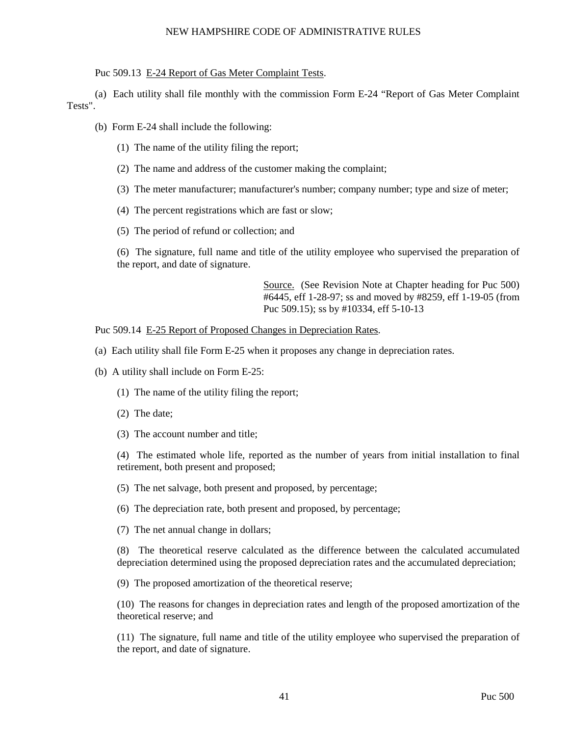Puc 509.13 E-24 Report of Gas Meter Complaint Tests.

(a) Each utility shall file monthly with the commission Form E-24 "Report of Gas Meter Complaint Tests".

- (b) Form E-24 shall include the following:
	- (1) The name of the utility filing the report;
	- (2) The name and address of the customer making the complaint;
	- (3) The meter manufacturer; manufacturer's number; company number; type and size of meter;
	- (4) The percent registrations which are fast or slow;
	- (5) The period of refund or collection; and

(6) The signature, full name and title of the utility employee who supervised the preparation of the report, and date of signature.

> Source. (See Revision Note at Chapter heading for Puc 500) #6445, eff 1-28-97; ss and moved by #8259, eff 1-19-05 (from Puc 509.15); ss by #10334, eff 5-10-13

Puc 509.14 E-25 Report of Proposed Changes in Depreciation Rates.

- (a) Each utility shall file Form E-25 when it proposes any change in depreciation rates.
- (b) A utility shall include on Form E-25:
	- (1) The name of the utility filing the report;
	- (2) The date;
	- (3) The account number and title;

(4) The estimated whole life, reported as the number of years from initial installation to final retirement, both present and proposed;

- (5) The net salvage, both present and proposed, by percentage;
- (6) The depreciation rate, both present and proposed, by percentage;
- (7) The net annual change in dollars;

(8) The theoretical reserve calculated as the difference between the calculated accumulated depreciation determined using the proposed depreciation rates and the accumulated depreciation;

(9) The proposed amortization of the theoretical reserve;

(10) The reasons for changes in depreciation rates and length of the proposed amortization of the theoretical reserve; and

(11) The signature, full name and title of the utility employee who supervised the preparation of the report, and date of signature.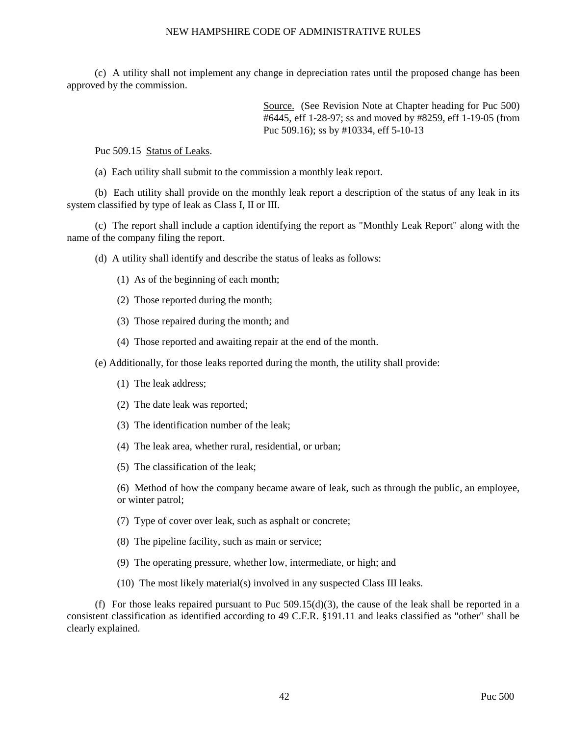(c) A utility shall not implement any change in depreciation rates until the proposed change has been approved by the commission.

> Source. (See Revision Note at Chapter heading for Puc 500) #6445, eff 1-28-97; ss and moved by #8259, eff 1-19-05 (from Puc 509.16); ss by #10334, eff 5-10-13

Puc 509.15 Status of Leaks.

(a) Each utility shall submit to the commission a monthly leak report.

(b) Each utility shall provide on the monthly leak report a description of the status of any leak in its system classified by type of leak as Class I, II or III.

(c) The report shall include a caption identifying the report as "Monthly Leak Report" along with the name of the company filing the report.

- (d) A utility shall identify and describe the status of leaks as follows:
	- (1) As of the beginning of each month;
	- (2) Those reported during the month;
	- (3) Those repaired during the month; and
	- (4) Those reported and awaiting repair at the end of the month.

(e) Additionally, for those leaks reported during the month, the utility shall provide:

- (1) The leak address;
- (2) The date leak was reported;
- (3) The identification number of the leak;
- (4) The leak area, whether rural, residential, or urban;
- (5) The classification of the leak;

(6) Method of how the company became aware of leak, such as through the public, an employee, or winter patrol;

- (7) Type of cover over leak, such as asphalt or concrete;
- (8) The pipeline facility, such as main or service;
- (9) The operating pressure, whether low, intermediate, or high; and
- (10) The most likely material(s) involved in any suspected Class III leaks.

(f) For those leaks repaired pursuant to Puc  $509.15(d)(3)$ , the cause of the leak shall be reported in a consistent classification as identified according to 49 C.F.R. §191.11 and leaks classified as "other" shall be clearly explained.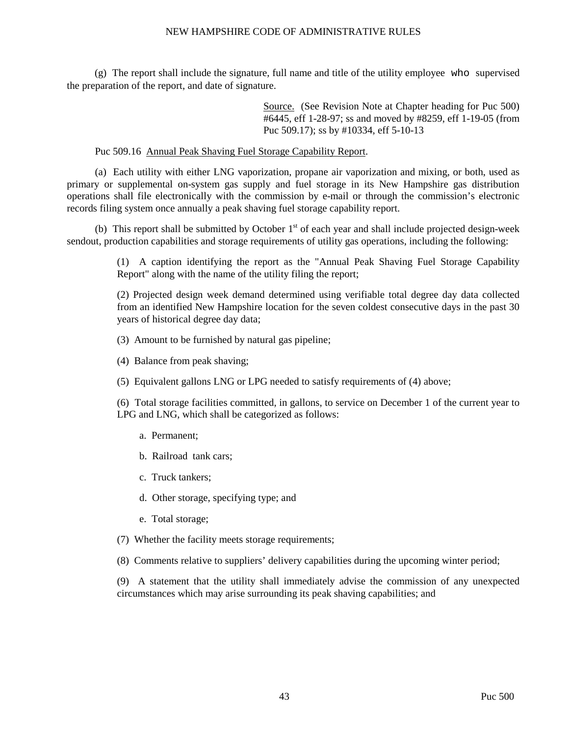(g) The report shall include the signature, full name and title of the utility employee who supervised the preparation of the report, and date of signature.

> Source. (See Revision Note at Chapter heading for Puc 500) #6445, eff 1-28-97; ss and moved by #8259, eff 1-19-05 (from Puc 509.17); ss by #10334, eff 5-10-13

#### Puc 509.16 Annual Peak Shaving Fuel Storage Capability Report.

(a) Each utility with either LNG vaporization, propane air vaporization and mixing, or both, used as primary or supplemental on-system gas supply and fuel storage in its New Hampshire gas distribution operations shall file electronically with the commission by e-mail or through the commission's electronic records filing system once annually a peak shaving fuel storage capability report.

(b) This report shall be submitted by October  $1<sup>st</sup>$  of each year and shall include projected design-week sendout, production capabilities and storage requirements of utility gas operations, including the following:

> (1) A caption identifying the report as the "Annual Peak Shaving Fuel Storage Capability Report" along with the name of the utility filing the report;

> (2) Projected design week demand determined using verifiable total degree day data collected from an identified New Hampshire location for the seven coldest consecutive days in the past 30 years of historical degree day data;

- (3) Amount to be furnished by natural gas pipeline;
- (4) Balance from peak shaving;
- (5) Equivalent gallons LNG or LPG needed to satisfy requirements of (4) above;

(6) Total storage facilities committed, in gallons, to service on December 1 of the current year to LPG and LNG, which shall be categorized as follows:

- a. Permanent;
- b. Railroad tank cars;
- c. Truck tankers;
- d. Other storage, specifying type; and
- e. Total storage;
- (7) Whether the facility meets storage requirements;
- (8) Comments relative to suppliers' delivery capabilities during the upcoming winter period;

(9) A statement that the utility shall immediately advise the commission of any unexpected circumstances which may arise surrounding its peak shaving capabilities; and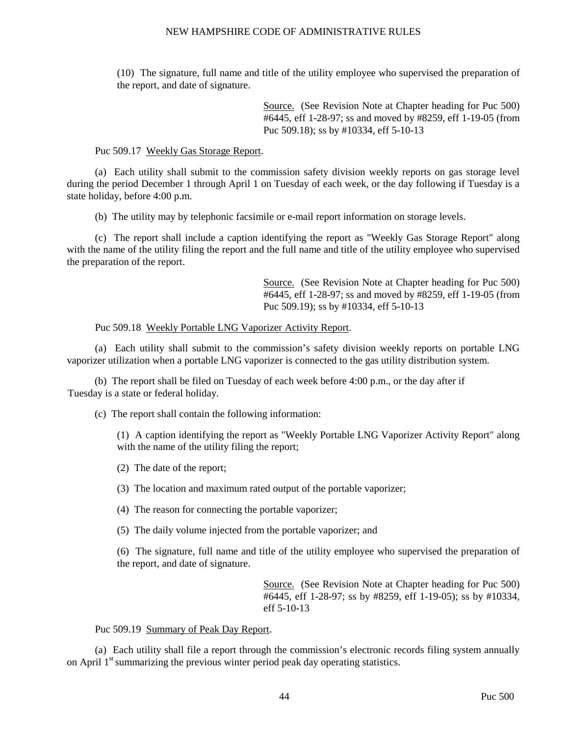(10) The signature, full name and title of the utility employee who supervised the preparation of the report, and date of signature.

> Source. (See Revision Note at Chapter heading for Puc 500) #6445, eff 1-28-97; ss and moved by #8259, eff 1-19-05 (from Puc 509.18); ss by #10334, eff 5-10-13

Puc 509.17 Weekly Gas Storage Report.

(a) Each utility shall submit to the commission safety division weekly reports on gas storage level during the period December 1 through April 1 on Tuesday of each week, or the day following if Tuesday is a state holiday, before 4:00 p.m.

(b) The utility may by telephonic facsimile or e-mail report information on storage levels.

(c) The report shall include a caption identifying the report as "Weekly Gas Storage Report" along with the name of the utility filing the report and the full name and title of the utility employee who supervised the preparation of the report.

> Source. (See Revision Note at Chapter heading for Puc 500) #6445, eff 1-28-97; ss and moved by #8259, eff 1-19-05 (from Puc 509.19); ss by #10334, eff 5-10-13

#### Puc 509.18 Weekly Portable LNG Vaporizer Activity Report.

(a) Each utility shall submit to the commission's safety division weekly reports on portable LNG vaporizer utilization when a portable LNG vaporizer is connected to the gas utility distribution system.

(b) The report shall be filed on Tuesday of each week before 4:00 p.m., or the day after if Tuesday is a state or federal holiday.

(c) The report shall contain the following information:

(1) A caption identifying the report as "Weekly Portable LNG Vaporizer Activity Report" along with the name of the utility filing the report;

(2) The date of the report;

(3) The location and maximum rated output of the portable vaporizer;

- (4) The reason for connecting the portable vaporizer;
- (5) The daily volume injected from the portable vaporizer; and

(6) The signature, full name and title of the utility employee who supervised the preparation of the report, and date of signature.

> Source. (See Revision Note at Chapter heading for Puc 500) #6445, eff 1-28-97; ss by #8259, eff 1-19-05); ss by #10334, eff 5-10-13

Puc 509.19 Summary of Peak Day Report.

(a) Each utility shall file a report through the commission's electronic records filing system annually on April  $1<sup>st</sup>$  summarizing the previous winter period peak day operating statistics.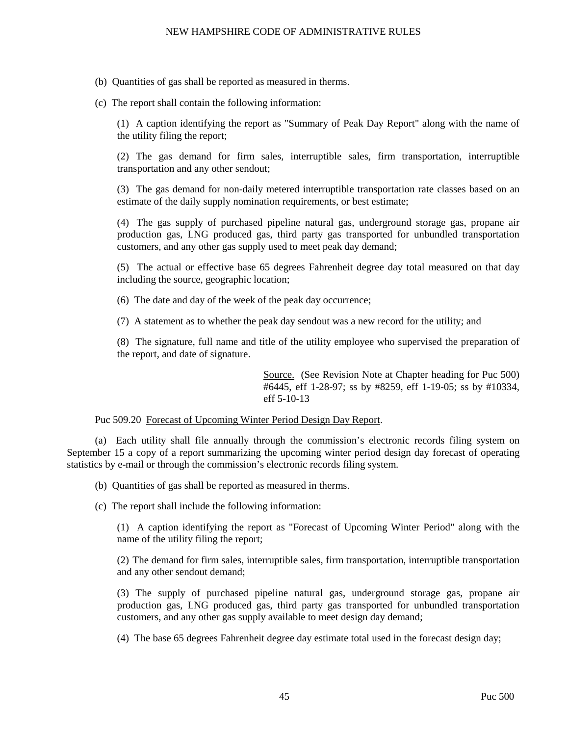(b) Quantities of gas shall be reported as measured in therms.

(c) The report shall contain the following information:

(1) A caption identifying the report as "Summary of Peak Day Report" along with the name of the utility filing the report;

(2) The gas demand for firm sales, interruptible sales, firm transportation, interruptible transportation and any other sendout;

(3) The gas demand for non-daily metered interruptible transportation rate classes based on an estimate of the daily supply nomination requirements, or best estimate;

(4) The gas supply of purchased pipeline natural gas, underground storage gas, propane air production gas, LNG produced gas, third party gas transported for unbundled transportation customers, and any other gas supply used to meet peak day demand;

(5) The actual or effective base 65 degrees Fahrenheit degree day total measured on that day including the source, geographic location;

(6) The date and day of the week of the peak day occurrence;

(7) A statement as to whether the peak day sendout was a new record for the utility; and

(8) The signature, full name and title of the utility employee who supervised the preparation of the report, and date of signature.

> Source. (See Revision Note at Chapter heading for Puc 500) #6445, eff 1-28-97; ss by #8259, eff 1-19-05; ss by #10334, eff 5-10-13

Puc 509.20 Forecast of Upcoming Winter Period Design Day Report.

(a) Each utility shall file annually through the commission's electronic records filing system on September 15 a copy of a report summarizing the upcoming winter period design day forecast of operating statistics by e-mail or through the commission's electronic records filing system.

(b) Quantities of gas shall be reported as measured in therms.

(c) The report shall include the following information:

(1) A caption identifying the report as "Forecast of Upcoming Winter Period" along with the name of the utility filing the report;

(2) The demand for firm sales, interruptible sales, firm transportation, interruptible transportation and any other sendout demand;

(3) The supply of purchased pipeline natural gas, underground storage gas, propane air production gas, LNG produced gas, third party gas transported for unbundled transportation customers, and any other gas supply available to meet design day demand;

(4) The base 65 degrees Fahrenheit degree day estimate total used in the forecast design day;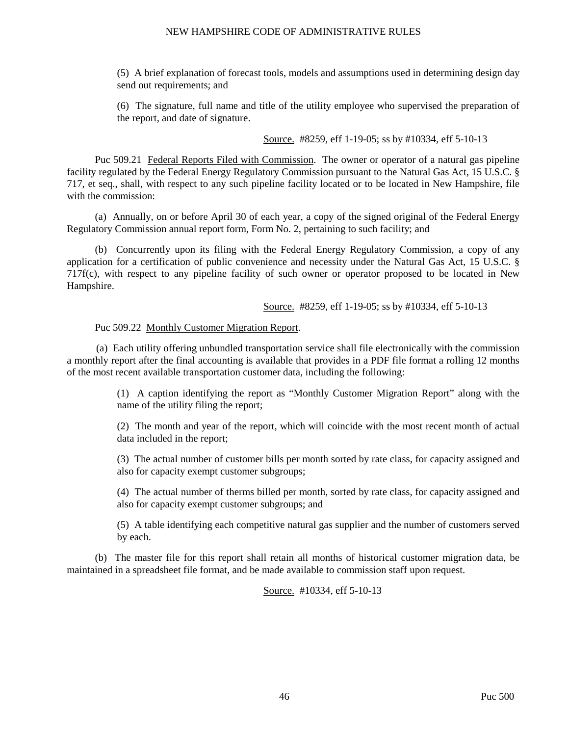(5) A brief explanation of forecast tools, models and assumptions used in determining design day send out requirements; and

(6) The signature, full name and title of the utility employee who supervised the preparation of the report, and date of signature.

Source. #8259, eff 1-19-05; ss by #10334, eff 5-10-13

Puc 509.21 Federal Reports Filed with Commission. The owner or operator of a natural gas pipeline facility regulated by the Federal Energy Regulatory Commission pursuant to the Natural Gas Act, 15 U.S.C. § 717, et seq., shall, with respect to any such pipeline facility located or to be located in New Hampshire, file with the commission:

(a) Annually, on or before April 30 of each year, a copy of the signed original of the Federal Energy Regulatory Commission annual report form, Form No. 2, pertaining to such facility; and

(b) Concurrently upon its filing with the Federal Energy Regulatory Commission, a copy of any application for a certification of public convenience and necessity under the Natural Gas Act, 15 U.S.C. § 717f(c), with respect to any pipeline facility of such owner or operator proposed to be located in New Hampshire.

Source. #8259, eff 1-19-05; ss by #10334, eff 5-10-13

#### Puc 509.22 Monthly Customer Migration Report.

(a) Each utility offering unbundled transportation service shall file electronically with the commission a monthly report after the final accounting is available that provides in a PDF file format a rolling 12 months of the most recent available transportation customer data, including the following:

> (1) A caption identifying the report as "Monthly Customer Migration Report" along with the name of the utility filing the report;

> (2) The month and year of the report, which will coincide with the most recent month of actual data included in the report;

> (3) The actual number of customer bills per month sorted by rate class, for capacity assigned and also for capacity exempt customer subgroups;

> (4) The actual number of therms billed per month, sorted by rate class, for capacity assigned and also for capacity exempt customer subgroups; and

> (5) A table identifying each competitive natural gas supplier and the number of customers served by each.

(b) The master file for this report shall retain all months of historical customer migration data, be maintained in a spreadsheet file format, and be made available to commission staff upon request.

Source. #10334, eff 5-10-13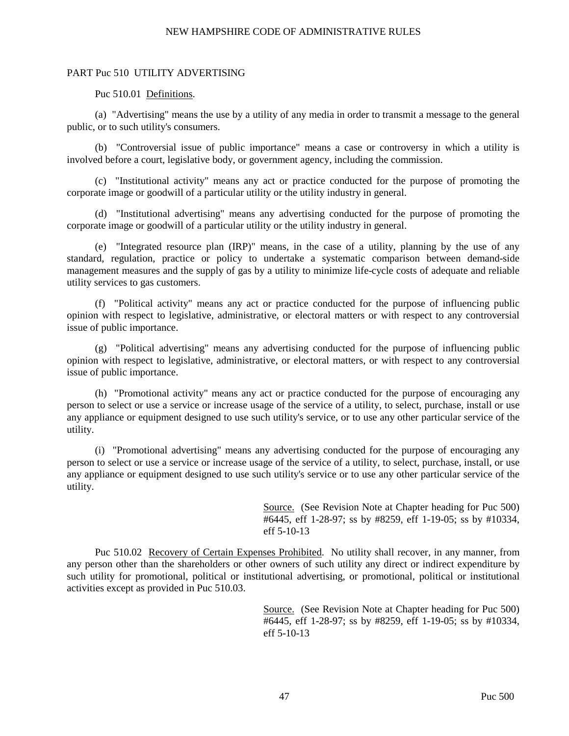#### PART Puc 510 UTILITY ADVERTISING

# Puc 510.01 Definitions.

(a) "Advertising" means the use by a utility of any media in order to transmit a message to the general public, or to such utility's consumers.

(b) "Controversial issue of public importance" means a case or controversy in which a utility is involved before a court, legislative body, or government agency, including the commission.

(c) "Institutional activity" means any act or practice conducted for the purpose of promoting the corporate image or goodwill of a particular utility or the utility industry in general.

(d) "Institutional advertising" means any advertising conducted for the purpose of promoting the corporate image or goodwill of a particular utility or the utility industry in general.

(e) "Integrated resource plan (IRP)" means, in the case of a utility, planning by the use of any standard, regulation, practice or policy to undertake a systematic comparison between demand-side management measures and the supply of gas by a utility to minimize life-cycle costs of adequate and reliable utility services to gas customers.

(f) "Political activity" means any act or practice conducted for the purpose of influencing public opinion with respect to legislative, administrative, or electoral matters or with respect to any controversial issue of public importance.

(g) "Political advertising" means any advertising conducted for the purpose of influencing public opinion with respect to legislative, administrative, or electoral matters, or with respect to any controversial issue of public importance.

(h) "Promotional activity" means any act or practice conducted for the purpose of encouraging any person to select or use a service or increase usage of the service of a utility, to select, purchase, install or use any appliance or equipment designed to use such utility's service, or to use any other particular service of the utility.

(i) "Promotional advertising" means any advertising conducted for the purpose of encouraging any person to select or use a service or increase usage of the service of a utility, to select, purchase, install, or use any appliance or equipment designed to use such utility's service or to use any other particular service of the utility.

> Source. (See Revision Note at Chapter heading for Puc 500) #6445, eff 1-28-97; ss by #8259, eff 1-19-05; ss by #10334, eff 5-10-13

Puc 510.02 Recovery of Certain Expenses Prohibited. No utility shall recover, in any manner, from any person other than the shareholders or other owners of such utility any direct or indirect expenditure by such utility for promotional, political or institutional advertising, or promotional, political or institutional activities except as provided in Puc 510.03.

> Source. (See Revision Note at Chapter heading for Puc 500) #6445, eff 1-28-97; ss by #8259, eff 1-19-05; ss by #10334, eff 5-10-13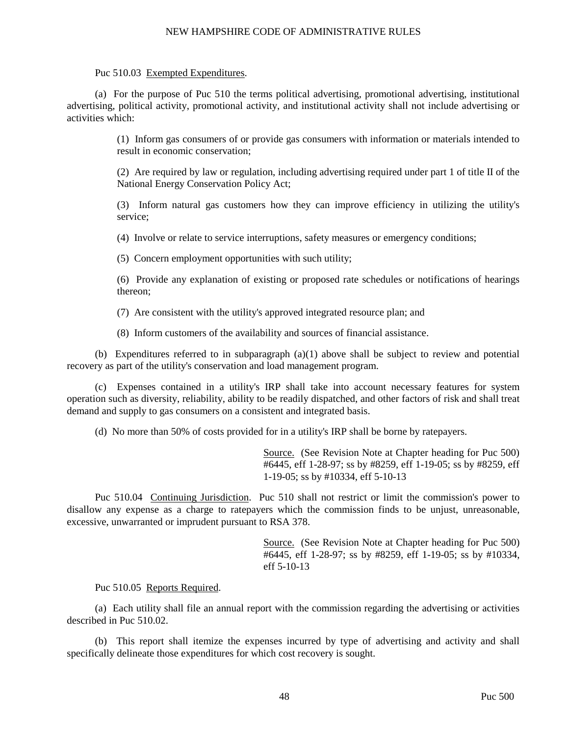#### Puc 510.03 Exempted Expenditures.

(a) For the purpose of Puc 510 the terms political advertising, promotional advertising, institutional advertising, political activity, promotional activity, and institutional activity shall not include advertising or activities which:

> (1) Inform gas consumers of or provide gas consumers with information or materials intended to result in economic conservation;

> (2) Are required by law or regulation, including advertising required under part 1 of title II of the National Energy Conservation Policy Act;

> (3) Inform natural gas customers how they can improve efficiency in utilizing the utility's service;

(4) Involve or relate to service interruptions, safety measures or emergency conditions;

(5) Concern employment opportunities with such utility;

(6) Provide any explanation of existing or proposed rate schedules or notifications of hearings thereon;

(7) Are consistent with the utility's approved integrated resource plan; and

(8) Inform customers of the availability and sources of financial assistance.

(b) Expenditures referred to in subparagraph  $(a)(1)$  above shall be subject to review and potential recovery as part of the utility's conservation and load management program.

(c) Expenses contained in a utility's IRP shall take into account necessary features for system operation such as diversity, reliability, ability to be readily dispatched, and other factors of risk and shall treat demand and supply to gas consumers on a consistent and integrated basis.

(d) No more than 50% of costs provided for in a utility's IRP shall be borne by ratepayers.

Source. (See Revision Note at Chapter heading for Puc 500) #6445, eff 1-28-97; ss by #8259, eff 1-19-05; ss by #8259, eff 1-19-05; ss by #10334, eff 5-10-13

Puc 510.04 Continuing Jurisdiction. Puc 510 shall not restrict or limit the commission's power to disallow any expense as a charge to ratepayers which the commission finds to be unjust, unreasonable, excessive, unwarranted or imprudent pursuant to RSA 378.

> Source. (See Revision Note at Chapter heading for Puc 500) #6445, eff 1-28-97; ss by #8259, eff 1-19-05; ss by #10334, eff 5-10-13

Puc 510.05 Reports Required.

(a) Each utility shall file an annual report with the commission regarding the advertising or activities described in Puc 510.02.

(b) This report shall itemize the expenses incurred by type of advertising and activity and shall specifically delineate those expenditures for which cost recovery is sought.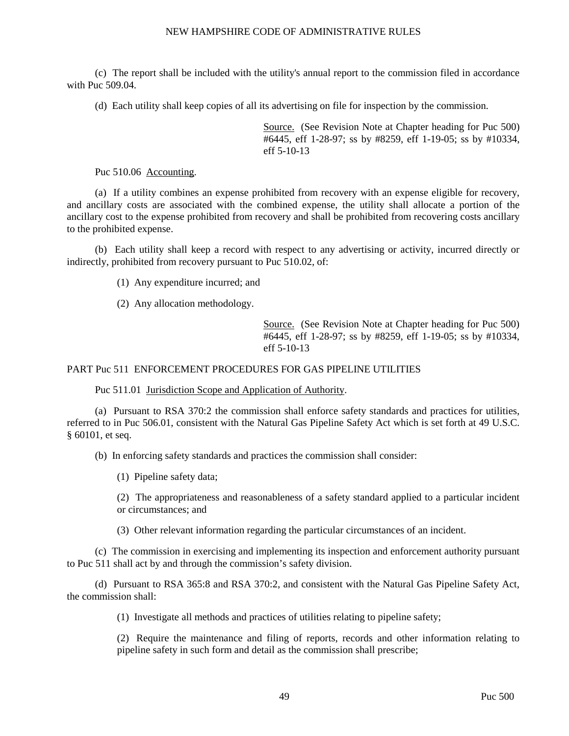(c) The report shall be included with the utility's annual report to the commission filed in accordance with Puc 509.04.

(d) Each utility shall keep copies of all its advertising on file for inspection by the commission.

Source. (See Revision Note at Chapter heading for Puc 500) #6445, eff 1-28-97; ss by #8259, eff 1-19-05; ss by #10334, eff 5-10-13

Puc 510.06 Accounting.

(a) If a utility combines an expense prohibited from recovery with an expense eligible for recovery, and ancillary costs are associated with the combined expense, the utility shall allocate a portion of the ancillary cost to the expense prohibited from recovery and shall be prohibited from recovering costs ancillary to the prohibited expense.

(b) Each utility shall keep a record with respect to any advertising or activity, incurred directly or indirectly, prohibited from recovery pursuant to Puc 510.02, of:

(1) Any expenditure incurred; and

(2) Any allocation methodology.

Source. (See Revision Note at Chapter heading for Puc 500) #6445, eff 1-28-97; ss by #8259, eff 1-19-05; ss by #10334, eff 5-10-13

PART Puc 511 ENFORCEMENT PROCEDURES FOR GAS PIPELINE UTILITIES

Puc 511.01 Jurisdiction Scope and Application of Authority.

(a) Pursuant to RSA 370:2 the commission shall enforce safety standards and practices for utilities, referred to in Puc 506.01, consistent with the Natural Gas Pipeline Safety Act which is set forth at 49 U.S.C. § 60101, et seq.

(b) In enforcing safety standards and practices the commission shall consider:

(1) Pipeline safety data;

(2) The appropriateness and reasonableness of a safety standard applied to a particular incident or circumstances; and

(3) Other relevant information regarding the particular circumstances of an incident.

(c) The commission in exercising and implementing its inspection and enforcement authority pursuant to Puc 511 shall act by and through the commission's safety division.

(d) Pursuant to RSA 365:8 and RSA 370:2, and consistent with the Natural Gas Pipeline Safety Act, the commission shall:

(1) Investigate all methods and practices of utilities relating to pipeline safety;

(2) Require the maintenance and filing of reports, records and other information relating to pipeline safety in such form and detail as the commission shall prescribe;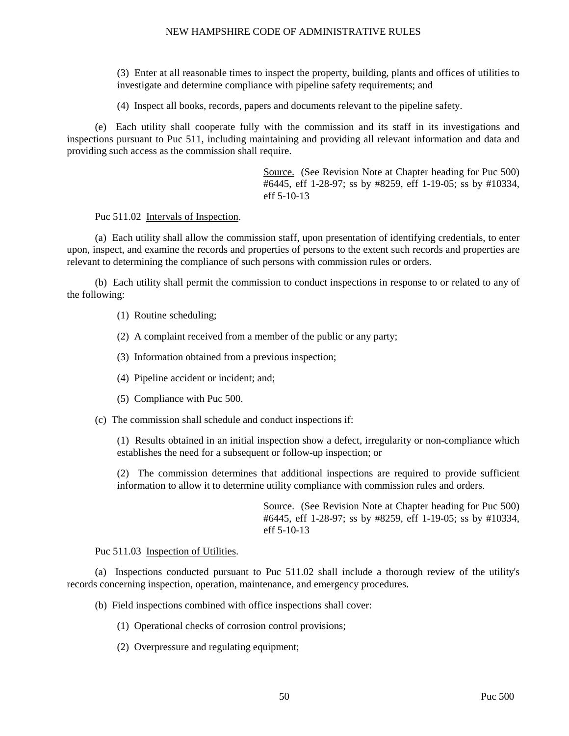(3) Enter at all reasonable times to inspect the property, building, plants and offices of utilities to investigate and determine compliance with pipeline safety requirements; and

(4) Inspect all books, records, papers and documents relevant to the pipeline safety.

(e) Each utility shall cooperate fully with the commission and its staff in its investigations and inspections pursuant to Puc 511, including maintaining and providing all relevant information and data and providing such access as the commission shall require.

> Source. (See Revision Note at Chapter heading for Puc 500) #6445, eff 1-28-97; ss by #8259, eff 1-19-05; ss by #10334, eff 5-10-13

Puc 511.02 Intervals of Inspection.

(a) Each utility shall allow the commission staff, upon presentation of identifying credentials, to enter upon, inspect, and examine the records and properties of persons to the extent such records and properties are relevant to determining the compliance of such persons with commission rules or orders.

(b) Each utility shall permit the commission to conduct inspections in response to or related to any of the following:

- (1) Routine scheduling;
- (2) A complaint received from a member of the public or any party;
- (3) Information obtained from a previous inspection;
- (4) Pipeline accident or incident; and;
- (5) Compliance with Puc 500.
- (c) The commission shall schedule and conduct inspections if:

(1) Results obtained in an initial inspection show a defect, irregularity or non-compliance which establishes the need for a subsequent or follow-up inspection; or

(2) The commission determines that additional inspections are required to provide sufficient information to allow it to determine utility compliance with commission rules and orders.

> Source. (See Revision Note at Chapter heading for Puc 500) #6445, eff 1-28-97; ss by #8259, eff 1-19-05; ss by #10334, eff 5-10-13

Puc 511.03 Inspection of Utilities.

(a) Inspections conducted pursuant to Puc 511.02 shall include a thorough review of the utility's records concerning inspection, operation, maintenance, and emergency procedures.

(b) Field inspections combined with office inspections shall cover:

- (1) Operational checks of corrosion control provisions;
- (2) Overpressure and regulating equipment;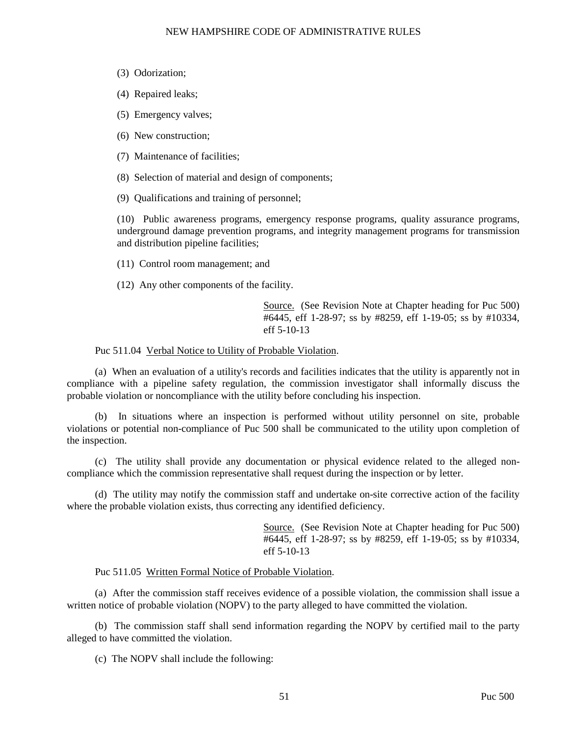- (3) Odorization;
- (4) Repaired leaks;
- (5) Emergency valves;
- (6) New construction;
- (7) Maintenance of facilities;
- (8) Selection of material and design of components;
- (9) Qualifications and training of personnel;

(10) Public awareness programs, emergency response programs, quality assurance programs, underground damage prevention programs, and integrity management programs for transmission and distribution pipeline facilities;

- (11) Control room management; and
- (12) Any other components of the facility.

Source. (See Revision Note at Chapter heading for Puc 500) #6445, eff 1-28-97; ss by #8259, eff 1-19-05; ss by #10334, eff 5-10-13

## Puc 511.04 Verbal Notice to Utility of Probable Violation.

(a) When an evaluation of a utility's records and facilities indicates that the utility is apparently not in compliance with a pipeline safety regulation, the commission investigator shall informally discuss the probable violation or noncompliance with the utility before concluding his inspection.

(b) In situations where an inspection is performed without utility personnel on site, probable violations or potential non-compliance of Puc 500 shall be communicated to the utility upon completion of the inspection.

(c) The utility shall provide any documentation or physical evidence related to the alleged noncompliance which the commission representative shall request during the inspection or by letter.

(d) The utility may notify the commission staff and undertake on-site corrective action of the facility where the probable violation exists, thus correcting any identified deficiency.

> Source. (See Revision Note at Chapter heading for Puc 500) #6445, eff 1-28-97; ss by #8259, eff 1-19-05; ss by #10334, eff 5-10-13

# Puc 511.05 Written Formal Notice of Probable Violation.

(a) After the commission staff receives evidence of a possible violation, the commission shall issue a written notice of probable violation (NOPV) to the party alleged to have committed the violation.

(b) The commission staff shall send information regarding the NOPV by certified mail to the party alleged to have committed the violation.

(c) The NOPV shall include the following: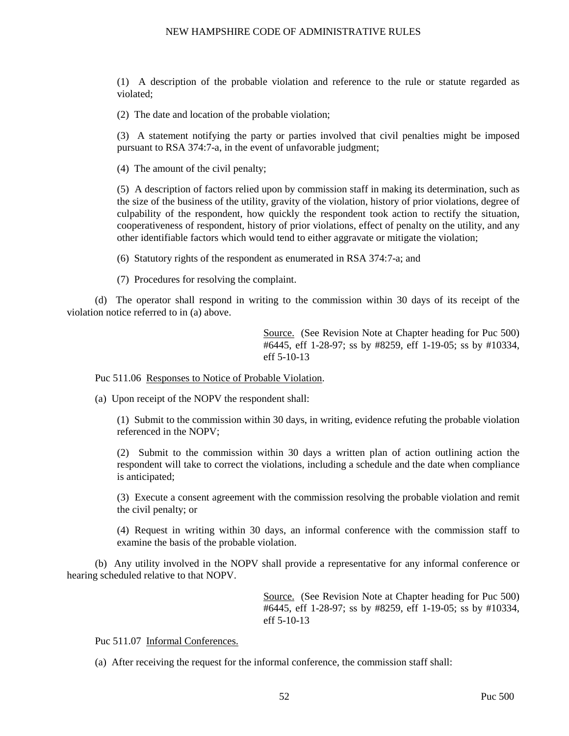(1) A description of the probable violation and reference to the rule or statute regarded as violated;

(2) The date and location of the probable violation;

(3) A statement notifying the party or parties involved that civil penalties might be imposed pursuant to RSA 374:7-a, in the event of unfavorable judgment;

(4) The amount of the civil penalty;

(5) A description of factors relied upon by commission staff in making its determination, such as the size of the business of the utility, gravity of the violation, history of prior violations, degree of culpability of the respondent, how quickly the respondent took action to rectify the situation, cooperativeness of respondent, history of prior violations, effect of penalty on the utility, and any other identifiable factors which would tend to either aggravate or mitigate the violation;

(6) Statutory rights of the respondent as enumerated in RSA 374:7-a; and

(7) Procedures for resolving the complaint.

(d) The operator shall respond in writing to the commission within 30 days of its receipt of the violation notice referred to in (a) above.

> Source. (See Revision Note at Chapter heading for Puc 500) #6445, eff 1-28-97; ss by #8259, eff 1-19-05; ss by #10334, eff 5-10-13

Puc 511.06 Responses to Notice of Probable Violation.

(a) Upon receipt of the NOPV the respondent shall:

(1) Submit to the commission within 30 days, in writing, evidence refuting the probable violation referenced in the NOPV;

(2) Submit to the commission within 30 days a written plan of action outlining action the respondent will take to correct the violations, including a schedule and the date when compliance is anticipated;

(3) Execute a consent agreement with the commission resolving the probable violation and remit the civil penalty; or

(4) Request in writing within 30 days, an informal conference with the commission staff to examine the basis of the probable violation.

(b) Any utility involved in the NOPV shall provide a representative for any informal conference or hearing scheduled relative to that NOPV.

> Source. (See Revision Note at Chapter heading for Puc 500) #6445, eff 1-28-97; ss by #8259, eff 1-19-05; ss by #10334, eff 5-10-13

Puc 511.07 Informal Conferences.

(a) After receiving the request for the informal conference, the commission staff shall: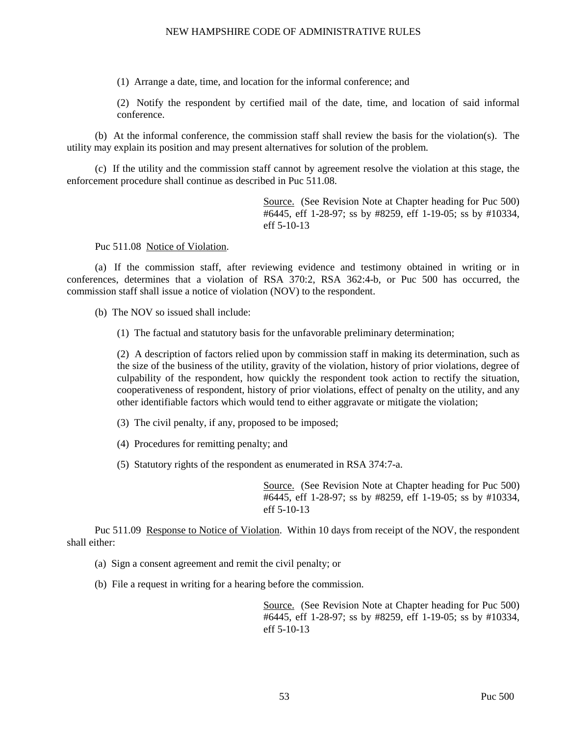(1) Arrange a date, time, and location for the informal conference; and

(2) Notify the respondent by certified mail of the date, time, and location of said informal conference.

(b) At the informal conference, the commission staff shall review the basis for the violation(s). The utility may explain its position and may present alternatives for solution of the problem.

(c) If the utility and the commission staff cannot by agreement resolve the violation at this stage, the enforcement procedure shall continue as described in Puc 511.08.

> Source. (See Revision Note at Chapter heading for Puc 500) #6445, eff 1-28-97; ss by #8259, eff 1-19-05; ss by #10334, eff 5-10-13

Puc 511.08 Notice of Violation.

(a) If the commission staff, after reviewing evidence and testimony obtained in writing or in conferences, determines that a violation of RSA 370:2, RSA 362:4-b, or Puc 500 has occurred, the commission staff shall issue a notice of violation (NOV) to the respondent.

(b) The NOV so issued shall include:

(1) The factual and statutory basis for the unfavorable preliminary determination;

(2) A description of factors relied upon by commission staff in making its determination, such as the size of the business of the utility, gravity of the violation, history of prior violations, degree of culpability of the respondent, how quickly the respondent took action to rectify the situation, cooperativeness of respondent, history of prior violations, effect of penalty on the utility, and any other identifiable factors which would tend to either aggravate or mitigate the violation;

- (3) The civil penalty, if any, proposed to be imposed;
- (4) Procedures for remitting penalty; and
- (5) Statutory rights of the respondent as enumerated in RSA 374:7-a.

Source. (See Revision Note at Chapter heading for Puc 500) #6445, eff 1-28-97; ss by #8259, eff 1-19-05; ss by #10334, eff 5-10-13

Puc 511.09 Response to Notice of Violation. Within 10 days from receipt of the NOV, the respondent shall either:

- (a) Sign a consent agreement and remit the civil penalty; or
- (b) File a request in writing for a hearing before the commission.

Source. (See Revision Note at Chapter heading for Puc 500) #6445, eff 1-28-97; ss by #8259, eff 1-19-05; ss by #10334, eff 5-10-13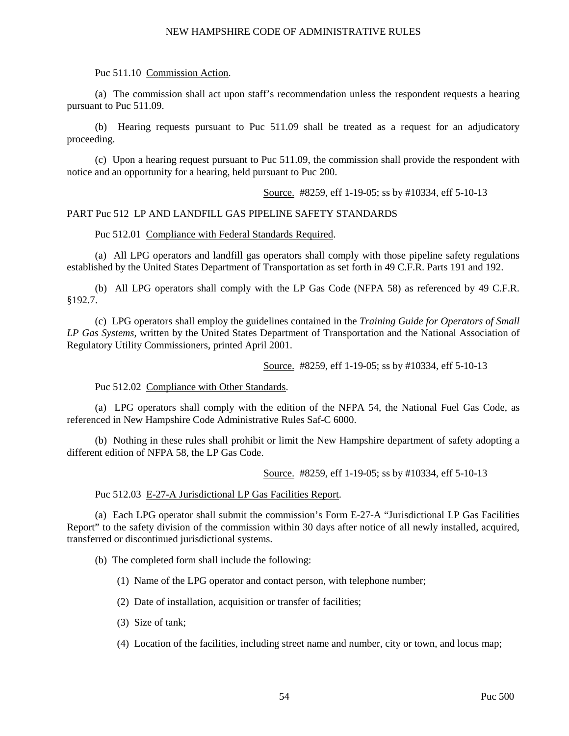Puc 511.10 Commission Action.

(a) The commission shall act upon staff's recommendation unless the respondent requests a hearing pursuant to Puc 511.09.

(b) Hearing requests pursuant to Puc 511.09 shall be treated as a request for an adjudicatory proceeding.

(c) Upon a hearing request pursuant to Puc 511.09, the commission shall provide the respondent with notice and an opportunity for a hearing, held pursuant to Puc 200.

Source. #8259, eff 1-19-05; ss by #10334, eff 5-10-13

#### PART Puc 512 LP AND LANDFILL GAS PIPELINE SAFETY STANDARDS

Puc 512.01 Compliance with Federal Standards Required.

(a) All LPG operators and landfill gas operators shall comply with those pipeline safety regulations established by the United States Department of Transportation as set forth in 49 C.F.R. Parts 191 and 192.

(b) All LPG operators shall comply with the LP Gas Code (NFPA 58) as referenced by 49 C.F.R. §192.7.

(c) LPG operators shall employ the guidelines contained in the *Training Guide for Operators of Small LP Gas Systems*, written by the United States Department of Transportation and the National Association of Regulatory Utility Commissioners, printed April 2001.

Source. #8259, eff 1-19-05; ss by #10334, eff 5-10-13

Puc 512.02 Compliance with Other Standards.

(a) LPG operators shall comply with the edition of the NFPA 54, the National Fuel Gas Code, as referenced in New Hampshire Code Administrative Rules Saf-C 6000.

(b) Nothing in these rules shall prohibit or limit the New Hampshire department of safety adopting a different edition of NFPA 58, the LP Gas Code.

Source. #8259, eff 1-19-05; ss by #10334, eff 5-10-13

#### Puc 512.03 E-27-A Jurisdictional LP Gas Facilities Report.

(a) Each LPG operator shall submit the commission's Form E-27-A "Jurisdictional LP Gas Facilities Report" to the safety division of the commission within 30 days after notice of all newly installed, acquired, transferred or discontinued jurisdictional systems.

(b) The completed form shall include the following:

- (1) Name of the LPG operator and contact person, with telephone number;
- (2) Date of installation, acquisition or transfer of facilities;
- (3) Size of tank;
- (4) Location of the facilities, including street name and number, city or town, and locus map;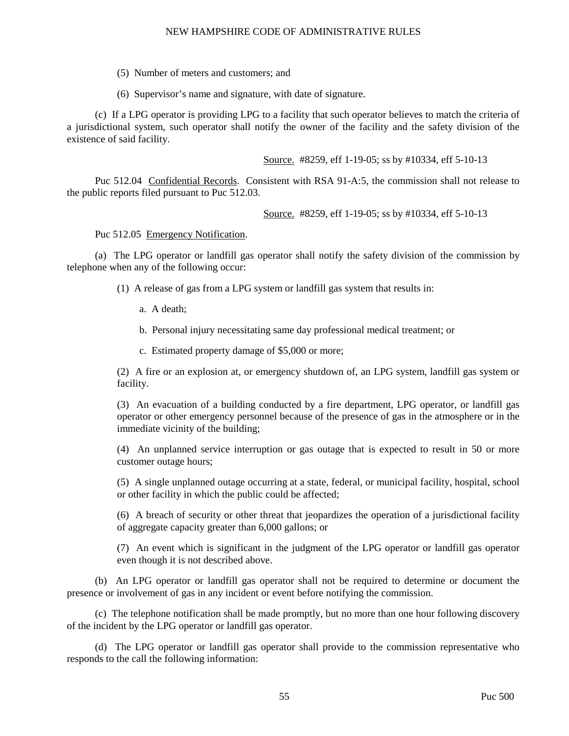- (5) Number of meters and customers; and
- (6) Supervisor's name and signature, with date of signature.

(c) If a LPG operator is providing LPG to a facility that such operator believes to match the criteria of a jurisdictional system, such operator shall notify the owner of the facility and the safety division of the existence of said facility.

Source. #8259, eff 1-19-05; ss by #10334, eff 5-10-13

Puc 512.04 Confidential Records. Consistent with RSA 91-A:5, the commission shall not release to the public reports filed pursuant to Puc 512.03.

Source. #8259, eff 1-19-05; ss by #10334, eff 5-10-13

Puc 512.05 Emergency Notification.

(a) The LPG operator or landfill gas operator shall notify the safety division of the commission by telephone when any of the following occur:

- (1) A release of gas from a LPG system or landfill gas system that results in:
	- a. A death;
	- b. Personal injury necessitating same day professional medical treatment; or
	- c. Estimated property damage of \$5,000 or more;

(2) A fire or an explosion at, or emergency shutdown of, an LPG system, landfill gas system or facility.

(3) An evacuation of a building conducted by a fire department, LPG operator, or landfill gas operator or other emergency personnel because of the presence of gas in the atmosphere or in the immediate vicinity of the building;

(4) An unplanned service interruption or gas outage that is expected to result in 50 or more customer outage hours;

(5) A single unplanned outage occurring at a state, federal, or municipal facility, hospital, school or other facility in which the public could be affected;

(6) A breach of security or other threat that jeopardizes the operation of a jurisdictional facility of aggregate capacity greater than 6,000 gallons; or

(7) An event which is significant in the judgment of the LPG operator or landfill gas operator even though it is not described above.

(b) An LPG operator or landfill gas operator shall not be required to determine or document the presence or involvement of gas in any incident or event before notifying the commission.

(c) The telephone notification shall be made promptly, but no more than one hour following discovery of the incident by the LPG operator or landfill gas operator.

(d) The LPG operator or landfill gas operator shall provide to the commission representative who responds to the call the following information: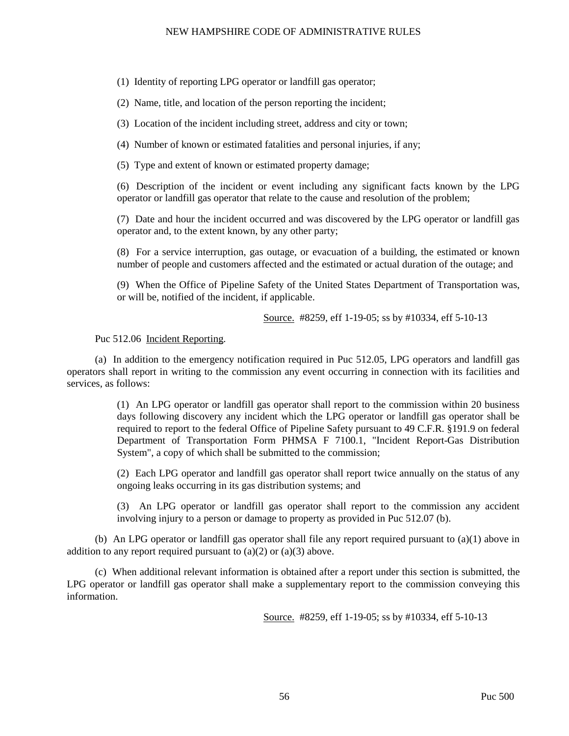(1) Identity of reporting LPG operator or landfill gas operator;

(2) Name, title, and location of the person reporting the incident;

(3) Location of the incident including street, address and city or town;

(4) Number of known or estimated fatalities and personal injuries, if any;

(5) Type and extent of known or estimated property damage;

(6) Description of the incident or event including any significant facts known by the LPG operator or landfill gas operator that relate to the cause and resolution of the problem;

(7) Date and hour the incident occurred and was discovered by the LPG operator or landfill gas operator and, to the extent known, by any other party;

(8) For a service interruption, gas outage, or evacuation of a building, the estimated or known number of people and customers affected and the estimated or actual duration of the outage; and

(9) When the Office of Pipeline Safety of the United States Department of Transportation was, or will be, notified of the incident, if applicable.

Source. #8259, eff 1-19-05; ss by #10334, eff 5-10-13

Puc 512.06 Incident Reporting.

(a) In addition to the emergency notification required in Puc 512.05, LPG operators and landfill gas operators shall report in writing to the commission any event occurring in connection with its facilities and services, as follows:

> (1) An LPG operator or landfill gas operator shall report to the commission within 20 business days following discovery any incident which the LPG operator or landfill gas operator shall be required to report to the federal Office of Pipeline Safety pursuant to 49 C.F.R. §191.9 on federal Department of Transportation Form PHMSA F 7100.1, "Incident Report-Gas Distribution System", a copy of which shall be submitted to the commission;

> (2) Each LPG operator and landfill gas operator shall report twice annually on the status of any ongoing leaks occurring in its gas distribution systems; and

> (3) An LPG operator or landfill gas operator shall report to the commission any accident involving injury to a person or damage to property as provided in Puc 512.07 (b).

(b) An LPG operator or landfill gas operator shall file any report required pursuant to (a)(1) above in addition to any report required pursuant to  $(a)(2)$  or  $(a)(3)$  above.

(c) When additional relevant information is obtained after a report under this section is submitted, the LPG operator or landfill gas operator shall make a supplementary report to the commission conveying this information.

Source. #8259, eff 1-19-05; ss by #10334, eff 5-10-13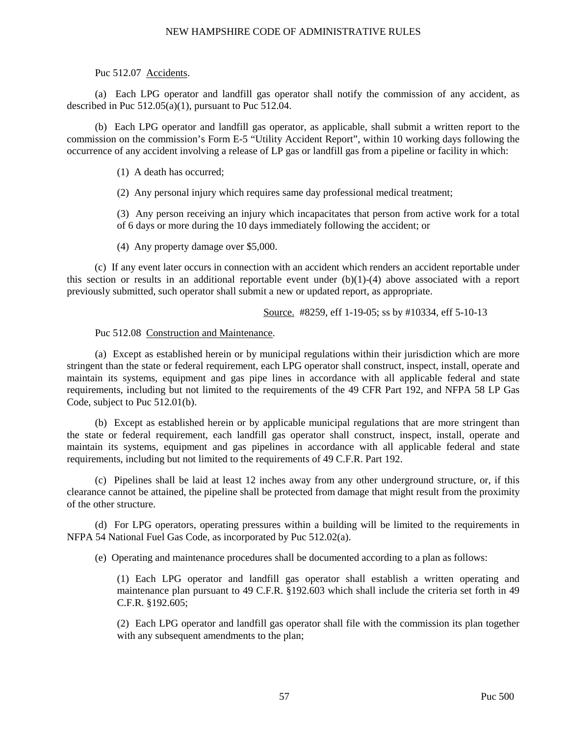#### Puc 512.07 Accidents.

(a) Each LPG operator and landfill gas operator shall notify the commission of any accident, as described in Puc  $512.05(a)(1)$ , pursuant to Puc  $512.04$ .

(b) Each LPG operator and landfill gas operator, as applicable, shall submit a written report to the commission on the commission's Form E-5 "Utility Accident Report", within 10 working days following the occurrence of any accident involving a release of LP gas or landfill gas from a pipeline or facility in which:

(1) A death has occurred;

(2) Any personal injury which requires same day professional medical treatment;

(3) Any person receiving an injury which incapacitates that person from active work for a total of 6 days or more during the 10 days immediately following the accident; or

(4) Any property damage over \$5,000.

(c) If any event later occurs in connection with an accident which renders an accident reportable under this section or results in an additional reportable event under  $(b)(1)-(4)$  above associated with a report previously submitted, such operator shall submit a new or updated report, as appropriate.

Source. #8259, eff 1-19-05; ss by #10334, eff 5-10-13

#### Puc 512.08 Construction and Maintenance.

(a) Except as established herein or by municipal regulations within their jurisdiction which are more stringent than the state or federal requirement, each LPG operator shall construct, inspect, install, operate and maintain its systems, equipment and gas pipe lines in accordance with all applicable federal and state requirements, including but not limited to the requirements of the 49 CFR Part 192, and NFPA 58 LP Gas Code, subject to Puc 512.01(b).

(b) Except as established herein or by applicable municipal regulations that are more stringent than the state or federal requirement, each landfill gas operator shall construct, inspect, install, operate and maintain its systems, equipment and gas pipelines in accordance with all applicable federal and state requirements, including but not limited to the requirements of 49 C.F.R. Part 192.

(c) Pipelines shall be laid at least 12 inches away from any other underground structure, or, if this clearance cannot be attained, the pipeline shall be protected from damage that might result from the proximity of the other structure.

(d) For LPG operators, operating pressures within a building will be limited to the requirements in NFPA 54 National Fuel Gas Code, as incorporated by Puc 512.02(a).

(e) Operating and maintenance procedures shall be documented according to a plan as follows:

(1) Each LPG operator and landfill gas operator shall establish a written operating and maintenance plan pursuant to 49 C.F.R. §192.603 which shall include the criteria set forth in 49 C.F.R. §192.605;

(2) Each LPG operator and landfill gas operator shall file with the commission its plan together with any subsequent amendments to the plan;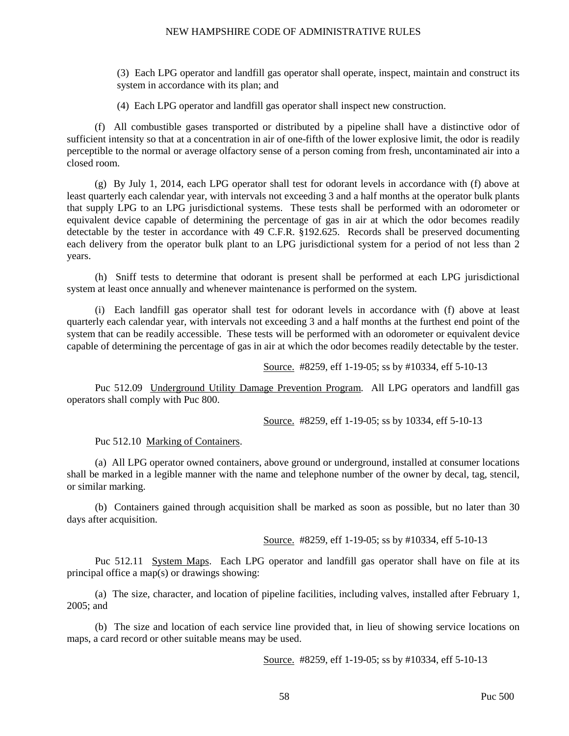(3) Each LPG operator and landfill gas operator shall operate, inspect, maintain and construct its system in accordance with its plan; and

(4) Each LPG operator and landfill gas operator shall inspect new construction.

(f) All combustible gases transported or distributed by a pipeline shall have a distinctive odor of sufficient intensity so that at a concentration in air of one-fifth of the lower explosive limit, the odor is readily perceptible to the normal or average olfactory sense of a person coming from fresh, uncontaminated air into a closed room.

(g) By July 1, 2014, each LPG operator shall test for odorant levels in accordance with (f) above at least quarterly each calendar year, with intervals not exceeding 3 and a half months at the operator bulk plants that supply LPG to an LPG jurisdictional systems. These tests shall be performed with an odorometer or equivalent device capable of determining the percentage of gas in air at which the odor becomes readily detectable by the tester in accordance with 49 C.F.R. §192.625. Records shall be preserved documenting each delivery from the operator bulk plant to an LPG jurisdictional system for a period of not less than 2 years.

(h) Sniff tests to determine that odorant is present shall be performed at each LPG jurisdictional system at least once annually and whenever maintenance is performed on the system.

(i) Each landfill gas operator shall test for odorant levels in accordance with (f) above at least quarterly each calendar year, with intervals not exceeding 3 and a half months at the furthest end point of the system that can be readily accessible. These tests will be performed with an odorometer or equivalent device capable of determining the percentage of gas in air at which the odor becomes readily detectable by the tester.

Source. #8259, eff 1-19-05; ss by #10334, eff 5-10-13

Puc 512.09 Underground Utility Damage Prevention Program. All LPG operators and landfill gas operators shall comply with Puc 800.

Source. #8259, eff 1-19-05; ss by 10334, eff 5-10-13

Puc 512.10 Marking of Containers.

(a) All LPG operator owned containers, above ground or underground, installed at consumer locations shall be marked in a legible manner with the name and telephone number of the owner by decal, tag, stencil, or similar marking.

(b) Containers gained through acquisition shall be marked as soon as possible, but no later than 30 days after acquisition.

Source. #8259, eff 1-19-05; ss by #10334, eff 5-10-13

Puc 512.11 System Maps. Each LPG operator and landfill gas operator shall have on file at its principal office a map(s) or drawings showing:

(a) The size, character, and location of pipeline facilities, including valves, installed after February 1, 2005; and

(b) The size and location of each service line provided that, in lieu of showing service locations on maps, a card record or other suitable means may be used.

Source. #8259, eff 1-19-05; ss by #10334, eff 5-10-13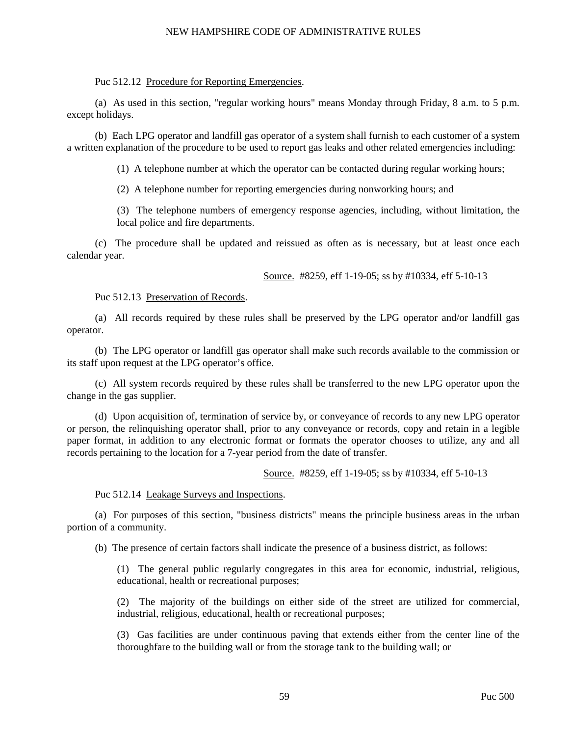#### Puc 512.12 Procedure for Reporting Emergencies.

(a) As used in this section, "regular working hours" means Monday through Friday, 8 a.m. to 5 p.m. except holidays.

(b) Each LPG operator and landfill gas operator of a system shall furnish to each customer of a system a written explanation of the procedure to be used to report gas leaks and other related emergencies including:

(1) A telephone number at which the operator can be contacted during regular working hours;

(2) A telephone number for reporting emergencies during nonworking hours; and

(3) The telephone numbers of emergency response agencies, including, without limitation, the local police and fire departments.

(c) The procedure shall be updated and reissued as often as is necessary, but at least once each calendar year.

Source. #8259, eff 1-19-05; ss by #10334, eff 5-10-13

Puc 512.13 Preservation of Records.

(a) All records required by these rules shall be preserved by the LPG operator and/or landfill gas operator.

(b) The LPG operator or landfill gas operator shall make such records available to the commission or its staff upon request at the LPG operator's office.

(c) All system records required by these rules shall be transferred to the new LPG operator upon the change in the gas supplier.

(d) Upon acquisition of, termination of service by, or conveyance of records to any new LPG operator or person, the relinquishing operator shall, prior to any conveyance or records, copy and retain in a legible paper format, in addition to any electronic format or formats the operator chooses to utilize, any and all records pertaining to the location for a 7-year period from the date of transfer.

Source. #8259, eff 1-19-05; ss by #10334, eff 5-10-13

#### Puc 512.14 Leakage Surveys and Inspections.

(a) For purposes of this section, "business districts" means the principle business areas in the urban portion of a community.

(b) The presence of certain factors shall indicate the presence of a business district, as follows:

(1) The general public regularly congregates in this area for economic, industrial, religious, educational, health or recreational purposes;

(2) The majority of the buildings on either side of the street are utilized for commercial, industrial, religious, educational, health or recreational purposes;

(3) Gas facilities are under continuous paving that extends either from the center line of the thoroughfare to the building wall or from the storage tank to the building wall; or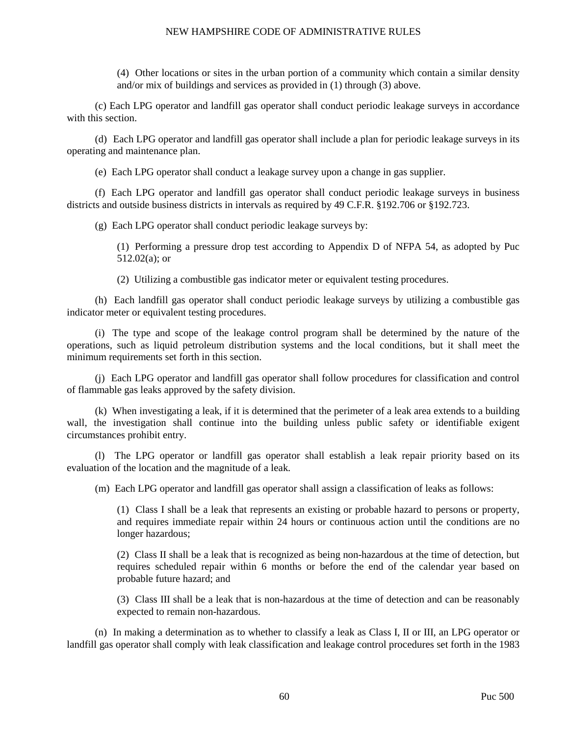(4) Other locations or sites in the urban portion of a community which contain a similar density and/or mix of buildings and services as provided in (1) through (3) above.

(c) Each LPG operator and landfill gas operator shall conduct periodic leakage surveys in accordance with this section.

(d) Each LPG operator and landfill gas operator shall include a plan for periodic leakage surveys in its operating and maintenance plan.

(e) Each LPG operator shall conduct a leakage survey upon a change in gas supplier.

(f) Each LPG operator and landfill gas operator shall conduct periodic leakage surveys in business districts and outside business districts in intervals as required by 49 C.F.R. §192.706 or §192.723.

(g) Each LPG operator shall conduct periodic leakage surveys by:

(1) Performing a pressure drop test according to Appendix D of NFPA 54, as adopted by Puc 512.02(a); or

(2) Utilizing a combustible gas indicator meter or equivalent testing procedures.

(h) Each landfill gas operator shall conduct periodic leakage surveys by utilizing a combustible gas indicator meter or equivalent testing procedures.

(i) The type and scope of the leakage control program shall be determined by the nature of the operations, such as liquid petroleum distribution systems and the local conditions, but it shall meet the minimum requirements set forth in this section.

(j) Each LPG operator and landfill gas operator shall follow procedures for classification and control of flammable gas leaks approved by the safety division.

(k) When investigating a leak, if it is determined that the perimeter of a leak area extends to a building wall, the investigation shall continue into the building unless public safety or identifiable exigent circumstances prohibit entry.

(l) The LPG operator or landfill gas operator shall establish a leak repair priority based on its evaluation of the location and the magnitude of a leak.

(m) Each LPG operator and landfill gas operator shall assign a classification of leaks as follows:

(1) Class I shall be a leak that represents an existing or probable hazard to persons or property, and requires immediate repair within 24 hours or continuous action until the conditions are no longer hazardous;

(2) Class II shall be a leak that is recognized as being non-hazardous at the time of detection, but requires scheduled repair within 6 months or before the end of the calendar year based on probable future hazard; and

(3) Class III shall be a leak that is non-hazardous at the time of detection and can be reasonably expected to remain non-hazardous.

(n) In making a determination as to whether to classify a leak as Class I, II or III, an LPG operator or landfill gas operator shall comply with leak classification and leakage control procedures set forth in the 1983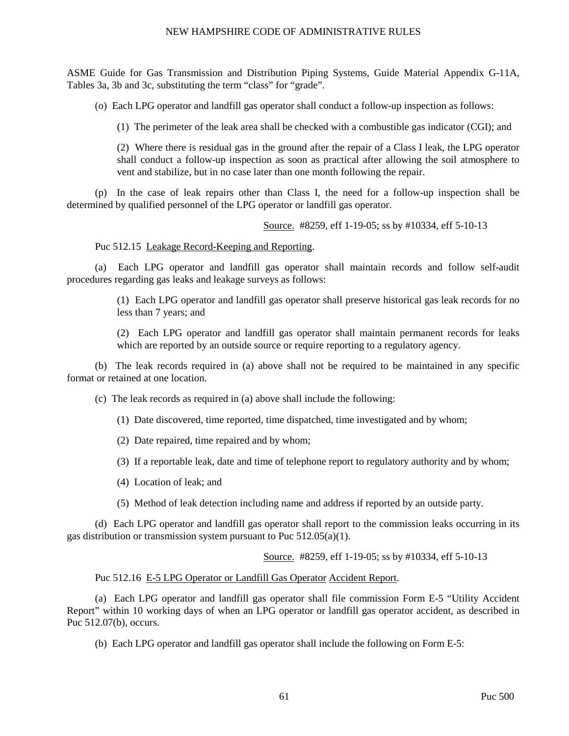ASME Guide for Gas Transmission and Distribution Piping Systems, Guide Material Appendix G-11A, Tables 3a, 3b and 3c, substituting the term "class" for "grade".

(o) Each LPG operator and landfill gas operator shall conduct a follow-up inspection as follows:

(1) The perimeter of the leak area shall be checked with a combustible gas indicator (CGI); and

(2) Where there is residual gas in the ground after the repair of a Class I leak, the LPG operator shall conduct a follow-up inspection as soon as practical after allowing the soil atmosphere to vent and stabilize, but in no case later than one month following the repair.

(p) In the case of leak repairs other than Class I, the need for a follow-up inspection shall be determined by qualified personnel of the LPG operator or landfill gas operator.

Source. #8259, eff 1-19-05; ss by #10334, eff 5-10-13

Puc 512.15 Leakage Record-Keeping and Reporting.

(a) Each LPG operator and landfill gas operator shall maintain records and follow self-audit procedures regarding gas leaks and leakage surveys as follows:

> (1) Each LPG operator and landfill gas operator shall preserve historical gas leak records for no less than 7 years; and

> (2) Each LPG operator and landfill gas operator shall maintain permanent records for leaks which are reported by an outside source or require reporting to a regulatory agency.

(b) The leak records required in (a) above shall not be required to be maintained in any specific format or retained at one location.

(c) The leak records as required in (a) above shall include the following:

- (1) Date discovered, time reported, time dispatched, time investigated and by whom;
- (2) Date repaired, time repaired and by whom;
- (3) If a reportable leak, date and time of telephone report to regulatory authority and by whom;
- (4) Location of leak; and
- (5) Method of leak detection including name and address if reported by an outside party.

(d) Each LPG operator and landfill gas operator shall report to the commission leaks occurring in its gas distribution or transmission system pursuant to Puc 512.05(a)(1).

Source. #8259, eff 1-19-05; ss by #10334, eff 5-10-13

#### Puc 512.16 E-5 LPG Operator or Landfill Gas Operator Accident Report.

(a) Each LPG operator and landfill gas operator shall file commission Form E-5 "Utility Accident Report" within 10 working days of when an LPG operator or landfill gas operator accident, as described in Puc 512.07(b), occurs.

(b) Each LPG operator and landfill gas operator shall include the following on Form E-5: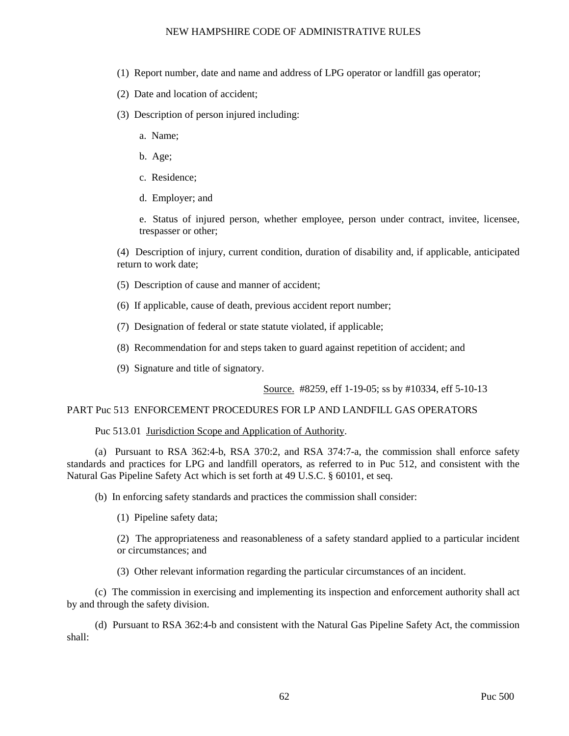- (1) Report number, date and name and address of LPG operator or landfill gas operator;
- (2) Date and location of accident;
- (3) Description of person injured including:
	- a. Name;
	- b. Age;
	- c. Residence;
	- d. Employer; and

e. Status of injured person, whether employee, person under contract, invitee, licensee, trespasser or other;

(4) Description of injury, current condition, duration of disability and, if applicable, anticipated return to work date;

- (5) Description of cause and manner of accident;
- (6) If applicable, cause of death, previous accident report number;
- (7) Designation of federal or state statute violated, if applicable;
- (8) Recommendation for and steps taken to guard against repetition of accident; and
- (9) Signature and title of signatory.

Source. #8259, eff 1-19-05; ss by #10334, eff 5-10-13

#### PART Puc 513 ENFORCEMENT PROCEDURES FOR LP AND LANDFILL GAS OPERATORS

#### Puc 513.01 Jurisdiction Scope and Application of Authority.

(a) Pursuant to RSA 362:4-b, RSA 370:2, and RSA 374:7-a, the commission shall enforce safety standards and practices for LPG and landfill operators, as referred to in Puc 512, and consistent with the Natural Gas Pipeline Safety Act which is set forth at 49 U.S.C. § 60101, et seq.

(b) In enforcing safety standards and practices the commission shall consider:

(1) Pipeline safety data;

(2) The appropriateness and reasonableness of a safety standard applied to a particular incident or circumstances; and

(3) Other relevant information regarding the particular circumstances of an incident.

(c) The commission in exercising and implementing its inspection and enforcement authority shall act by and through the safety division.

(d) Pursuant to RSA 362:4-b and consistent with the Natural Gas Pipeline Safety Act, the commission shall: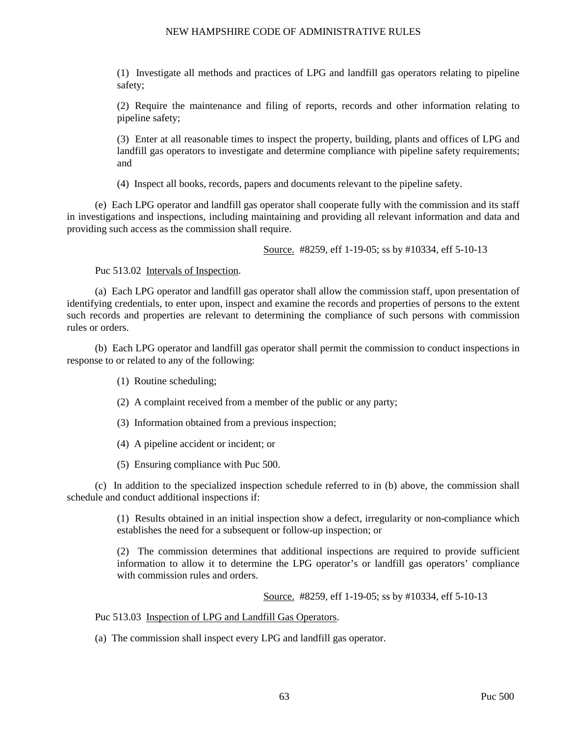(1) Investigate all methods and practices of LPG and landfill gas operators relating to pipeline safety;

(2) Require the maintenance and filing of reports, records and other information relating to pipeline safety;

(3) Enter at all reasonable times to inspect the property, building, plants and offices of LPG and landfill gas operators to investigate and determine compliance with pipeline safety requirements; and

(4) Inspect all books, records, papers and documents relevant to the pipeline safety.

(e) Each LPG operator and landfill gas operator shall cooperate fully with the commission and its staff in investigations and inspections, including maintaining and providing all relevant information and data and providing such access as the commission shall require.

Source. #8259, eff 1-19-05; ss by #10334, eff 5-10-13

Puc 513.02 Intervals of Inspection.

(a) Each LPG operator and landfill gas operator shall allow the commission staff, upon presentation of identifying credentials, to enter upon, inspect and examine the records and properties of persons to the extent such records and properties are relevant to determining the compliance of such persons with commission rules or orders.

(b) Each LPG operator and landfill gas operator shall permit the commission to conduct inspections in response to or related to any of the following:

- (1) Routine scheduling;
- (2) A complaint received from a member of the public or any party;
- (3) Information obtained from a previous inspection;
- (4) A pipeline accident or incident; or
- (5) Ensuring compliance with Puc 500.

(c) In addition to the specialized inspection schedule referred to in (b) above, the commission shall schedule and conduct additional inspections if:

> (1) Results obtained in an initial inspection show a defect, irregularity or non-compliance which establishes the need for a subsequent or follow-up inspection; or

> (2) The commission determines that additional inspections are required to provide sufficient information to allow it to determine the LPG operator's or landfill gas operators' compliance with commission rules and orders.

> > Source. #8259, eff 1-19-05; ss by #10334, eff 5-10-13

Puc 513.03 Inspection of LPG and Landfill Gas Operators.

(a) The commission shall inspect every LPG and landfill gas operator.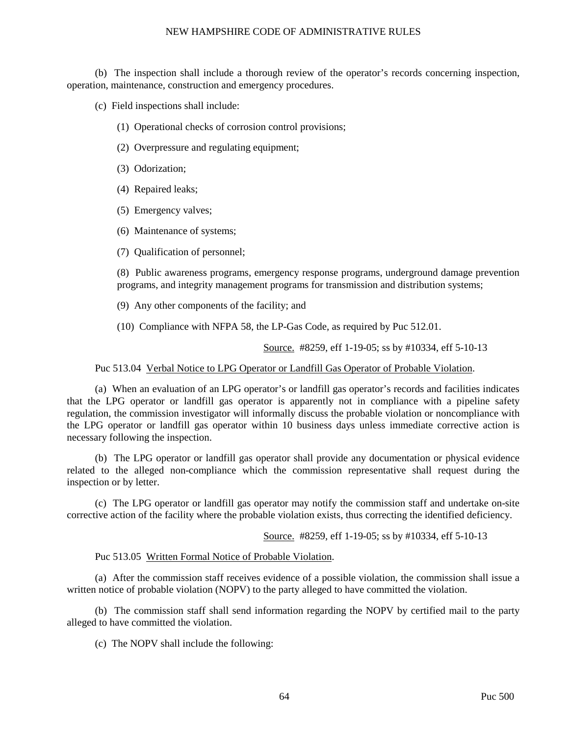(b) The inspection shall include a thorough review of the operator's records concerning inspection, operation, maintenance, construction and emergency procedures.

(c) Field inspections shall include:

- (1) Operational checks of corrosion control provisions;
- (2) Overpressure and regulating equipment;
- (3) Odorization;
- (4) Repaired leaks;
- (5) Emergency valves;
- (6) Maintenance of systems;
- (7) Qualification of personnel;

(8) Public awareness programs, emergency response programs, underground damage prevention programs, and integrity management programs for transmission and distribution systems;

- (9) Any other components of the facility; and
- (10) Compliance with NFPA 58, the LP-Gas Code, as required by Puc 512.01.

Source. #8259, eff 1-19-05; ss by #10334, eff 5-10-13

#### Puc 513.04 Verbal Notice to LPG Operator or Landfill Gas Operator of Probable Violation.

(a) When an evaluation of an LPG operator's or landfill gas operator's records and facilities indicates that the LPG operator or landfill gas operator is apparently not in compliance with a pipeline safety regulation, the commission investigator will informally discuss the probable violation or noncompliance with the LPG operator or landfill gas operator within 10 business days unless immediate corrective action is necessary following the inspection.

(b) The LPG operator or landfill gas operator shall provide any documentation or physical evidence related to the alleged non-compliance which the commission representative shall request during the inspection or by letter.

(c) The LPG operator or landfill gas operator may notify the commission staff and undertake on-site corrective action of the facility where the probable violation exists, thus correcting the identified deficiency.

Source. #8259, eff 1-19-05; ss by #10334, eff 5-10-13

#### Puc 513.05 Written Formal Notice of Probable Violation.

(a) After the commission staff receives evidence of a possible violation, the commission shall issue a written notice of probable violation (NOPV) to the party alleged to have committed the violation.

(b) The commission staff shall send information regarding the NOPV by certified mail to the party alleged to have committed the violation.

(c) The NOPV shall include the following: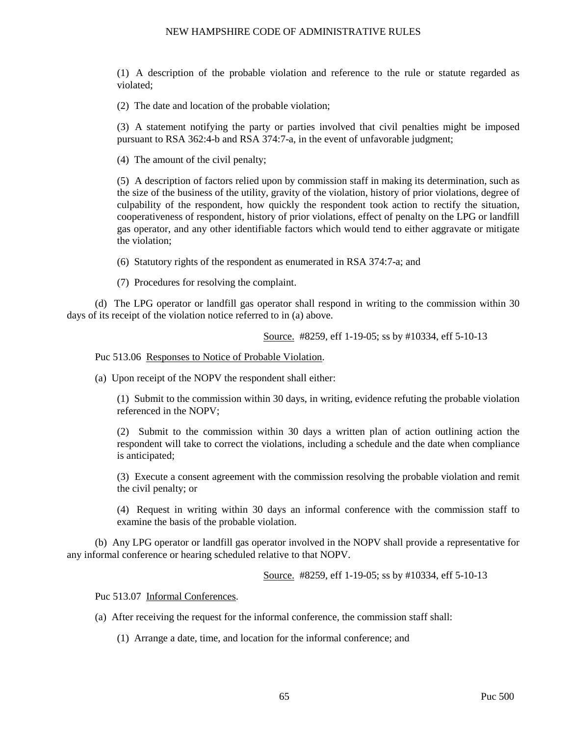(1) A description of the probable violation and reference to the rule or statute regarded as violated;

(2) The date and location of the probable violation;

(3) A statement notifying the party or parties involved that civil penalties might be imposed pursuant to RSA 362:4-b and RSA 374:7-a, in the event of unfavorable judgment;

(4) The amount of the civil penalty;

(5) A description of factors relied upon by commission staff in making its determination, such as the size of the business of the utility, gravity of the violation, history of prior violations, degree of culpability of the respondent, how quickly the respondent took action to rectify the situation, cooperativeness of respondent, history of prior violations, effect of penalty on the LPG or landfill gas operator, and any other identifiable factors which would tend to either aggravate or mitigate the violation;

(6) Statutory rights of the respondent as enumerated in RSA 374:7-a; and

(7) Procedures for resolving the complaint.

(d) The LPG operator or landfill gas operator shall respond in writing to the commission within 30 days of its receipt of the violation notice referred to in (a) above.

Source. #8259, eff 1-19-05; ss by #10334, eff 5-10-13

#### Puc 513.06 Responses to Notice of Probable Violation.

(a) Upon receipt of the NOPV the respondent shall either:

(1) Submit to the commission within 30 days, in writing, evidence refuting the probable violation referenced in the NOPV;

(2) Submit to the commission within 30 days a written plan of action outlining action the respondent will take to correct the violations, including a schedule and the date when compliance is anticipated;

(3) Execute a consent agreement with the commission resolving the probable violation and remit the civil penalty; or

(4) Request in writing within 30 days an informal conference with the commission staff to examine the basis of the probable violation.

(b) Any LPG operator or landfill gas operator involved in the NOPV shall provide a representative for any informal conference or hearing scheduled relative to that NOPV.

Source. #8259, eff 1-19-05; ss by #10334, eff 5-10-13

Puc 513.07 Informal Conferences.

(a) After receiving the request for the informal conference, the commission staff shall:

(1) Arrange a date, time, and location for the informal conference; and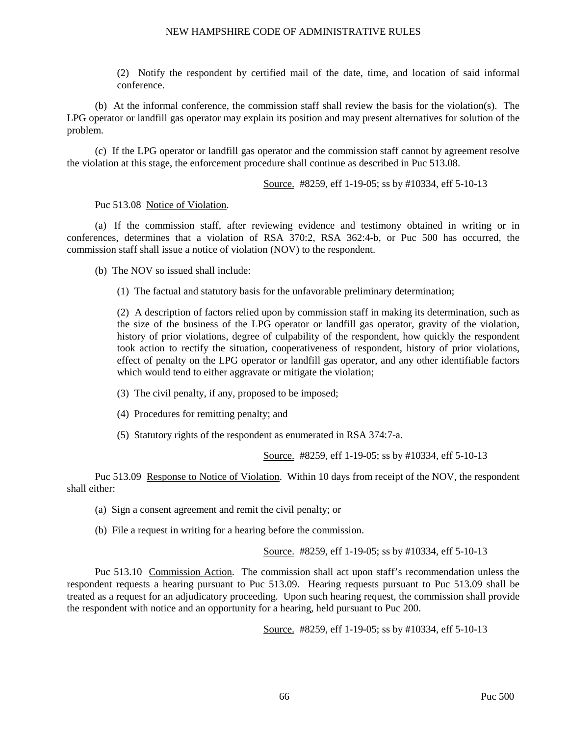(2) Notify the respondent by certified mail of the date, time, and location of said informal conference.

(b) At the informal conference, the commission staff shall review the basis for the violation(s). The LPG operator or landfill gas operator may explain its position and may present alternatives for solution of the problem.

(c) If the LPG operator or landfill gas operator and the commission staff cannot by agreement resolve the violation at this stage, the enforcement procedure shall continue as described in Puc 513.08.

Source. #8259, eff 1-19-05; ss by #10334, eff 5-10-13

Puc 513.08 Notice of Violation.

(a) If the commission staff, after reviewing evidence and testimony obtained in writing or in conferences, determines that a violation of RSA 370:2, RSA 362:4-b, or Puc 500 has occurred, the commission staff shall issue a notice of violation (NOV) to the respondent.

(b) The NOV so issued shall include:

(1) The factual and statutory basis for the unfavorable preliminary determination;

(2) A description of factors relied upon by commission staff in making its determination, such as the size of the business of the LPG operator or landfill gas operator, gravity of the violation, history of prior violations, degree of culpability of the respondent, how quickly the respondent took action to rectify the situation, cooperativeness of respondent, history of prior violations, effect of penalty on the LPG operator or landfill gas operator, and any other identifiable factors which would tend to either aggravate or mitigate the violation;

- (3) The civil penalty, if any, proposed to be imposed;
- (4) Procedures for remitting penalty; and
- (5) Statutory rights of the respondent as enumerated in RSA 374:7-a.

Source. #8259, eff 1-19-05; ss by #10334, eff 5-10-13

Puc 513.09 Response to Notice of Violation. Within 10 days from receipt of the NOV, the respondent shall either:

- (a) Sign a consent agreement and remit the civil penalty; or
- (b) File a request in writing for a hearing before the commission.

Source. #8259, eff 1-19-05; ss by #10334, eff 5-10-13

Puc 513.10 Commission Action. The commission shall act upon staff's recommendation unless the respondent requests a hearing pursuant to Puc 513.09. Hearing requests pursuant to Puc 513.09 shall be treated as a request for an adjudicatory proceeding. Upon such hearing request, the commission shall provide the respondent with notice and an opportunity for a hearing, held pursuant to Puc 200.

Source. #8259, eff 1-19-05; ss by #10334, eff 5-10-13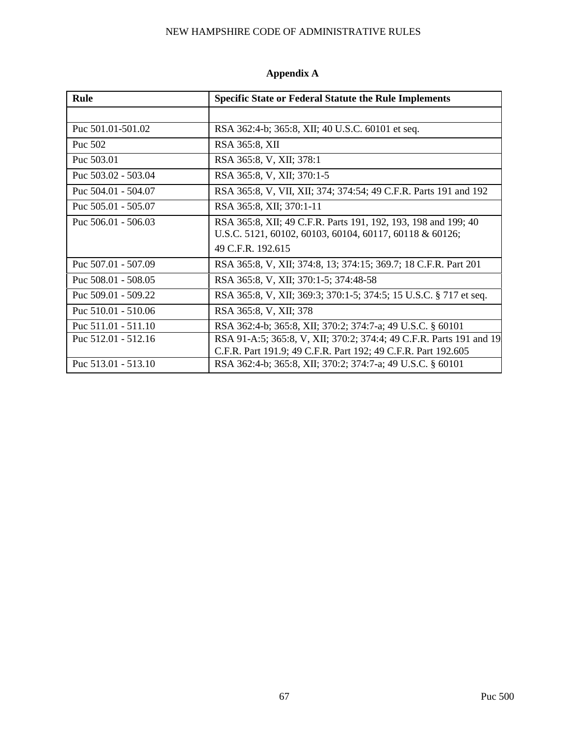# **Appendix A**

| <b>Rule</b>           | <b>Specific State or Federal Statute the Rule Implements</b>                                                                         |
|-----------------------|--------------------------------------------------------------------------------------------------------------------------------------|
|                       |                                                                                                                                      |
| Puc 501.01-501.02     | RSA 362:4-b; 365:8, XII; 40 U.S.C. 60101 et seq.                                                                                     |
| Puc 502               | RSA 365:8, XII                                                                                                                       |
| Puc 503.01            | RSA 365:8, V, XII; 378:1                                                                                                             |
| Puc 503.02 - 503.04   | RSA 365:8, V, XII; 370:1-5                                                                                                           |
| Puc 504.01 - 504.07   | RSA 365:8, V, VII, XII; 374; 374:54; 49 C.F.R. Parts 191 and 192                                                                     |
| Puc 505.01 - 505.07   | RSA 365:8, XII; 370:1-11                                                                                                             |
| Puc $506.01 - 506.03$ | RSA 365:8, XII; 49 C.F.R. Parts 191, 192, 193, 198 and 199; 40<br>U.S.C. 5121, 60102, 60103, 60104, 60117, 60118 & 60126;            |
|                       | 49 C.F.R. 192.615                                                                                                                    |
| Puc 507.01 - 507.09   | RSA 365:8, V, XII; 374:8, 13; 374:15; 369.7; 18 C.F.R. Part 201                                                                      |
| Puc 508.01 - 508.05   | RSA 365:8, V, XII; 370:1-5; 374:48-58                                                                                                |
| Puc 509.01 - 509.22   | RSA 365:8, V, XII; 369:3; 370:1-5; 374:5; 15 U.S.C. § 717 et seq.                                                                    |
| Puc 510.01 - 510.06   | RSA 365:8, V, XII; 378                                                                                                               |
| Puc 511.01 - 511.10   | RSA 362:4-b; 365:8, XII; 370:2; 374:7-a; 49 U.S.C. § 60101                                                                           |
| Puc 512.01 - 512.16   | RSA 91-A:5; 365:8, V, XII; 370:2; 374:4; 49 C.F.R. Parts 191 and 19<br>C.F.R. Part 191.9; 49 C.F.R. Part 192; 49 C.F.R. Part 192.605 |
| Puc 513.01 - 513.10   | RSA 362:4-b; 365:8, XII; 370:2; 374:7-a; 49 U.S.C. § 60101                                                                           |